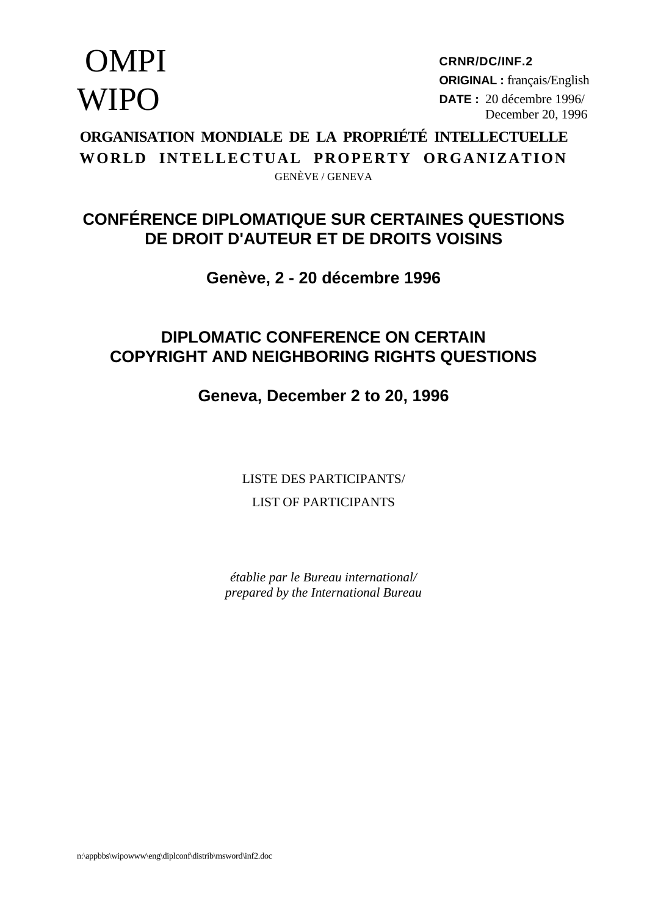# **OMPI WIPO**

**CRNR/DC/INF.2 ORIGINAL :** français/English **DATE :** 20 décembre 1996/ December 20, 1996

**ORGANISATION MONDIALE DE LA PROPRIÉTÉ INTELLECTUELLE WORLD INTELLECTUAL PROPERTY ORGANIZATION** GENÈVE / GENEVA

# **CONFÉRENCE DIPLOMATIQUE SUR CERTAINES QUESTIONS DE DROIT D'AUTEUR ET DE DROITS VOISINS**

# **Genève, 2 - 20 décembre 1996**

# **DIPLOMATIC CONFERENCE ON CERTAIN COPYRIGHT AND NEIGHBORING RIGHTS QUESTIONS**

# **Geneva, December 2 to 20, 1996**

LISTE DES PARTICIPANTS/ LIST OF PARTICIPANTS

*établie par le Bureau international/ prepared by the International Bureau*

n:\appbbs\wipowww\eng\diplconf\distrib\msword\inf2.doc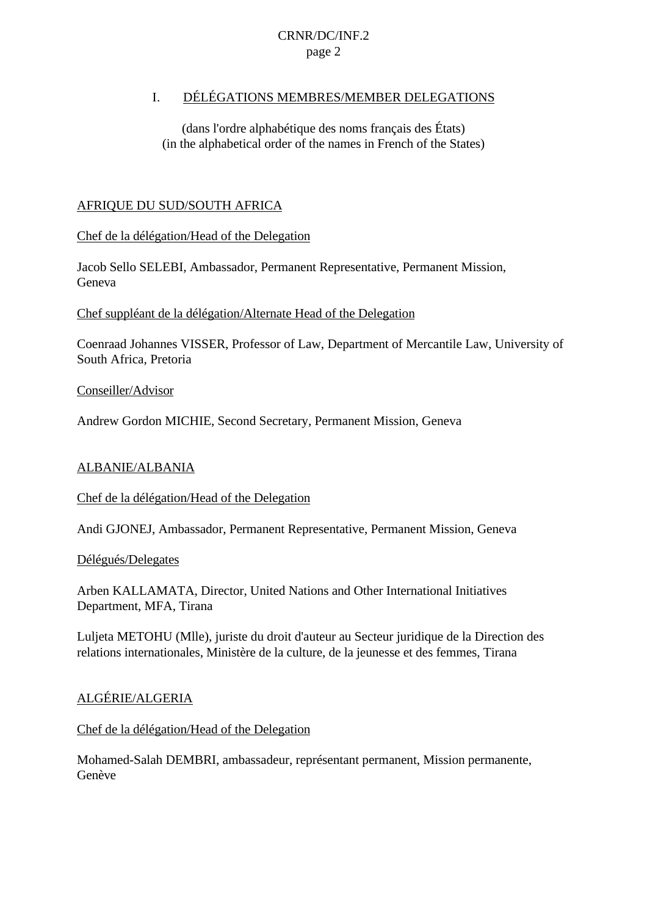### I. DÉLÉGATIONS MEMBRES/MEMBER DELEGATIONS

(dans l'ordre alphabétique des noms français des États) (in the alphabetical order of the names in French of the States)

### AFRIQUE DU SUD/SOUTH AFRICA

Chef de la délégation/Head of the Delegation

Jacob Sello SELEBI, Ambassador, Permanent Representative, Permanent Mission, Geneva

Chef suppléant de la délégation/Alternate Head of the Delegation

Coenraad Johannes VISSER, Professor of Law, Department of Mercantile Law, University of South Africa, Pretoria

Conseiller/Advisor

Andrew Gordon MICHIE, Second Secretary, Permanent Mission, Geneva

### ALBANIE/ALBANIA

Chef de la délégation/Head of the Delegation

Andi GJONEJ, Ambassador, Permanent Representative, Permanent Mission, Geneva

Délégués/Delegates

Arben KALLAMATA, Director, United Nations and Other International Initiatives Department, MFA, Tirana

Luljeta METOHU (Mlle), juriste du droit d'auteur au Secteur juridique de la Direction des relations internationales, Ministère de la culture, de la jeunesse et des femmes, Tirana

### ALGÉRIE/ALGERIA

### Chef de la délégation/Head of the Delegation

Mohamed-Salah DEMBRI, ambassadeur, représentant permanent, Mission permanente, Genève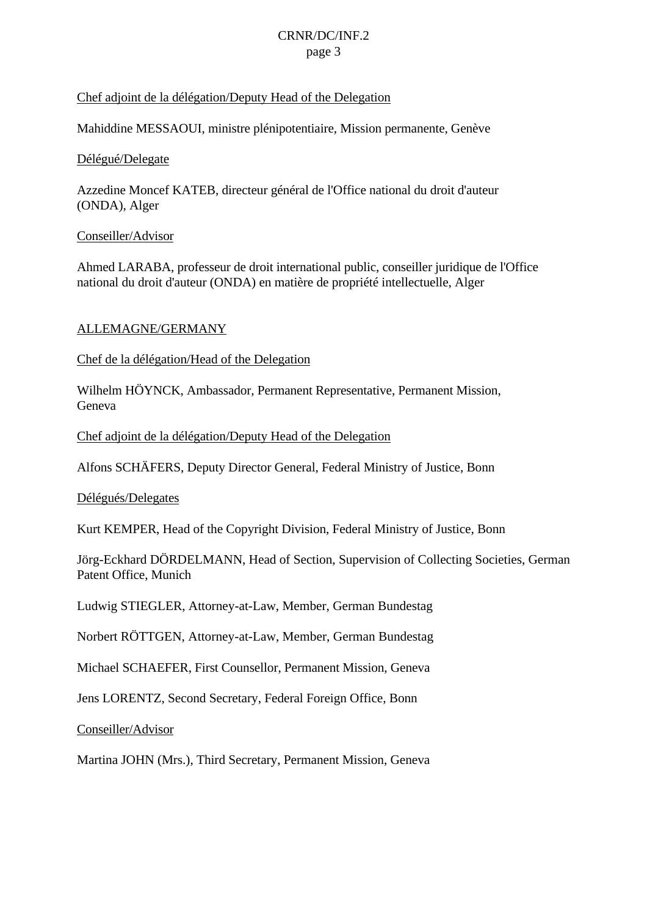### Chef adjoint de la délégation/Deputy Head of the Delegation

Mahiddine MESSAOUI, ministre plénipotentiaire, Mission permanente, Genève

### Délégué/Delegate

Azzedine Moncef KATEB, directeur général de l'Office national du droit d'auteur (ONDA), Alger

### Conseiller/Advisor

Ahmed LARABA, professeur de droit international public, conseiller juridique de l'Office national du droit d'auteur (ONDA) en matière de propriété intellectuelle, Alger

### ALLEMAGNE/GERMANY

Chef de la délégation/Head of the Delegation

Wilhelm HÖYNCK, Ambassador, Permanent Representative, Permanent Mission, Geneva

Chef adjoint de la délégation/Deputy Head of the Delegation

Alfons SCHÄFERS, Deputy Director General, Federal Ministry of Justice, Bonn

Délégués/Delegates

Kurt KEMPER, Head of the Copyright Division, Federal Ministry of Justice, Bonn

Jörg-Eckhard DÖRDELMANN, Head of Section, Supervision of Collecting Societies, German Patent Office, Munich

Ludwig STIEGLER, Attorney-at-Law, Member, German Bundestag

Norbert RÖTTGEN, Attorney-at-Law, Member, German Bundestag

Michael SCHAEFER, First Counsellor, Permanent Mission, Geneva

Jens LORENTZ, Second Secretary, Federal Foreign Office, Bonn

Conseiller/Advisor

Martina JOHN (Mrs.), Third Secretary, Permanent Mission, Geneva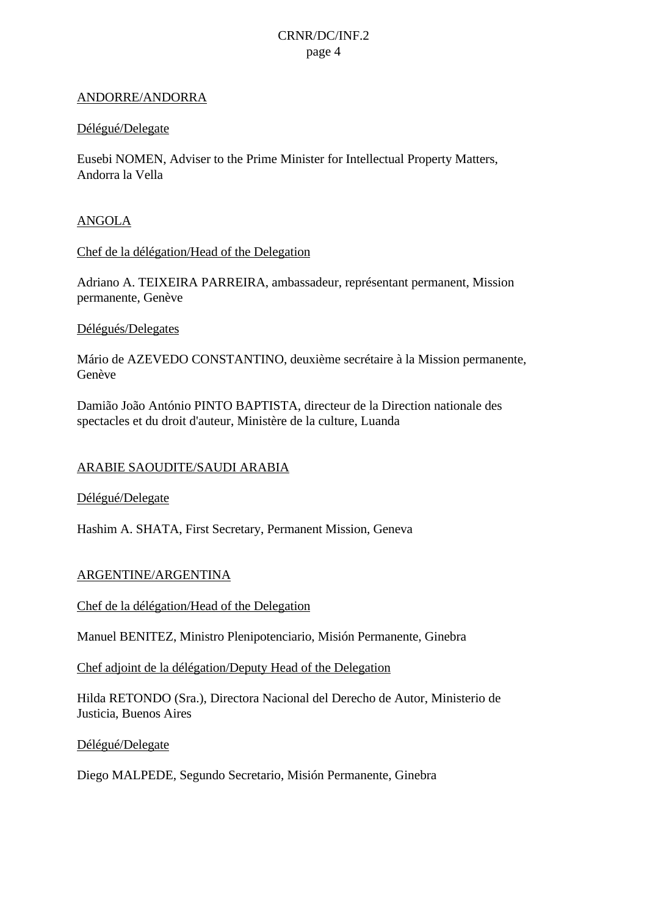#### ANDORRE/ANDORRA

#### Délégué/Delegate

Eusebi NOMEN, Adviser to the Prime Minister for Intellectual Property Matters, Andorra la Vella

#### ANGOLA

Chef de la délégation/Head of the Delegation

Adriano A. TEIXEIRA PARREIRA, ambassadeur, représentant permanent, Mission permanente, Genève

#### Délégués/Delegates

Mário de AZEVEDO CONSTANTINO, deuxième secrétaire à la Mission permanente, Genève

Damião João António PINTO BAPTISTA, directeur de la Direction nationale des spectacles et du droit d'auteur, Ministère de la culture, Luanda

#### ARABIE SAOUDITE/SAUDI ARABIA

Délégué/Delegate

Hashim A. SHATA, First Secretary, Permanent Mission, Geneva

#### ARGENTINE/ARGENTINA

Chef de la délégation/Head of the Delegation

Manuel BENITEZ, Ministro Plenipotenciario, Misión Permanente, Ginebra

Chef adjoint de la délégation/Deputy Head of the Delegation

Hilda RETONDO (Sra.), Directora Nacional del Derecho de Autor, Ministerio de Justicia, Buenos Aires

Délégué/Delegate

Diego MALPEDE, Segundo Secretario, Misión Permanente, Ginebra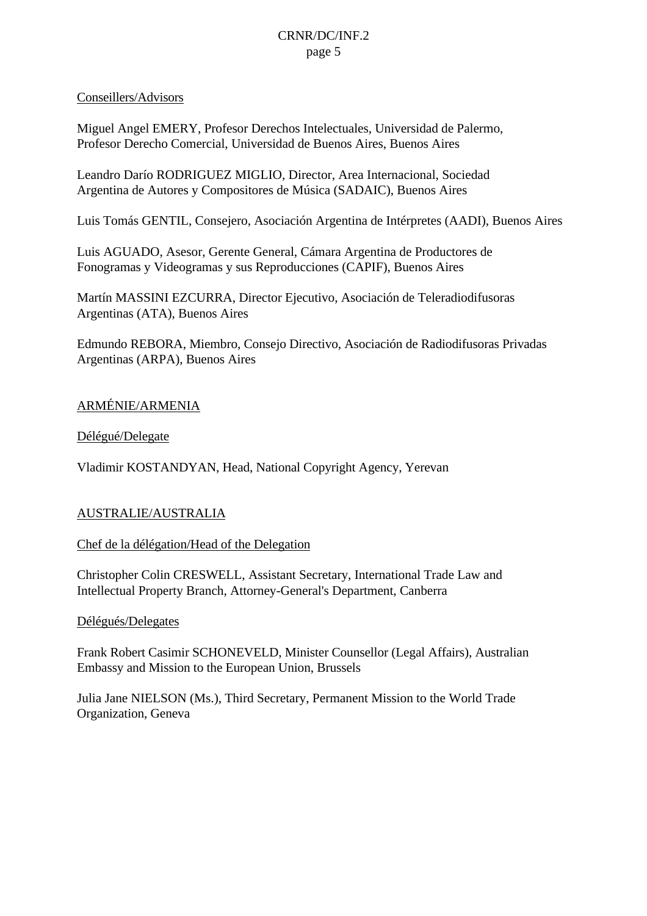### Conseillers/Advisors

Miguel Angel EMERY, Profesor Derechos Intelectuales, Universidad de Palermo, Profesor Derecho Comercial, Universidad de Buenos Aires, Buenos Aires

Leandro Darío RODRIGUEZ MIGLIO, Director, Area Internacional, Sociedad Argentina de Autores y Compositores de Música (SADAIC), Buenos Aires

Luis Tomás GENTIL, Consejero, Asociación Argentina de Intérpretes (AADI), Buenos Aires

Luis AGUADO, Asesor, Gerente General, Cámara Argentina de Productores de Fonogramas y Videogramas y sus Reproducciones (CAPIF), Buenos Aires

Martín MASSINI EZCURRA, Director Ejecutivo, Asociación de Teleradiodifusoras Argentinas (ATA), Buenos Aires

Edmundo REBORA, Miembro, Consejo Directivo, Asociación de Radiodifusoras Privadas Argentinas (ARPA), Buenos Aires

### ARMÉNIE/ARMENIA

### Délégué/Delegate

Vladimir KOSTANDYAN, Head, National Copyright Agency, Yerevan

### AUSTRALIE/AUSTRALIA

Chef de la délégation/Head of the Delegation

Christopher Colin CRESWELL, Assistant Secretary, International Trade Law and Intellectual Property Branch, Attorney-General's Department, Canberra

#### Délégués/Delegates

Frank Robert Casimir SCHONEVELD, Minister Counsellor (Legal Affairs), Australian Embassy and Mission to the European Union, Brussels

Julia Jane NIELSON (Ms.), Third Secretary, Permanent Mission to the World Trade Organization, Geneva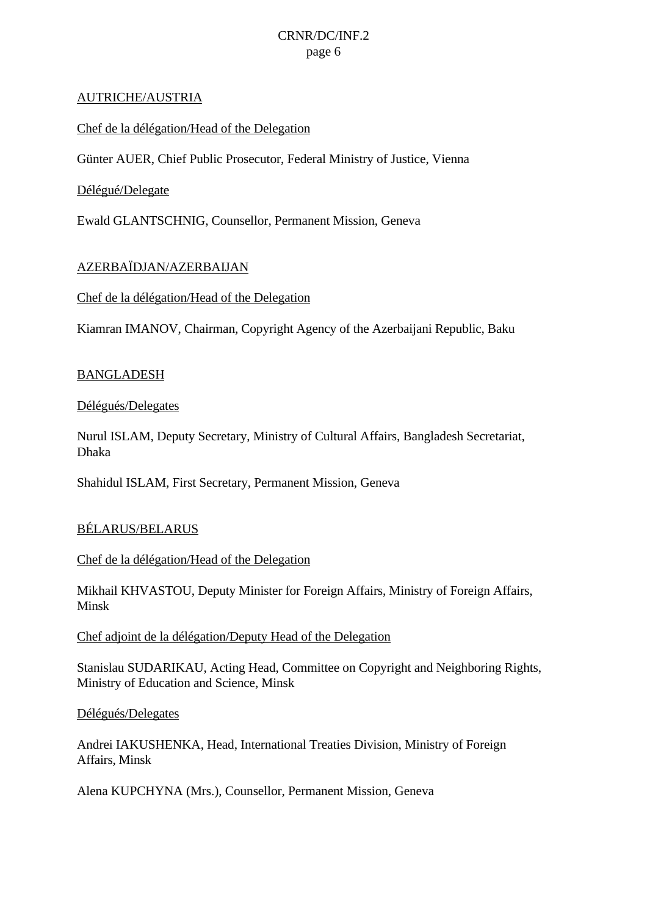#### AUTRICHE/AUSTRIA

### Chef de la délégation/Head of the Delegation

Günter AUER, Chief Public Prosecutor, Federal Ministry of Justice, Vienna

### Délégué/Delegate

Ewald GLANTSCHNIG, Counsellor, Permanent Mission, Geneva

### AZERBAÏDJAN/AZERBAIJAN

#### Chef de la délégation/Head of the Delegation

Kiamran IMANOV, Chairman, Copyright Agency of the Azerbaijani Republic, Baku

### BANGLADESH

### Délégués/Delegates

Nurul ISLAM, Deputy Secretary, Ministry of Cultural Affairs, Bangladesh Secretariat, Dhaka

Shahidul ISLAM, First Secretary, Permanent Mission, Geneva

### BÉLARUS/BELARUS

#### Chef de la délégation/Head of the Delegation

Mikhail KHVASTOU, Deputy Minister for Foreign Affairs, Ministry of Foreign Affairs, Minsk

#### Chef adjoint de la délégation/Deputy Head of the Delegation

Stanislau SUDARIKAU, Acting Head, Committee on Copyright and Neighboring Rights, Ministry of Education and Science, Minsk

#### Délégués/Delegates

Andrei IAKUSHENKA, Head, International Treaties Division, Ministry of Foreign Affairs, Minsk

Alena KUPCHYNA (Mrs.), Counsellor, Permanent Mission, Geneva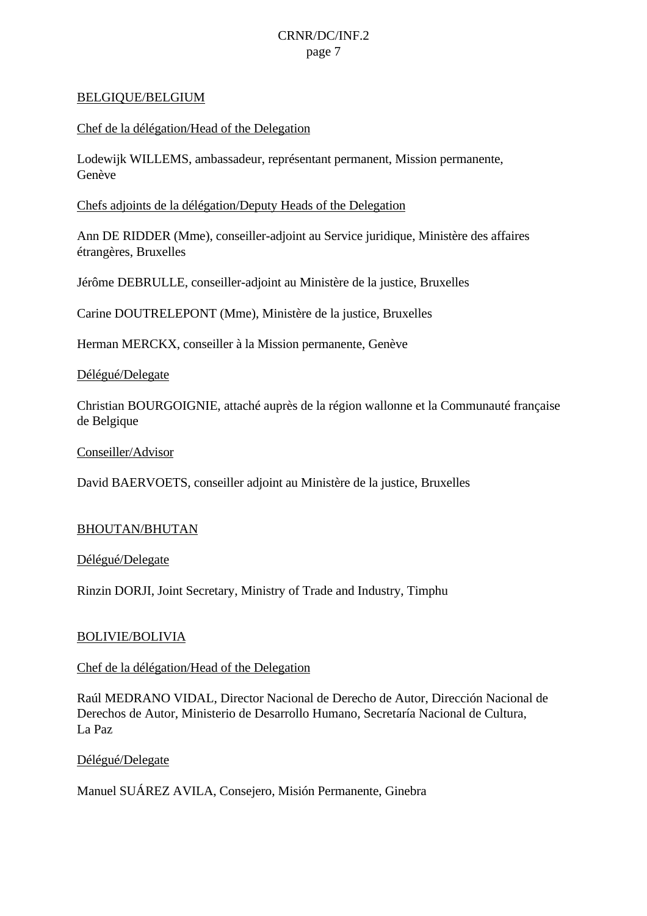#### BELGIQUE/BELGIUM

#### Chef de la délégation/Head of the Delegation

Lodewijk WILLEMS, ambassadeur, représentant permanent, Mission permanente, Genève

#### Chefs adjoints de la délégation/Deputy Heads of the Delegation

Ann DE RIDDER (Mme), conseiller-adjoint au Service juridique, Ministère des affaires étrangères, Bruxelles

Jérôme DEBRULLE, conseiller-adjoint au Ministère de la justice, Bruxelles

Carine DOUTRELEPONT (Mme), Ministère de la justice, Bruxelles

Herman MERCKX, conseiller à la Mission permanente, Genève

Délégué/Delegate

Christian BOURGOIGNIE, attaché auprès de la région wallonne et la Communauté française de Belgique

Conseiller/Advisor

David BAERVOETS, conseiller adjoint au Ministère de la justice, Bruxelles

#### BHOUTAN/BHUTAN

Délégué/Delegate

Rinzin DORJI, Joint Secretary, Ministry of Trade and Industry, Timphu

#### BOLIVIE/BOLIVIA

### Chef de la délégation/Head of the Delegation

Raúl MEDRANO VIDAL, Director Nacional de Derecho de Autor, Dirección Nacional de Derechos de Autor, Ministerio de Desarrollo Humano, Secretaría Nacional de Cultura, La Paz

Délégué/Delegate

Manuel SUÁREZ AVILA, Consejero, Misión Permanente, Ginebra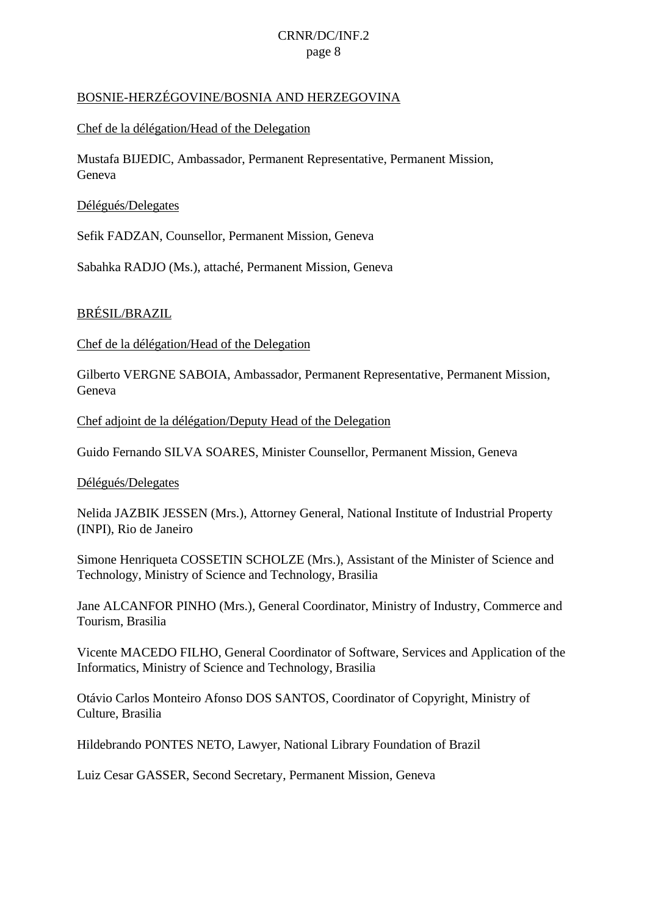### BOSNIE-HERZÉGOVINE/BOSNIA AND HERZEGOVINA

### Chef de la délégation/Head of the Delegation

Mustafa BIJEDIC, Ambassador, Permanent Representative, Permanent Mission, Geneva

### Délégués/Delegates

Sefik FADZAN, Counsellor, Permanent Mission, Geneva

Sabahka RADJO (Ms.), attaché, Permanent Mission, Geneva

### BRÉSIL/BRAZIL

Chef de la délégation/Head of the Delegation

Gilberto VERGNE SABOIA, Ambassador, Permanent Representative, Permanent Mission, Geneva

Chef adjoint de la délégation/Deputy Head of the Delegation

Guido Fernando SILVA SOARES, Minister Counsellor, Permanent Mission, Geneva

#### Délégués/Delegates

Nelida JAZBIK JESSEN (Mrs.), Attorney General, National Institute of Industrial Property (INPI), Rio de Janeiro

Simone Henriqueta COSSETIN SCHOLZE (Mrs.), Assistant of the Minister of Science and Technology, Ministry of Science and Technology, Brasilia

Jane ALCANFOR PINHO (Mrs.), General Coordinator, Ministry of Industry, Commerce and Tourism, Brasilia

Vicente MACEDO FILHO, General Coordinator of Software, Services and Application of the Informatics, Ministry of Science and Technology, Brasilia

Otávio Carlos Monteiro Afonso DOS SANTOS, Coordinator of Copyright, Ministry of Culture, Brasilia

Hildebrando PONTES NETO, Lawyer, National Library Foundation of Brazil

Luiz Cesar GASSER, Second Secretary, Permanent Mission, Geneva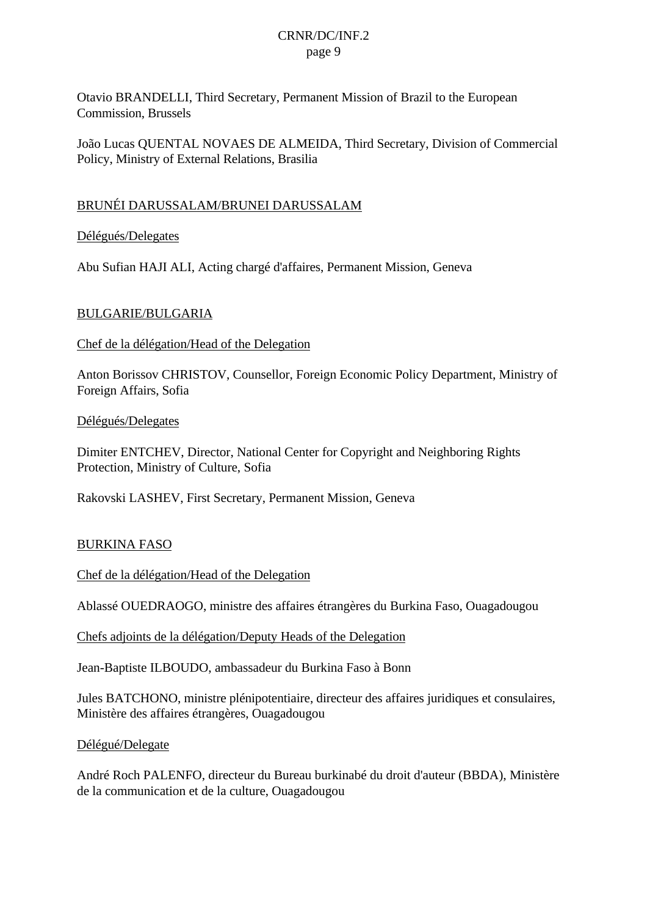Otavio BRANDELLI, Third Secretary, Permanent Mission of Brazil to the European Commission, Brussels

João Lucas QUENTAL NOVAES DE ALMEIDA, Third Secretary, Division of Commercial Policy, Ministry of External Relations, Brasilia

### BRUNÉI DARUSSALAM/BRUNEI DARUSSALAM

Délégués/Delegates

Abu Sufian HAJI ALI, Acting chargé d'affaires, Permanent Mission, Geneva

### BULGARIE/BULGARIA

Chef de la délégation/Head of the Delegation

Anton Borissov CHRISTOV, Counsellor, Foreign Economic Policy Department, Ministry of Foreign Affairs, Sofia

Délégués/Delegates

Dimiter ENTCHEV, Director, National Center for Copyright and Neighboring Rights Protection, Ministry of Culture, Sofia

Rakovski LASHEV, First Secretary, Permanent Mission, Geneva

### BURKINA FASO

Chef de la délégation/Head of the Delegation

Ablassé OUEDRAOGO, ministre des affaires étrangères du Burkina Faso, Ouagadougou

Chefs adjoints de la délégation/Deputy Heads of the Delegation

Jean-Baptiste ILBOUDO, ambassadeur du Burkina Faso à Bonn

Jules BATCHONO, ministre plénipotentiaire, directeur des affaires juridiques et consulaires, Ministère des affaires étrangères, Ouagadougou

Délégué/Delegate

André Roch PALENFO, directeur du Bureau burkinabé du droit d'auteur (BBDA), Ministère de la communication et de la culture, Ouagadougou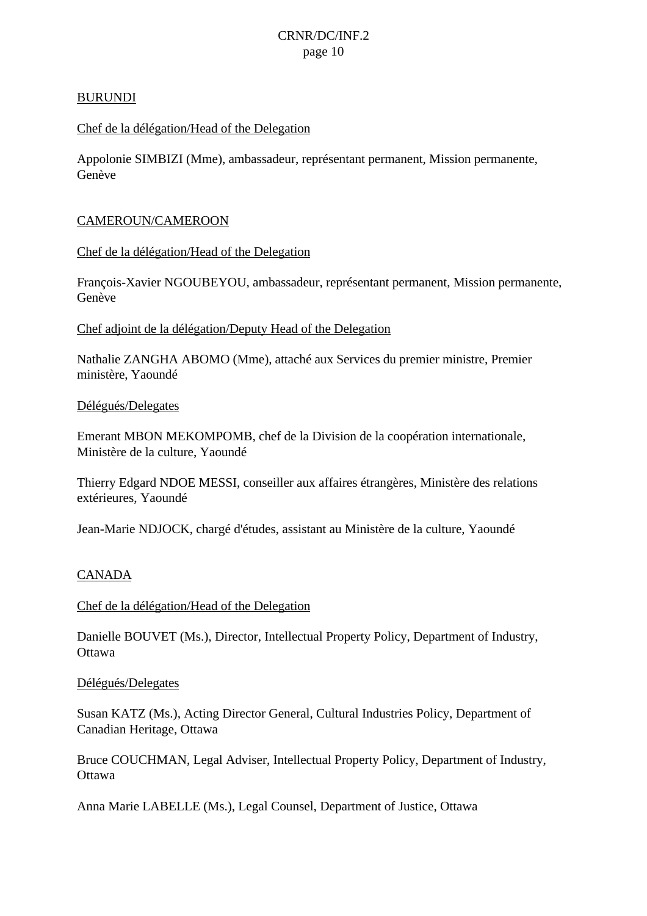#### BURUNDI

#### Chef de la délégation/Head of the Delegation

Appolonie SIMBIZI (Mme), ambassadeur, représentant permanent, Mission permanente, Genève

#### CAMEROUN/CAMEROON

Chef de la délégation/Head of the Delegation

François-Xavier NGOUBEYOU, ambassadeur, représentant permanent, Mission permanente, Genève

Chef adjoint de la délégation/Deputy Head of the Delegation

Nathalie ZANGHA ABOMO (Mme), attaché aux Services du premier ministre, Premier ministère, Yaoundé

#### Délégués/Delegates

Emerant MBON MEKOMPOMB, chef de la Division de la coopération internationale, Ministère de la culture, Yaoundé

Thierry Edgard NDOE MESSI, conseiller aux affaires étrangères, Ministère des relations extérieures, Yaoundé

Jean-Marie NDJOCK, chargé d'études, assistant au Ministère de la culture, Yaoundé

#### CANADA

Chef de la délégation/Head of the Delegation

Danielle BOUVET (Ms.), Director, Intellectual Property Policy, Department of Industry, **Ottawa** 

#### Délégués/Delegates

Susan KATZ (Ms.), Acting Director General, Cultural Industries Policy, Department of Canadian Heritage, Ottawa

Bruce COUCHMAN, Legal Adviser, Intellectual Property Policy, Department of Industry, **Ottawa** 

Anna Marie LABELLE (Ms.), Legal Counsel, Department of Justice, Ottawa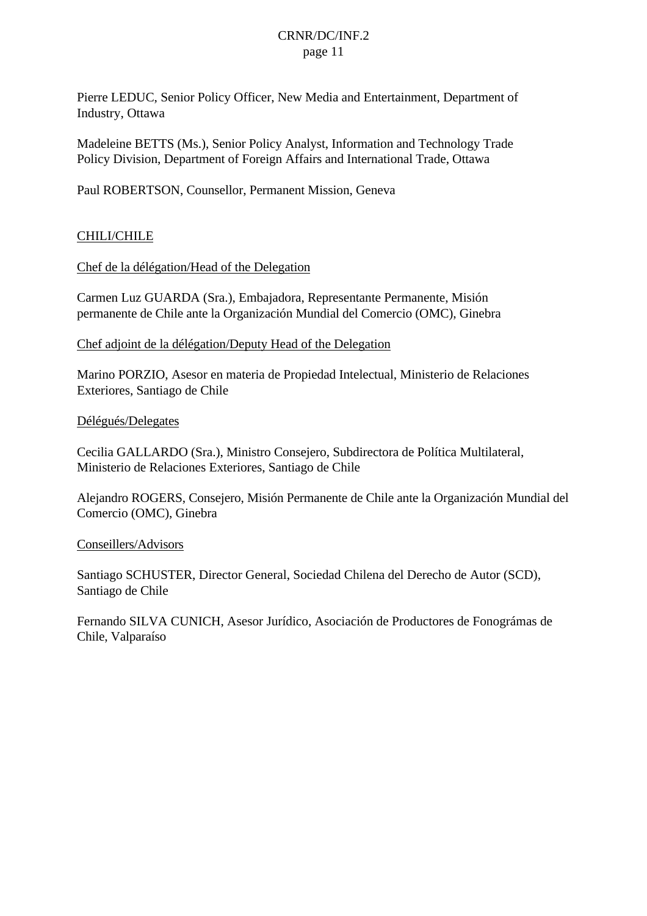Pierre LEDUC, Senior Policy Officer, New Media and Entertainment, Department of Industry, Ottawa

Madeleine BETTS (Ms.), Senior Policy Analyst, Information and Technology Trade Policy Division, Department of Foreign Affairs and International Trade, Ottawa

Paul ROBERTSON, Counsellor, Permanent Mission, Geneva

### CHILI/CHILE

Chef de la délégation/Head of the Delegation

Carmen Luz GUARDA (Sra.), Embajadora, Representante Permanente, Misión permanente de Chile ante la Organización Mundial del Comercio (OMC), Ginebra

Chef adjoint de la délégation/Deputy Head of the Delegation

Marino PORZIO, Asesor en materia de Propiedad Intelectual, Ministerio de Relaciones Exteriores, Santiago de Chile

#### Délégués/Delegates

Cecilia GALLARDO (Sra.), Ministro Consejero, Subdirectora de Política Multilateral, Ministerio de Relaciones Exteriores, Santiago de Chile

Alejandro ROGERS, Consejero, Misión Permanente de Chile ante la Organización Mundial del Comercio (OMC), Ginebra

#### Conseillers/Advisors

Santiago SCHUSTER, Director General, Sociedad Chilena del Derecho de Autor (SCD), Santiago de Chile

Fernando SILVA CUNICH, Asesor Jurídico, Asociación de Productores de Fonográmas de Chile, Valparaíso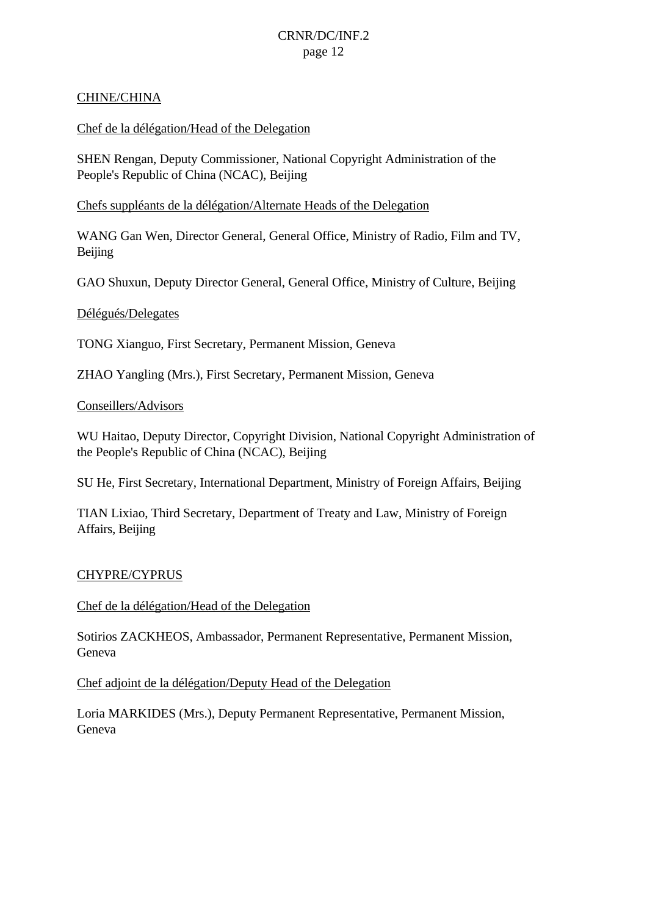### CHINE/CHINA

### Chef de la délégation/Head of the Delegation

SHEN Rengan, Deputy Commissioner, National Copyright Administration of the People's Republic of China (NCAC), Beijing

Chefs suppléants de la délégation/Alternate Heads of the Delegation

WANG Gan Wen, Director General, General Office, Ministry of Radio, Film and TV, Beijing

GAO Shuxun, Deputy Director General, General Office, Ministry of Culture, Beijing

#### Délégués/Delegates

TONG Xianguo, First Secretary, Permanent Mission, Geneva

ZHAO Yangling (Mrs.), First Secretary, Permanent Mission, Geneva

#### Conseillers/Advisors

WU Haitao, Deputy Director, Copyright Division, National Copyright Administration of the People's Republic of China (NCAC), Beijing

SU He, First Secretary, International Department, Ministry of Foreign Affairs, Beijing

TIAN Lixiao, Third Secretary, Department of Treaty and Law, Ministry of Foreign Affairs, Beijing

#### CHYPRE/CYPRUS

Chef de la délégation/Head of the Delegation

Sotirios ZACKHEOS, Ambassador, Permanent Representative, Permanent Mission, Geneva

Chef adjoint de la délégation/Deputy Head of the Delegation

Loria MARKIDES (Mrs.), Deputy Permanent Representative, Permanent Mission, Geneva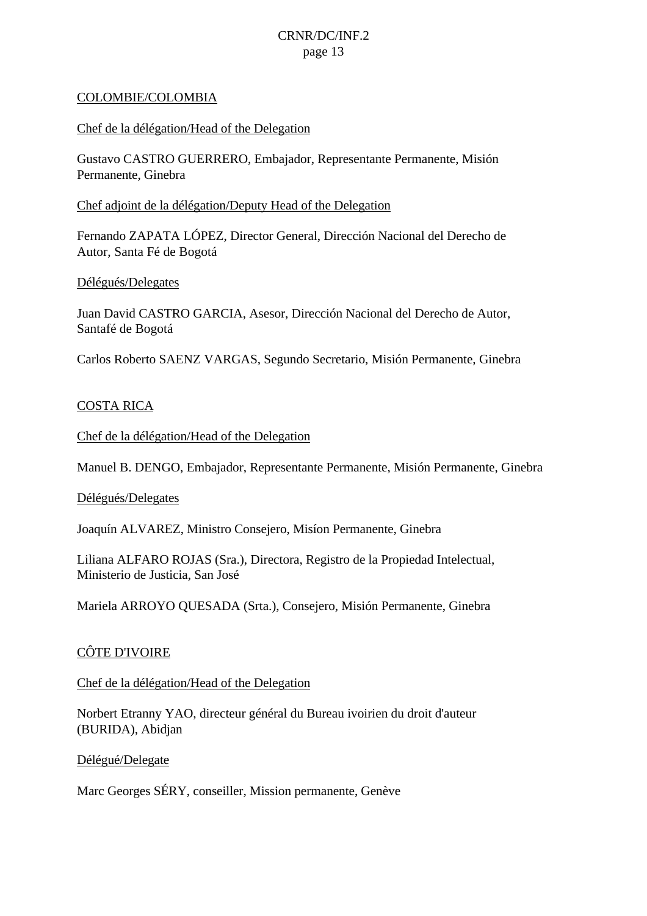#### COLOMBIE/COLOMBIA

#### Chef de la délégation/Head of the Delegation

Gustavo CASTRO GUERRERO, Embajador, Representante Permanente, Misión Permanente, Ginebra

#### Chef adjoint de la délégation/Deputy Head of the Delegation

Fernando ZAPATA LÓPEZ, Director General, Dirección Nacional del Derecho de Autor, Santa Fé de Bogotá

#### Délégués/Delegates

Juan David CASTRO GARCIA, Asesor, Dirección Nacional del Derecho de Autor, Santafé de Bogotá

Carlos Roberto SAENZ VARGAS, Segundo Secretario, Misión Permanente, Ginebra

#### COSTA RICA

Chef de la délégation/Head of the Delegation

Manuel B. DENGO, Embajador, Representante Permanente, Misión Permanente, Ginebra

#### Délégués/Delegates

Joaquín ALVAREZ, Ministro Consejero, Misíon Permanente, Ginebra

Liliana ALFARO ROJAS (Sra.), Directora, Registro de la Propiedad Intelectual, Ministerio de Justicia, San José

Mariela ARROYO QUESADA (Srta.), Consejero, Misión Permanente, Ginebra

#### CÔTE D'IVOIRE

#### Chef de la délégation/Head of the Delegation

Norbert Etranny YAO, directeur général du Bureau ivoirien du droit d'auteur (BURIDA), Abidjan

Délégué/Delegate

Marc Georges SÉRY, conseiller, Mission permanente, Genève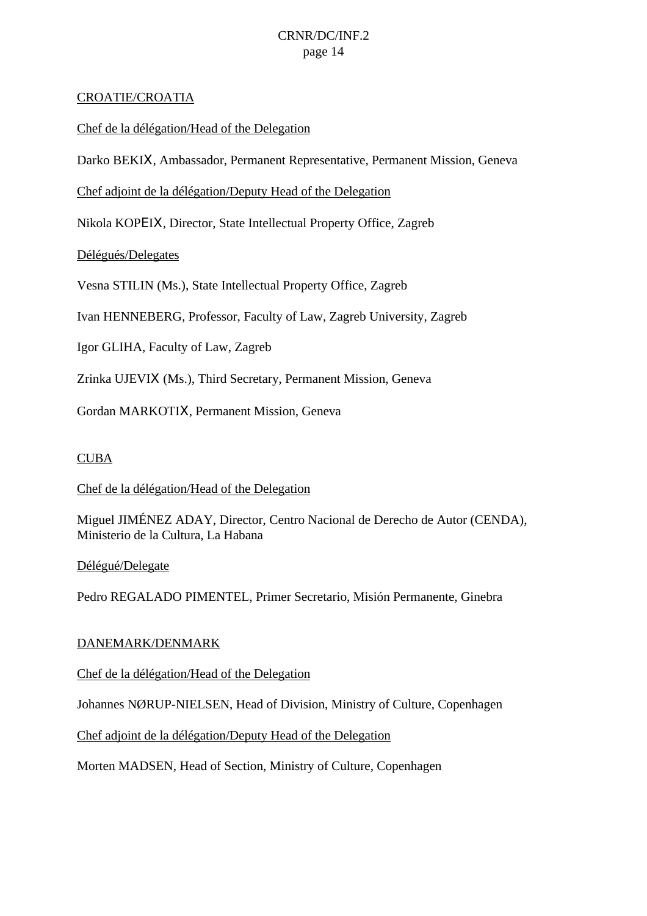### CROATIE/CROATIA

Chef de la délégation/Head of the Delegation

Darko BEKIΧ, Ambassador, Permanent Representative, Permanent Mission, Geneva

Chef adjoint de la délégation/Deputy Head of the Delegation

Nikola KOPΕIΧ, Director, State Intellectual Property Office, Zagreb

Délégués/Delegates

Vesna STILIN (Ms.), State Intellectual Property Office, Zagreb

Ivan HENNEBERG, Professor, Faculty of Law, Zagreb University, Zagreb

Igor GLIHA, Faculty of Law, Zagreb

Zrinka UJEVIΧ (Ms.), Third Secretary, Permanent Mission, Geneva

Gordan MARKOTIΧ, Permanent Mission, Geneva

### CUBA

Chef de la délégation/Head of the Delegation

Miguel JIMÉNEZ ADAY, Director, Centro Nacional de Derecho de Autor (CENDA), Ministerio de la Cultura, La Habana

Délégué/Delegate

Pedro REGALADO PIMENTEL, Primer Secretario, Misión Permanente, Ginebra

#### DANEMARK/DENMARK

Chef de la délégation/Head of the Delegation

Johannes NØRUP-NIELSEN, Head of Division, Ministry of Culture, Copenhagen

Chef adjoint de la délégation/Deputy Head of the Delegation

Morten MADSEN, Head of Section, Ministry of Culture, Copenhagen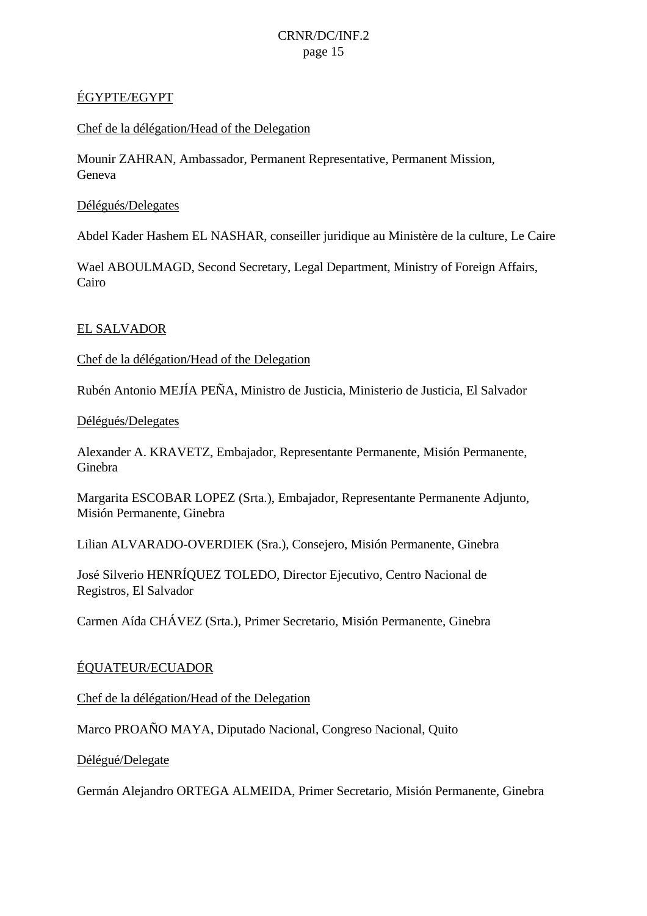### ÉGYPTE/EGYPT

### Chef de la délégation/Head of the Delegation

Mounir ZAHRAN, Ambassador, Permanent Representative, Permanent Mission, Geneva

### Délégués/Delegates

Abdel Kader Hashem EL NASHAR, conseiller juridique au Ministère de la culture, Le Caire

Wael ABOULMAGD, Second Secretary, Legal Department, Ministry of Foreign Affairs, Cairo

### EL SALVADOR

Chef de la délégation/Head of the Delegation

Rubén Antonio MEJÍA PEÑA, Ministro de Justicia, Ministerio de Justicia, El Salvador

#### Délégués/Delegates

Alexander A. KRAVETZ, Embajador, Representante Permanente, Misión Permanente, Ginebra

Margarita ESCOBAR LOPEZ (Srta.), Embajador, Representante Permanente Adjunto, Misión Permanente, Ginebra

Lilian ALVARADO-OVERDIEK (Sra.), Consejero, Misión Permanente, Ginebra

José Silverio HENRÍQUEZ TOLEDO, Director Ejecutivo, Centro Nacional de Registros, El Salvador

Carmen Aída CHÁVEZ (Srta.), Primer Secretario, Misión Permanente, Ginebra

### ÉQUATEUR/ECUADOR

Chef de la délégation/Head of the Delegation

Marco PROAÑO MAYA, Diputado Nacional, Congreso Nacional, Quito

Délégué/Delegate

Germán Alejandro ORTEGA ALMEIDA, Primer Secretario, Misión Permanente, Ginebra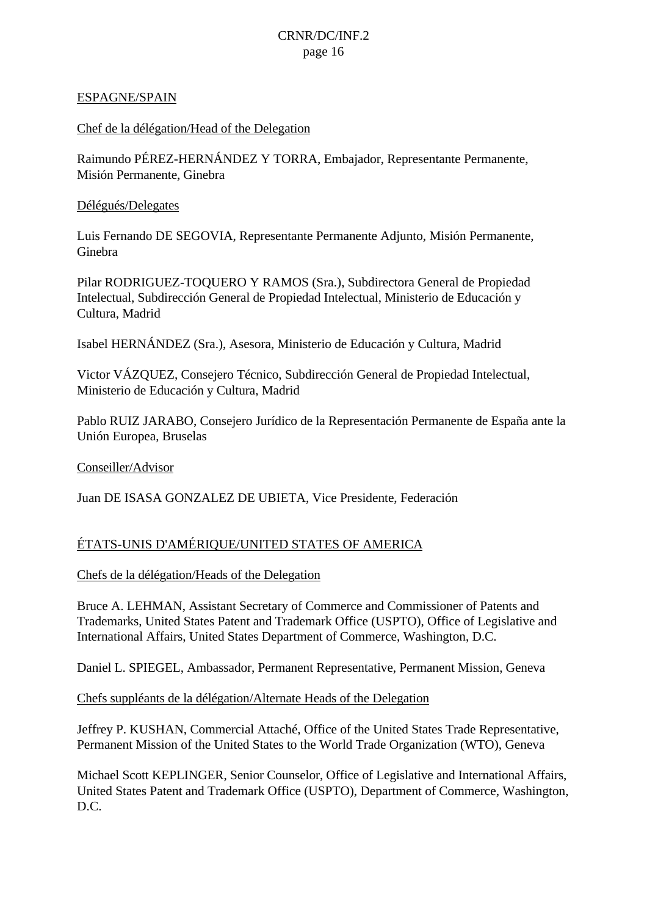### ESPAGNE/SPAIN

### Chef de la délégation/Head of the Delegation

Raimundo PÉREZ-HERNÁNDEZ Y TORRA, Embajador, Representante Permanente, Misión Permanente, Ginebra

### Délégués/Delegates

Luis Fernando DE SEGOVIA, Representante Permanente Adjunto, Misión Permanente, Ginebra

Pilar RODRIGUEZ-TOQUERO Y RAMOS (Sra.), Subdirectora General de Propiedad Intelectual, Subdirección General de Propiedad Intelectual, Ministerio de Educación y Cultura, Madrid

Isabel HERNÁNDEZ (Sra.), Asesora, Ministerio de Educación y Cultura, Madrid

Victor VÁZQUEZ, Consejero Técnico, Subdirección General de Propiedad Intelectual, Ministerio de Educación y Cultura, Madrid

Pablo RUIZ JARABO, Consejero Jurídico de la Representación Permanente de España ante la Unión Europea, Bruselas

Conseiller/Advisor

Juan DE ISASA GONZALEZ DE UBIETA, Vice Presidente, Federación

### ÉTATS-UNIS D'AMÉRIQUE/UNITED STATES OF AMERICA

Chefs de la délégation/Heads of the Delegation

Bruce A. LEHMAN, Assistant Secretary of Commerce and Commissioner of Patents and Trademarks, United States Patent and Trademark Office (USPTO), Office of Legislative and International Affairs, United States Department of Commerce, Washington, D.C.

Daniel L. SPIEGEL, Ambassador, Permanent Representative, Permanent Mission, Geneva

Chefs suppléants de la délégation/Alternate Heads of the Delegation

Jeffrey P. KUSHAN, Commercial Attaché, Office of the United States Trade Representative, Permanent Mission of the United States to the World Trade Organization (WTO), Geneva

Michael Scott KEPLINGER, Senior Counselor, Office of Legislative and International Affairs, United States Patent and Trademark Office (USPTO), Department of Commerce, Washington, D.C.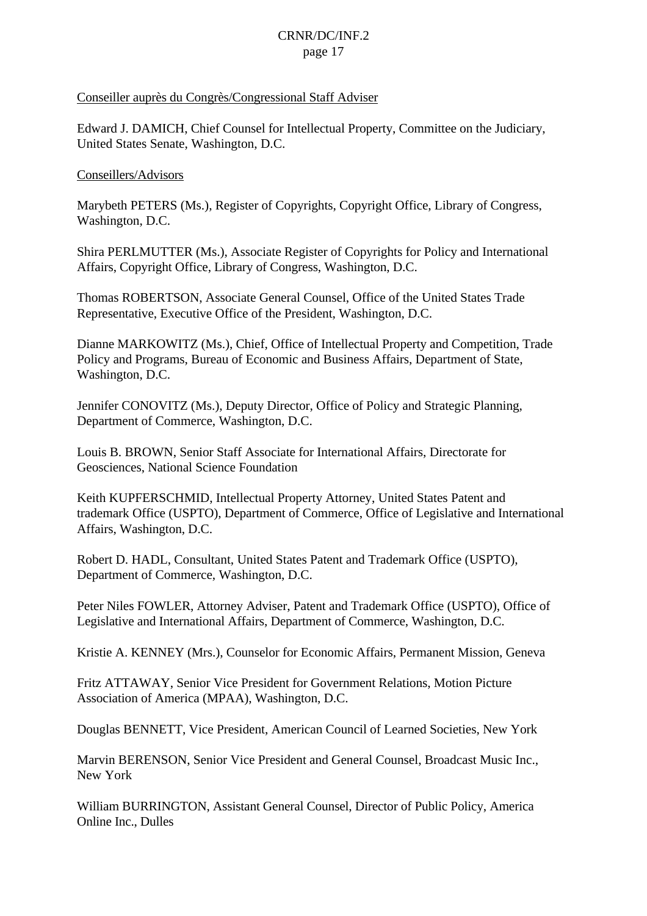#### Conseiller auprès du Congrès/Congressional Staff Adviser

Edward J. DAMICH, Chief Counsel for Intellectual Property, Committee on the Judiciary, United States Senate, Washington, D.C.

### Conseillers/Advisors

Marybeth PETERS (Ms.), Register of Copyrights, Copyright Office, Library of Congress, Washington, D.C.

Shira PERLMUTTER (Ms.), Associate Register of Copyrights for Policy and International Affairs, Copyright Office, Library of Congress, Washington, D.C.

Thomas ROBERTSON, Associate General Counsel, Office of the United States Trade Representative, Executive Office of the President, Washington, D.C.

Dianne MARKOWITZ (Ms.), Chief, Office of Intellectual Property and Competition, Trade Policy and Programs, Bureau of Economic and Business Affairs, Department of State, Washington, D.C.

Jennifer CONOVITZ (Ms.), Deputy Director, Office of Policy and Strategic Planning, Department of Commerce, Washington, D.C.

Louis B. BROWN, Senior Staff Associate for International Affairs, Directorate for Geosciences, National Science Foundation

Keith KUPFERSCHMID, Intellectual Property Attorney, United States Patent and trademark Office (USPTO), Department of Commerce, Office of Legislative and International Affairs, Washington, D.C.

Robert D. HADL, Consultant, United States Patent and Trademark Office (USPTO), Department of Commerce, Washington, D.C.

Peter Niles FOWLER, Attorney Adviser, Patent and Trademark Office (USPTO), Office of Legislative and International Affairs, Department of Commerce, Washington, D.C.

Kristie A. KENNEY (Mrs.), Counselor for Economic Affairs, Permanent Mission, Geneva

Fritz ATTAWAY, Senior Vice President for Government Relations, Motion Picture Association of America (MPAA), Washington, D.C.

Douglas BENNETT, Vice President, American Council of Learned Societies, New York

Marvin BERENSON, Senior Vice President and General Counsel, Broadcast Music Inc., New York

William BURRINGTON, Assistant General Counsel, Director of Public Policy, America Online Inc., Dulles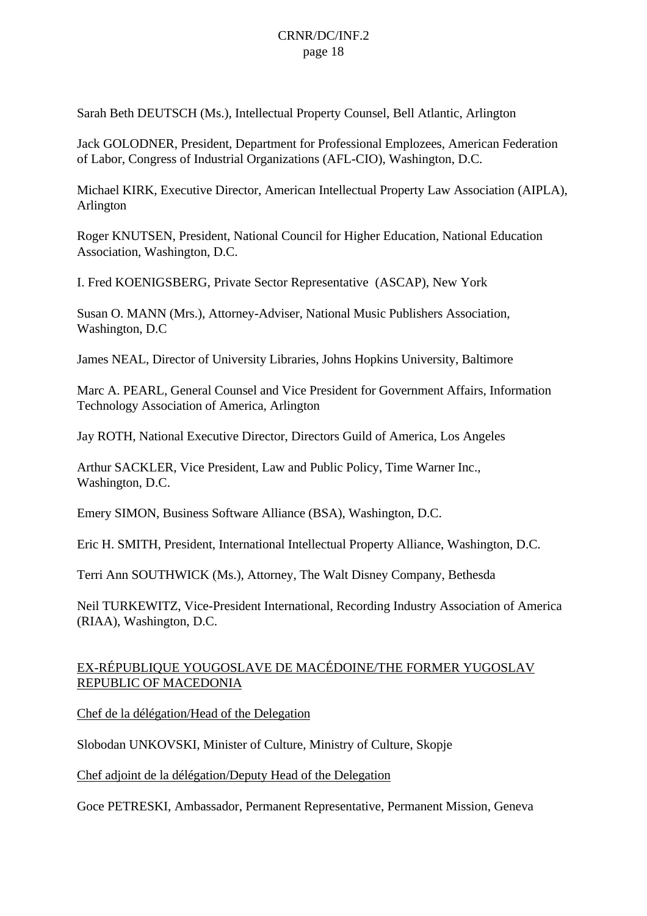Sarah Beth DEUTSCH (Ms.), Intellectual Property Counsel, Bell Atlantic, Arlington

Jack GOLODNER, President, Department for Professional Emplozees, American Federation of Labor, Congress of Industrial Organizations (AFL-CIO), Washington, D.C.

Michael KIRK, Executive Director, American Intellectual Property Law Association (AIPLA), Arlington

Roger KNUTSEN, President, National Council for Higher Education, National Education Association, Washington, D.C.

I. Fred KOENIGSBERG, Private Sector Representative (ASCAP), New York

Susan O. MANN (Mrs.), Attorney-Adviser, National Music Publishers Association, Washington, D.C

James NEAL, Director of University Libraries, Johns Hopkins University, Baltimore

Marc A. PEARL, General Counsel and Vice President for Government Affairs, Information Technology Association of America, Arlington

Jay ROTH, National Executive Director, Directors Guild of America, Los Angeles

Arthur SACKLER, Vice President, Law and Public Policy, Time Warner Inc., Washington, D.C.

Emery SIMON, Business Software Alliance (BSA), Washington, D.C.

Eric H. SMITH, President, International Intellectual Property Alliance, Washington, D.C.

Terri Ann SOUTHWICK (Ms.), Attorney, The Walt Disney Company, Bethesda

Neil TURKEWITZ, Vice-President International, Recording Industry Association of America (RIAA), Washington, D.C.

### EX-RÉPUBLIQUE YOUGOSLAVE DE MACÉDOINE/THE FORMER YUGOSLAV REPUBLIC OF MACEDONIA

Chef de la délégation/Head of the Delegation

Slobodan UNKOVSKI, Minister of Culture, Ministry of Culture, Skopje

Chef adjoint de la délégation/Deputy Head of the Delegation

Goce PETRESKI, Ambassador, Permanent Representative, Permanent Mission, Geneva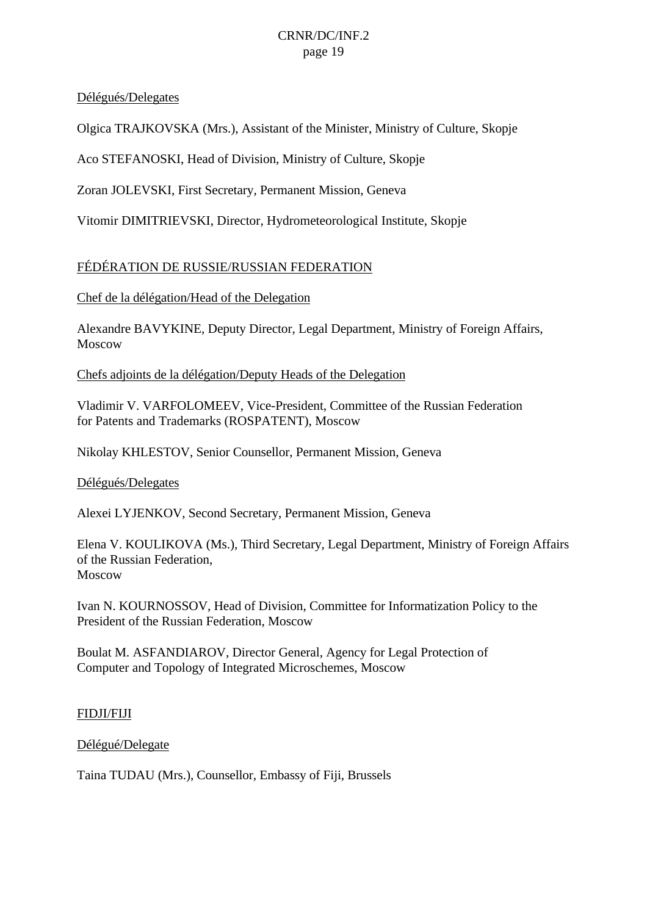### Délégués/Delegates

Olgica TRAJKOVSKA (Mrs.), Assistant of the Minister, Ministry of Culture, Skopje

Aco STEFANOSKI, Head of Division, Ministry of Culture, Skopje

Zoran JOLEVSKI, First Secretary, Permanent Mission, Geneva

Vitomir DIMITRIEVSKI, Director, Hydrometeorological Institute, Skopje

### FÉDÉRATION DE RUSSIE/RUSSIAN FEDERATION

### Chef de la délégation/Head of the Delegation

Alexandre BAVYKINE, Deputy Director, Legal Department, Ministry of Foreign Affairs, Moscow

Chefs adjoints de la délégation/Deputy Heads of the Delegation

Vladimir V. VARFOLOMEEV, Vice-President, Committee of the Russian Federation for Patents and Trademarks (ROSPATENT), Moscow

Nikolay KHLESTOV, Senior Counsellor, Permanent Mission, Geneva

#### Délégués/Delegates

Alexei LYJENKOV, Second Secretary, Permanent Mission, Geneva

Elena V. KOULIKOVA (Ms.), Third Secretary, Legal Department, Ministry of Foreign Affairs of the Russian Federation, Moscow

Ivan N. KOURNOSSOV, Head of Division, Committee for Informatization Policy to the President of the Russian Federation, Moscow

Boulat M. ASFANDIAROV, Director General, Agency for Legal Protection of Computer and Topology of Integrated Microschemes, Moscow

### FIDJI/FIJI

### Délégué/Delegate

Taina TUDAU (Mrs.), Counsellor, Embassy of Fiji, Brussels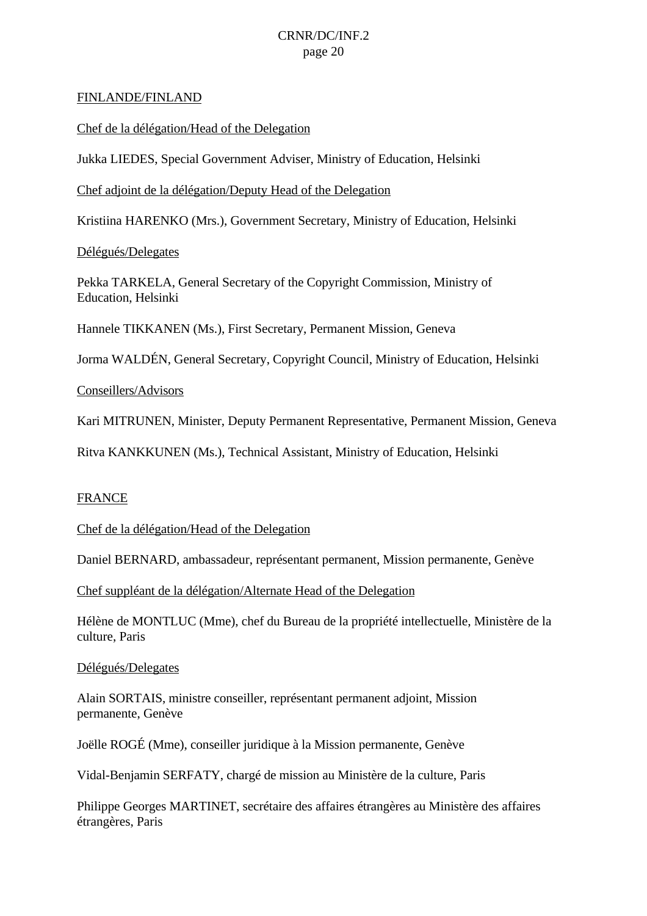#### FINLANDE/FINLAND

Chef de la délégation/Head of the Delegation

Jukka LIEDES, Special Government Adviser, Ministry of Education, Helsinki

Chef adjoint de la délégation/Deputy Head of the Delegation

Kristiina HARENKO (Mrs.), Government Secretary, Ministry of Education, Helsinki

Délégués/Delegates

Pekka TARKELA, General Secretary of the Copyright Commission, Ministry of Education, Helsinki

Hannele TIKKANEN (Ms.), First Secretary, Permanent Mission, Geneva

Jorma WALDÉN, General Secretary, Copyright Council, Ministry of Education, Helsinki

Conseillers/Advisors

Kari MITRUNEN, Minister, Deputy Permanent Representative, Permanent Mission, Geneva

Ritva KANKKUNEN (Ms.), Technical Assistant, Ministry of Education, Helsinki

#### FRANCE

Chef de la délégation/Head of the Delegation

Daniel BERNARD, ambassadeur, représentant permanent, Mission permanente, Genève

Chef suppléant de la délégation/Alternate Head of the Delegation

Hélène de MONTLUC (Mme), chef du Bureau de la propriété intellectuelle, Ministère de la culture, Paris

#### Délégués/Delegates

Alain SORTAIS, ministre conseiller, représentant permanent adjoint, Mission permanente, Genève

Joëlle ROGÉ (Mme), conseiller juridique à la Mission permanente, Genève

Vidal-Benjamin SERFATY, chargé de mission au Ministère de la culture, Paris

Philippe Georges MARTINET, secrétaire des affaires étrangères au Ministère des affaires étrangères, Paris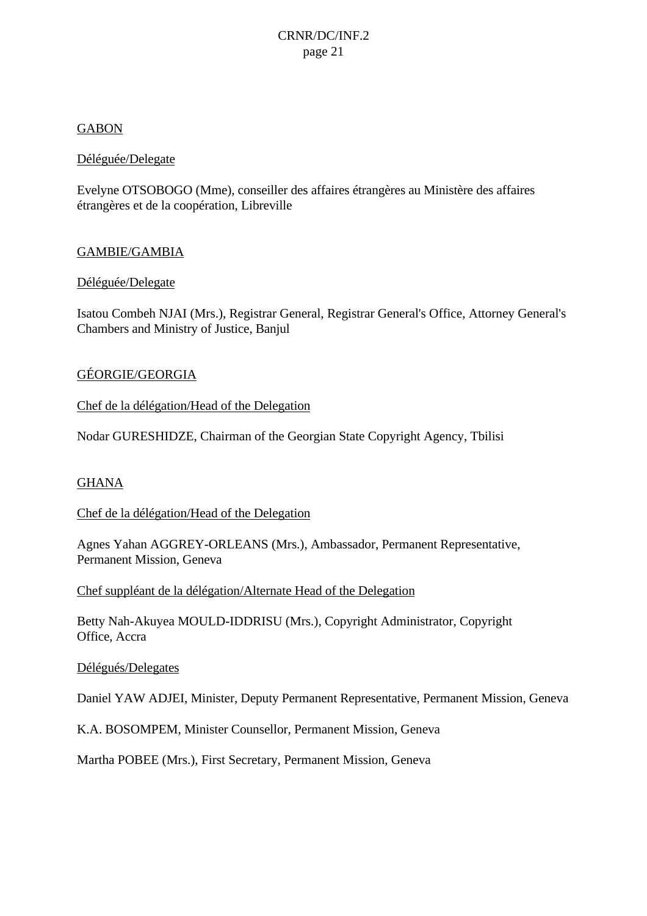### GABON

### Déléguée/Delegate

Evelyne OTSOBOGO (Mme), conseiller des affaires étrangères au Ministère des affaires étrangères et de la coopération, Libreville

### GAMBIE/GAMBIA

### Déléguée/Delegate

Isatou Combeh NJAI (Mrs.), Registrar General, Registrar General's Office, Attorney General's Chambers and Ministry of Justice, Banjul

### GÉORGIE/GEORGIA

Chef de la délégation/Head of the Delegation

Nodar GURESHIDZE, Chairman of the Georgian State Copyright Agency, Tbilisi

#### GHANA

#### Chef de la délégation/Head of the Delegation

Agnes Yahan AGGREY-ORLEANS (Mrs.), Ambassador, Permanent Representative, Permanent Mission, Geneva

Chef suppléant de la délégation/Alternate Head of the Delegation

Betty Nah-Akuyea MOULD-IDDRISU (Mrs.), Copyright Administrator, Copyright Office, Accra

#### Délégués/Delegates

Daniel YAW ADJEI, Minister, Deputy Permanent Representative, Permanent Mission, Geneva

K.A. BOSOMPEM, Minister Counsellor, Permanent Mission, Geneva

Martha POBEE (Mrs.), First Secretary, Permanent Mission, Geneva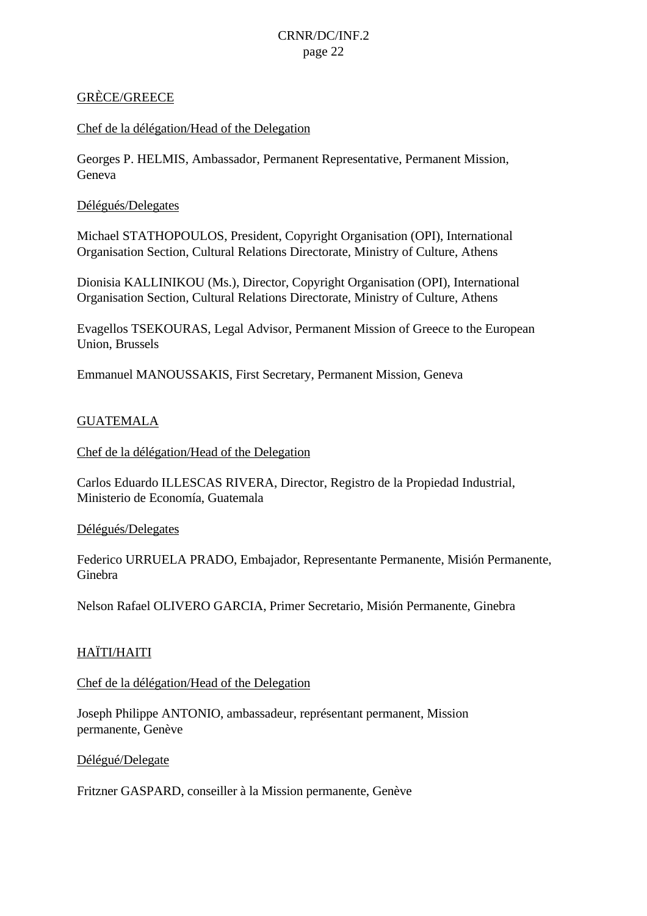### GRÈCE/GREECE

### Chef de la délégation/Head of the Delegation

Georges P. HELMIS, Ambassador, Permanent Representative, Permanent Mission, Geneva

### Délégués/Delegates

Michael STATHOPOULOS, President, Copyright Organisation (OPI), International Organisation Section, Cultural Relations Directorate, Ministry of Culture, Athens

Dionisia KALLINIKOU (Ms.), Director, Copyright Organisation (OPI), International Organisation Section, Cultural Relations Directorate, Ministry of Culture, Athens

Evagellos TSEKOURAS, Legal Advisor, Permanent Mission of Greece to the European Union, Brussels

Emmanuel MANOUSSAKIS, First Secretary, Permanent Mission, Geneva

### **GUATEMALA**

Chef de la délégation/Head of the Delegation

Carlos Eduardo ILLESCAS RIVERA, Director, Registro de la Propiedad Industrial, Ministerio de Economía, Guatemala

#### Délégués/Delegates

Federico URRUELA PRADO, Embajador, Representante Permanente, Misión Permanente, Ginebra

Nelson Rafael OLIVERO GARCIA, Primer Secretario, Misión Permanente, Ginebra

### HAÏTI/HAITI

#### Chef de la délégation/Head of the Delegation

Joseph Philippe ANTONIO, ambassadeur, représentant permanent, Mission permanente, Genève

Délégué/Delegate

Fritzner GASPARD, conseiller à la Mission permanente, Genève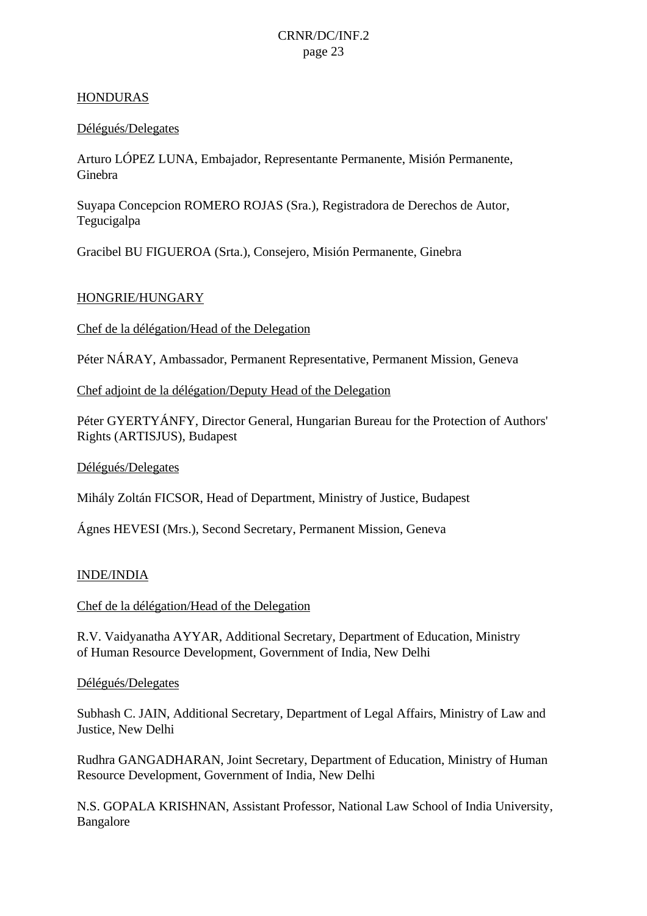### HONDURAS

### Délégués/Delegates

Arturo LÓPEZ LUNA, Embajador, Representante Permanente, Misión Permanente, Ginebra

Suyapa Concepcion ROMERO ROJAS (Sra.), Registradora de Derechos de Autor, Tegucigalpa

Gracibel BU FIGUEROA (Srta.), Consejero, Misión Permanente, Ginebra

### HONGRIE/HUNGARY

Chef de la délégation/Head of the Delegation

Péter NÁRAY, Ambassador, Permanent Representative, Permanent Mission, Geneva

Chef adjoint de la délégation/Deputy Head of the Delegation

Péter GYERTYÁNFY, Director General, Hungarian Bureau for the Protection of Authors' Rights (ARTISJUS), Budapest

#### Délégués/Delegates

Mihály Zoltán FICSOR, Head of Department, Ministry of Justice, Budapest

Ágnes HEVESI (Mrs.), Second Secretary, Permanent Mission, Geneva

#### INDE/INDIA

Chef de la délégation/Head of the Delegation

R.V. Vaidyanatha AYYAR, Additional Secretary, Department of Education, Ministry of Human Resource Development, Government of India, New Delhi

#### Délégués/Delegates

Subhash C. JAIN, Additional Secretary, Department of Legal Affairs, Ministry of Law and Justice, New Delhi

Rudhra GANGADHARAN, Joint Secretary, Department of Education, Ministry of Human Resource Development, Government of India, New Delhi

N.S. GOPALA KRISHNAN, Assistant Professor, National Law School of India University, Bangalore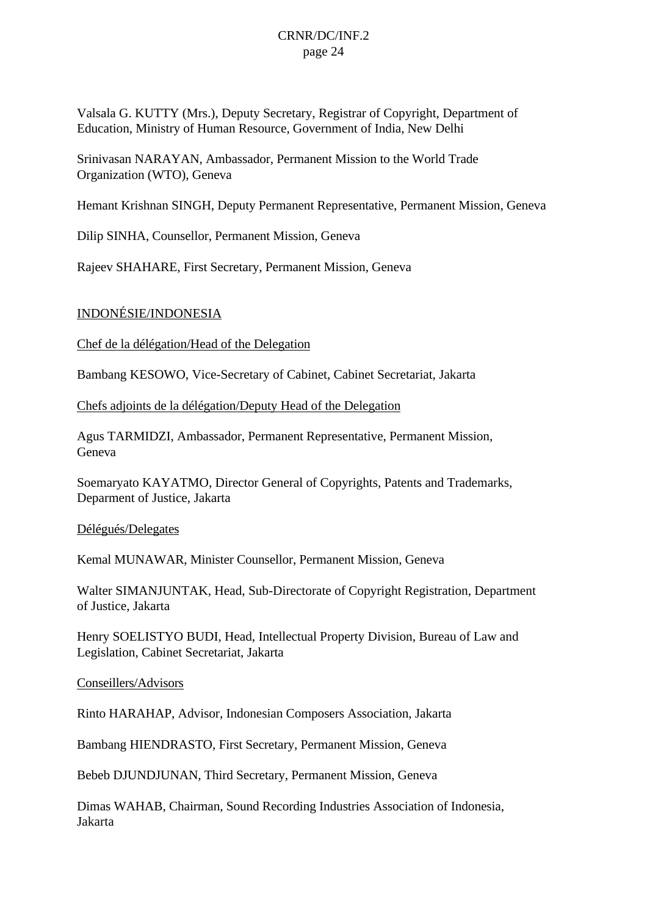Valsala G. KUTTY (Mrs.), Deputy Secretary, Registrar of Copyright, Department of Education, Ministry of Human Resource, Government of India, New Delhi

Srinivasan NARAYAN, Ambassador, Permanent Mission to the World Trade Organization (WTO), Geneva

Hemant Krishnan SINGH, Deputy Permanent Representative, Permanent Mission, Geneva

Dilip SINHA, Counsellor, Permanent Mission, Geneva

Rajeev SHAHARE, First Secretary, Permanent Mission, Geneva

### INDONÉSIE/INDONESIA

Chef de la délégation/Head of the Delegation

Bambang KESOWO, Vice-Secretary of Cabinet, Cabinet Secretariat, Jakarta

Chefs adjoints de la délégation/Deputy Head of the Delegation

Agus TARMIDZI, Ambassador, Permanent Representative, Permanent Mission, Geneva

Soemaryato KAYATMO, Director General of Copyrights, Patents and Trademarks, Deparment of Justice, Jakarta

Délégués/Delegates

Kemal MUNAWAR, Minister Counsellor, Permanent Mission, Geneva

Walter SIMANJUNTAK, Head, Sub-Directorate of Copyright Registration, Department of Justice, Jakarta

Henry SOELISTYO BUDI, Head, Intellectual Property Division, Bureau of Law and Legislation, Cabinet Secretariat, Jakarta

Conseillers/Advisors

Rinto HARAHAP, Advisor, Indonesian Composers Association, Jakarta

Bambang HIENDRASTO, First Secretary, Permanent Mission, Geneva

Bebeb DJUNDJUNAN, Third Secretary, Permanent Mission, Geneva

Dimas WAHAB, Chairman, Sound Recording Industries Association of Indonesia, Jakarta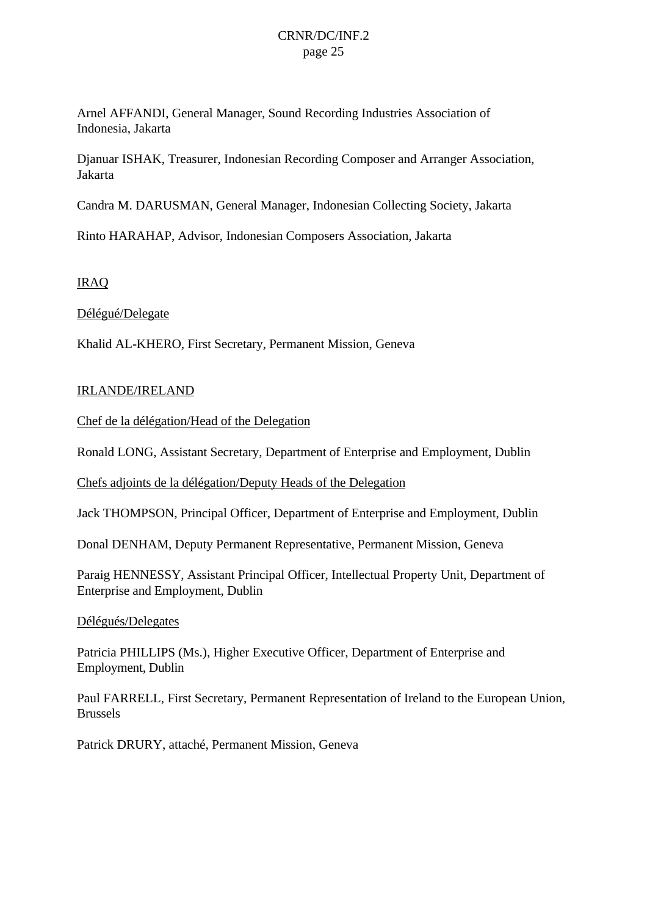Arnel AFFANDI, General Manager, Sound Recording Industries Association of Indonesia, Jakarta

Djanuar ISHAK, Treasurer, Indonesian Recording Composer and Arranger Association, Jakarta

Candra M. DARUSMAN, General Manager, Indonesian Collecting Society, Jakarta

Rinto HARAHAP, Advisor, Indonesian Composers Association, Jakarta

### IRAQ

### Délégué/Delegate

Khalid AL-KHERO, First Secretary, Permanent Mission, Geneva

#### IRLANDE/IRELAND

Chef de la délégation/Head of the Delegation

Ronald LONG, Assistant Secretary, Department of Enterprise and Employment, Dublin

Chefs adjoints de la délégation/Deputy Heads of the Delegation

Jack THOMPSON, Principal Officer, Department of Enterprise and Employment, Dublin

Donal DENHAM, Deputy Permanent Representative, Permanent Mission, Geneva

Paraig HENNESSY, Assistant Principal Officer, Intellectual Property Unit, Department of Enterprise and Employment, Dublin

#### Délégués/Delegates

Patricia PHILLIPS (Ms.), Higher Executive Officer, Department of Enterprise and Employment, Dublin

Paul FARRELL, First Secretary, Permanent Representation of Ireland to the European Union, Brussels

Patrick DRURY, attaché, Permanent Mission, Geneva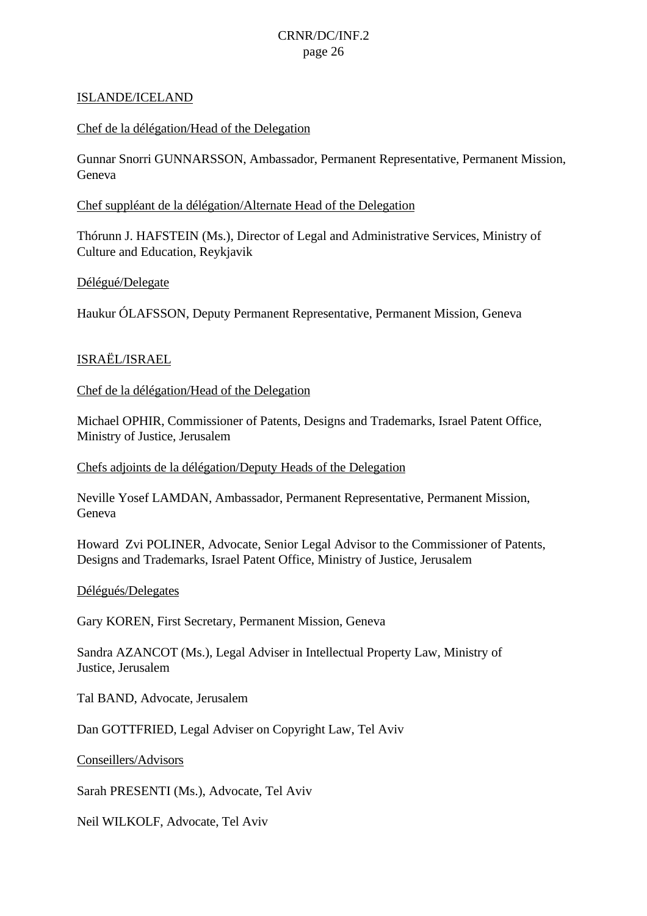#### ISLANDE/ICELAND

### Chef de la délégation/Head of the Delegation

Gunnar Snorri GUNNARSSON, Ambassador, Permanent Representative, Permanent Mission, Geneva

### Chef suppléant de la délégation/Alternate Head of the Delegation

Thórunn J. HAFSTEIN (Ms.), Director of Legal and Administrative Services, Ministry of Culture and Education, Reykjavik

### Délégué/Delegate

Haukur ÓLAFSSON, Deputy Permanent Representative, Permanent Mission, Geneva

### ISRAËL/ISRAEL

Chef de la délégation/Head of the Delegation

Michael OPHIR, Commissioner of Patents, Designs and Trademarks, Israel Patent Office, Ministry of Justice, Jerusalem

Chefs adjoints de la délégation/Deputy Heads of the Delegation

Neville Yosef LAMDAN, Ambassador, Permanent Representative, Permanent Mission, Geneva

Howard Zvi POLINER, Advocate, Senior Legal Advisor to the Commissioner of Patents, Designs and Trademarks, Israel Patent Office, Ministry of Justice, Jerusalem

#### Délégués/Delegates

Gary KOREN, First Secretary, Permanent Mission, Geneva

Sandra AZANCOT (Ms.), Legal Adviser in Intellectual Property Law, Ministry of Justice, Jerusalem

Tal BAND, Advocate, Jerusalem

Dan GOTTFRIED, Legal Adviser on Copyright Law, Tel Aviv

Conseillers/Advisors

Sarah PRESENTI (Ms.), Advocate, Tel Aviv

Neil WILKOLF, Advocate, Tel Aviv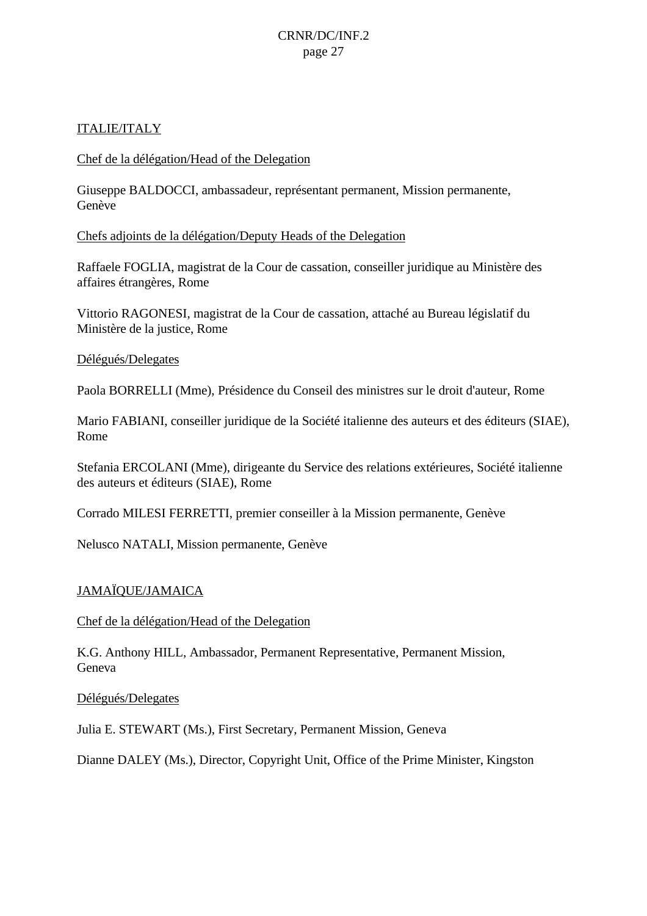### ITALIE/ITALY

#### Chef de la délégation/Head of the Delegation

Giuseppe BALDOCCI, ambassadeur, représentant permanent, Mission permanente, Genève

#### Chefs adjoints de la délégation/Deputy Heads of the Delegation

Raffaele FOGLIA, magistrat de la Cour de cassation, conseiller juridique au Ministère des affaires étrangères, Rome

Vittorio RAGONESI, magistrat de la Cour de cassation, attaché au Bureau législatif du Ministère de la justice, Rome

#### Délégués/Delegates

Paola BORRELLI (Mme), Présidence du Conseil des ministres sur le droit d'auteur, Rome

Mario FABIANI, conseiller juridique de la Société italienne des auteurs et des éditeurs (SIAE), Rome

Stefania ERCOLANI (Mme), dirigeante du Service des relations extérieures, Société italienne des auteurs et éditeurs (SIAE), Rome

Corrado MILESI FERRETTI, premier conseiller à la Mission permanente, Genève

Nelusco NATALI, Mission permanente, Genève

### JAMAÏQUE/JAMAICA

#### Chef de la délégation/Head of the Delegation

K.G. Anthony HILL, Ambassador, Permanent Representative, Permanent Mission, Geneva

#### Délégués/Delegates

Julia E. STEWART (Ms.), First Secretary, Permanent Mission, Geneva

Dianne DALEY (Ms.), Director, Copyright Unit, Office of the Prime Minister, Kingston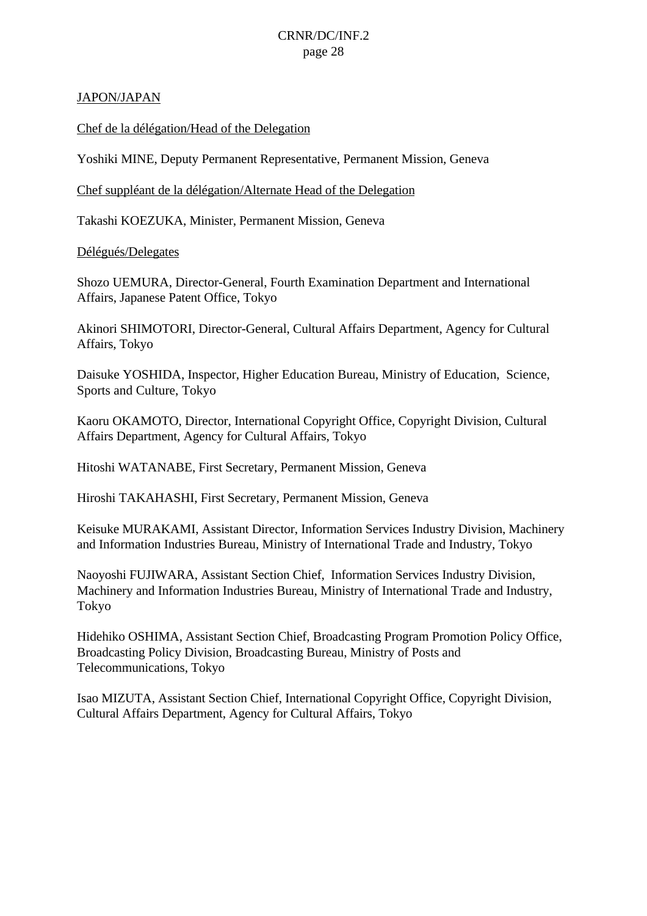### JAPON/JAPAN

Chef de la délégation/Head of the Delegation

Yoshiki MINE, Deputy Permanent Representative, Permanent Mission, Geneva

Chef suppléant de la délégation/Alternate Head of the Delegation

Takashi KOEZUKA, Minister, Permanent Mission, Geneva

### Délégués/Delegates

Shozo UEMURA, Director-General, Fourth Examination Department and International Affairs, Japanese Patent Office, Tokyo

Akinori SHIMOTORI, Director-General, Cultural Affairs Department, Agency for Cultural Affairs, Tokyo

Daisuke YOSHIDA, Inspector, Higher Education Bureau, Ministry of Education, Science, Sports and Culture, Tokyo

Kaoru OKAMOTO, Director, International Copyright Office, Copyright Division, Cultural Affairs Department, Agency for Cultural Affairs, Tokyo

Hitoshi WATANABE, First Secretary, Permanent Mission, Geneva

Hiroshi TAKAHASHI, First Secretary, Permanent Mission, Geneva

Keisuke MURAKAMI, Assistant Director, Information Services Industry Division, Machinery and Information Industries Bureau, Ministry of International Trade and Industry, Tokyo

Naoyoshi FUJIWARA, Assistant Section Chief, Information Services Industry Division, Machinery and Information Industries Bureau, Ministry of International Trade and Industry, Tokyo

Hidehiko OSHIMA, Assistant Section Chief, Broadcasting Program Promotion Policy Office, Broadcasting Policy Division, Broadcasting Bureau, Ministry of Posts and Telecommunications, Tokyo

Isao MIZUTA, Assistant Section Chief, International Copyright Office, Copyright Division, Cultural Affairs Department, Agency for Cultural Affairs, Tokyo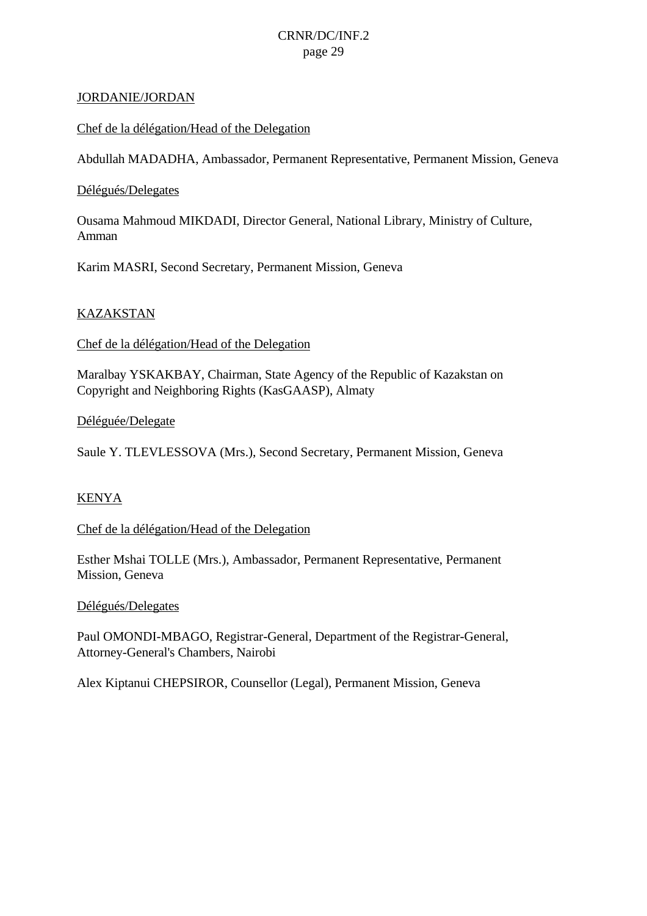#### JORDANIE/JORDAN

#### Chef de la délégation/Head of the Delegation

Abdullah MADADHA, Ambassador, Permanent Representative, Permanent Mission, Geneva

#### Délégués/Delegates

Ousama Mahmoud MIKDADI, Director General, National Library, Ministry of Culture, Amman

Karim MASRI, Second Secretary, Permanent Mission, Geneva

#### KAZAKSTAN

Chef de la délégation/Head of the Delegation

Maralbay YSKAKBAY, Chairman, State Agency of the Republic of Kazakstan on Copyright and Neighboring Rights (KasGAASP), Almaty

#### Déléguée/Delegate

Saule Y. TLEVLESSOVA (Mrs.), Second Secretary, Permanent Mission, Geneva

#### KENYA

Chef de la délégation/Head of the Delegation

Esther Mshai TOLLE (Mrs.), Ambassador, Permanent Representative, Permanent Mission, Geneva

Délégués/Delegates

Paul OMONDI-MBAGO, Registrar-General, Department of the Registrar-General, Attorney-General's Chambers, Nairobi

Alex Kiptanui CHEPSIROR, Counsellor (Legal), Permanent Mission, Geneva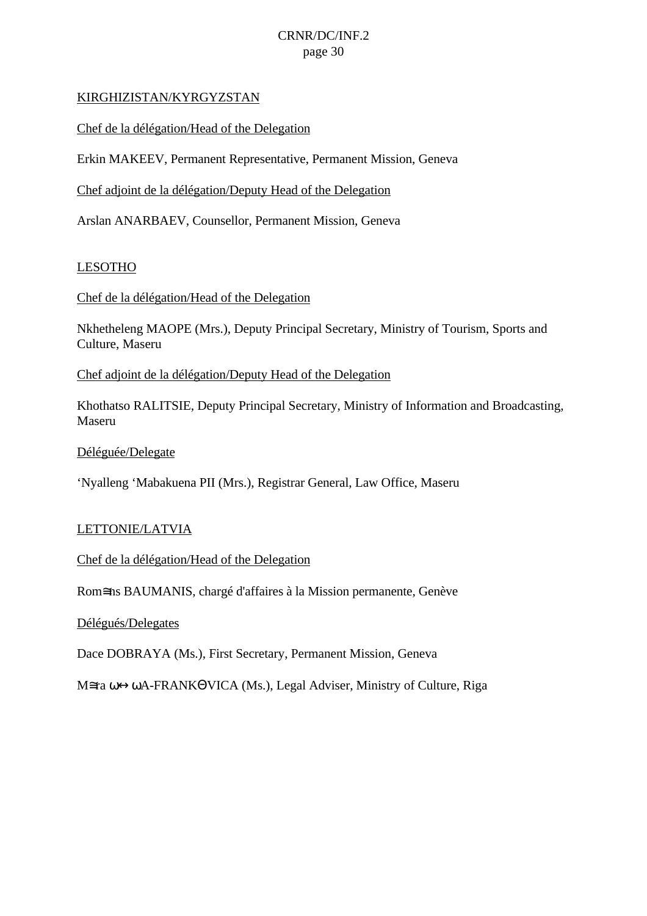### KIRGHIZISTAN/KYRGYZSTAN

Chef de la délégation/Head of the Delegation

Erkin MAKEEV, Permanent Representative, Permanent Mission, Geneva

Chef adjoint de la délégation/Deputy Head of the Delegation

Arslan ANARBAEV, Counsellor, Permanent Mission, Geneva

#### LESOTHO

Chef de la délégation/Head of the Delegation

Nkhetheleng MAOPE (Mrs.), Deputy Principal Secretary, Ministry of Tourism, Sports and Culture, Maseru

Chef adjoint de la délégation/Deputy Head of the Delegation

Khothatso RALITSIE, Deputy Principal Secretary, Ministry of Information and Broadcasting, Maseru

Déléguée/Delegate

'Nyalleng 'Mabakuena PII (Mrs.), Registrar General, Law Office, Maseru

#### LETTONIE/LATVIA

Chef de la délégation/Head of the Delegation

Rom≅ns BAUMANIS, chargé d'affaires à la Mission permanente, Genève

Délégués/Delegates

Dace DOBRAYA (Ms.), First Secretary, Permanent Mission, Geneva

M≅ra ω↔ωA-FRANKΘVICA (Ms.), Legal Adviser, Ministry of Culture, Riga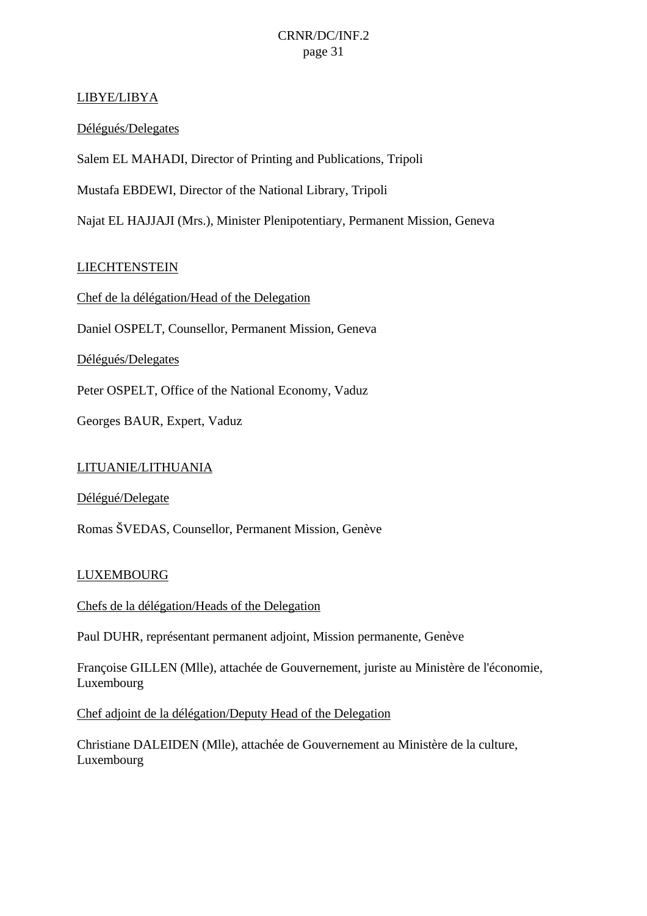### LIBYE/LIBYA

### Délégués/Delegates

Salem EL MAHADI, Director of Printing and Publications, Tripoli

Mustafa EBDEWI, Director of the National Library, Tripoli

Najat EL HAJJAJI (Mrs.), Minister Plenipotentiary, Permanent Mission, Geneva

### **LIECHTENSTEIN**

Chef de la délégation/Head of the Delegation

Daniel OSPELT, Counsellor, Permanent Mission, Geneva

Délégués/Delegates

Peter OSPELT, Office of the National Economy, Vaduz

Georges BAUR, Expert, Vaduz

#### LITUANIE/LITHUANIA

Délégué/Delegate

Romas ŠVEDAS, Counsellor, Permanent Mission, Genève

#### LUXEMBOURG

Chefs de la délégation/Heads of the Delegation

Paul DUHR, représentant permanent adjoint, Mission permanente, Genève

Françoise GILLEN (Mlle), attachée de Gouvernement, juriste au Ministère de l'économie, Luxembourg

Chef adjoint de la délégation/Deputy Head of the Delegation

Christiane DALEIDEN (Mlle), attachée de Gouvernement au Ministère de la culture, Luxembourg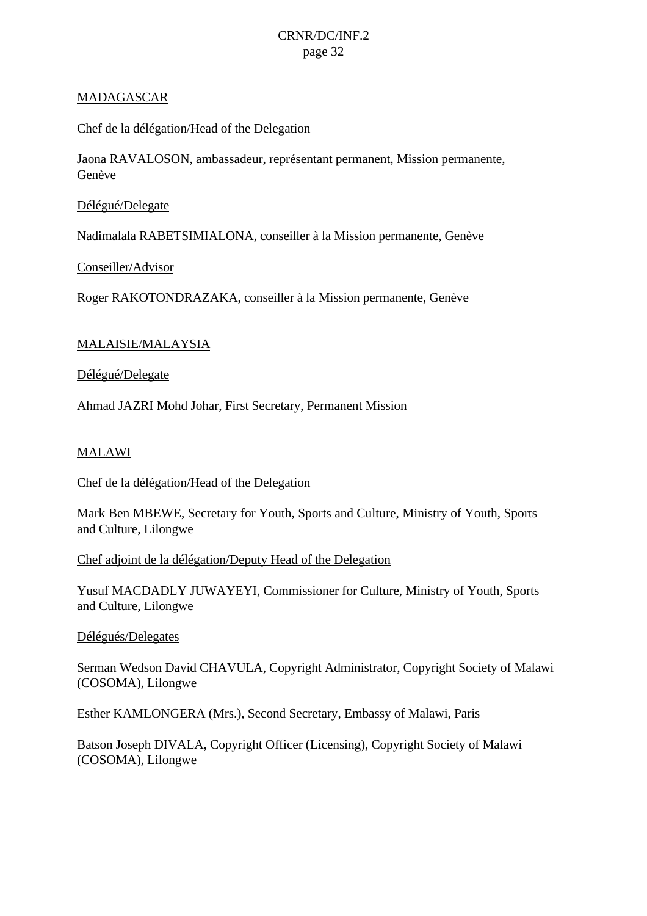### MADAGASCAR

### Chef de la délégation/Head of the Delegation

Jaona RAVALOSON, ambassadeur, représentant permanent, Mission permanente, Genève

### Délégué/Delegate

Nadimalala RABETSIMIALONA, conseiller à la Mission permanente, Genève

### Conseiller/Advisor

Roger RAKOTONDRAZAKA, conseiller à la Mission permanente, Genève

### MALAISIE/MALAYSIA

Délégué/Delegate

Ahmad JAZRI Mohd Johar, First Secretary, Permanent Mission

### MALAWI

#### Chef de la délégation/Head of the Delegation

Mark Ben MBEWE, Secretary for Youth, Sports and Culture, Ministry of Youth, Sports and Culture, Lilongwe

#### Chef adjoint de la délégation/Deputy Head of the Delegation

Yusuf MACDADLY JUWAYEYI, Commissioner for Culture, Ministry of Youth, Sports and Culture, Lilongwe

#### Délégués/Delegates

Serman Wedson David CHAVULA, Copyright Administrator, Copyright Society of Malawi (COSOMA), Lilongwe

Esther KAMLONGERA (Mrs.), Second Secretary, Embassy of Malawi, Paris

Batson Joseph DIVALA, Copyright Officer (Licensing), Copyright Society of Malawi (COSOMA), Lilongwe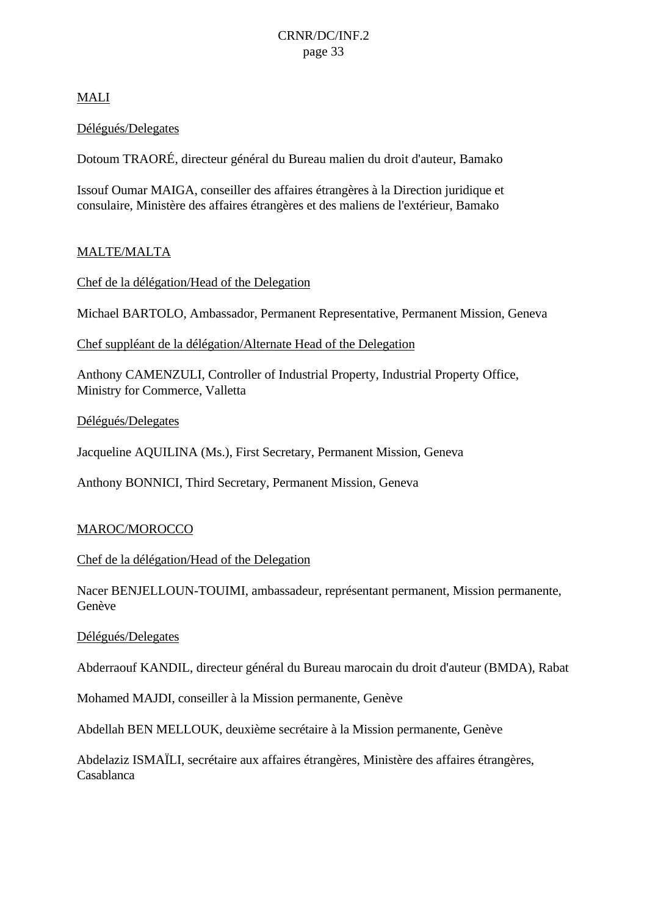### MALI

### Délégués/Delegates

Dotoum TRAORÉ, directeur général du Bureau malien du droit d'auteur, Bamako

Issouf Oumar MAIGA, conseiller des affaires étrangères à la Direction juridique et consulaire, Ministère des affaires étrangères et des maliens de l'extérieur, Bamako

### MALTE/MALTA

Chef de la délégation/Head of the Delegation

Michael BARTOLO, Ambassador, Permanent Representative, Permanent Mission, Geneva

Chef suppléant de la délégation/Alternate Head of the Delegation

Anthony CAMENZULI, Controller of Industrial Property, Industrial Property Office, Ministry for Commerce, Valletta

Délégués/Delegates

Jacqueline AQUILINA (Ms.), First Secretary, Permanent Mission, Geneva

Anthony BONNICI, Third Secretary, Permanent Mission, Geneva

### MAROC/MOROCCO

Chef de la délégation/Head of the Delegation

Nacer BENJELLOUN-TOUIMI, ambassadeur, représentant permanent, Mission permanente, Genève

#### Délégués/Delegates

Abderraouf KANDIL, directeur général du Bureau marocain du droit d'auteur (BMDA), Rabat

Mohamed MAJDI, conseiller à la Mission permanente, Genève

Abdellah BEN MELLOUK, deuxième secrétaire à la Mission permanente, Genève

Abdelaziz ISMAÏLI, secrétaire aux affaires étrangères, Ministère des affaires étrangères, Casablanca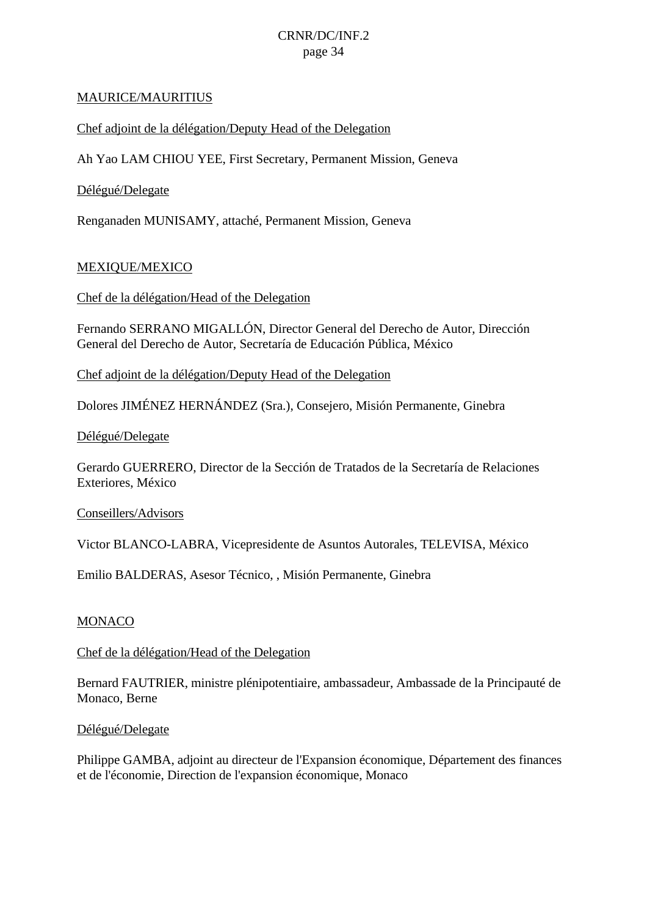#### MAURICE/MAURITIUS

#### Chef adjoint de la délégation/Deputy Head of the Delegation

Ah Yao LAM CHIOU YEE, First Secretary, Permanent Mission, Geneva

#### Délégué/Delegate

Renganaden MUNISAMY, attaché, Permanent Mission, Geneva

#### MEXIQUE/MEXICO

Chef de la délégation/Head of the Delegation

Fernando SERRANO MIGALLÓN, Director General del Derecho de Autor, Dirección General del Derecho de Autor, Secretaría de Educación Pública, México

Chef adjoint de la délégation/Deputy Head of the Delegation

Dolores JIMÉNEZ HERNÁNDEZ (Sra.), Consejero, Misión Permanente, Ginebra

#### Délégué/Delegate

Gerardo GUERRERO, Director de la Sección de Tratados de la Secretaría de Relaciones Exteriores, México

Conseillers/Advisors

Victor BLANCO-LABRA, Vicepresidente de Asuntos Autorales, TELEVISA, México

Emilio BALDERAS, Asesor Técnico, , Misión Permanente, Ginebra

#### MONACO

#### Chef de la délégation/Head of the Delegation

Bernard FAUTRIER, ministre plénipotentiaire, ambassadeur, Ambassade de la Principauté de Monaco, Berne

#### Délégué/Delegate

Philippe GAMBA, adjoint au directeur de l'Expansion économique, Département des finances et de l'économie, Direction de l'expansion économique, Monaco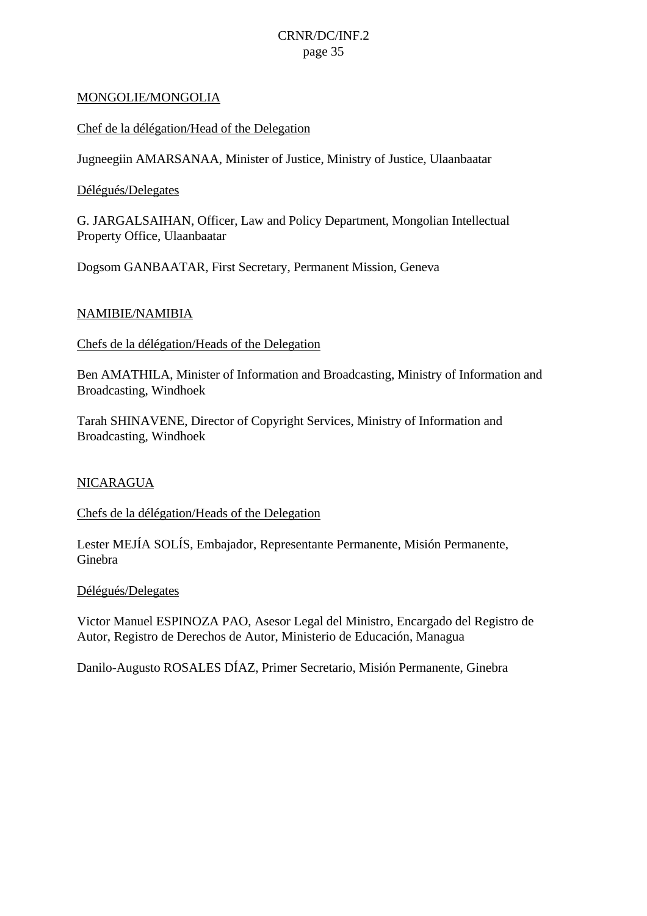### MONGOLIE/MONGOLIA

### Chef de la délégation/Head of the Delegation

Jugneegiin AMARSANAA, Minister of Justice, Ministry of Justice, Ulaanbaatar

### Délégués/Delegates

G. JARGALSAIHAN, Officer, Law and Policy Department, Mongolian Intellectual Property Office, Ulaanbaatar

Dogsom GANBAATAR, First Secretary, Permanent Mission, Geneva

### NAMIBIE/NAMIBIA

Chefs de la délégation/Heads of the Delegation

Ben AMATHILA, Minister of Information and Broadcasting, Ministry of Information and Broadcasting, Windhoek

Tarah SHINAVENE, Director of Copyright Services, Ministry of Information and Broadcasting, Windhoek

#### NICARAGUA

### Chefs de la délégation/Heads of the Delegation

Lester MEJÍA SOLÍS, Embajador, Representante Permanente, Misión Permanente, Ginebra

#### Délégués/Delegates

Victor Manuel ESPINOZA PAO, Asesor Legal del Ministro, Encargado del Registro de Autor, Registro de Derechos de Autor, Ministerio de Educación, Managua

Danilo-Augusto ROSALES DÍAZ, Primer Secretario, Misión Permanente, Ginebra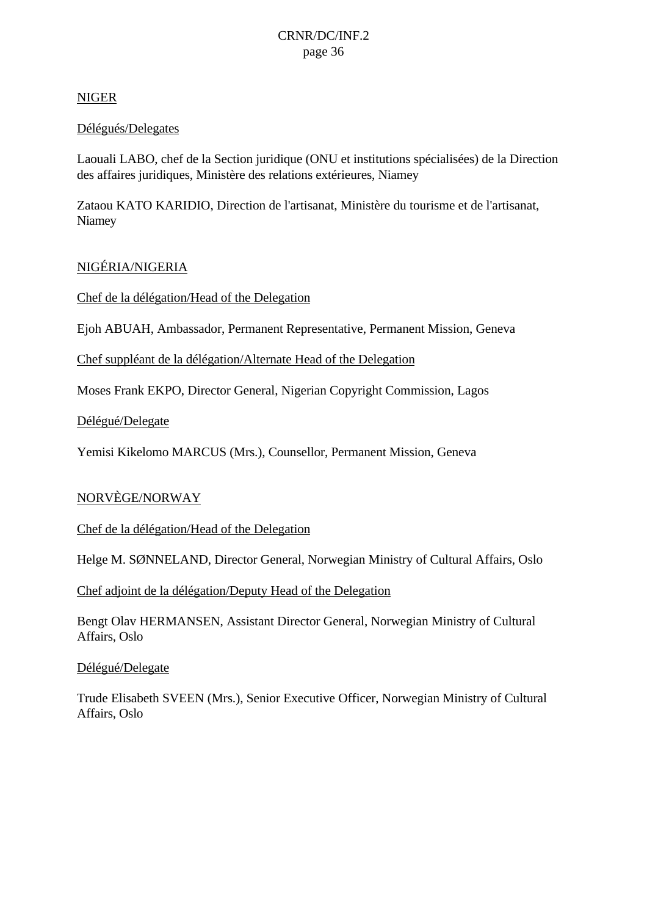### NIGER

### Délégués/Delegates

Laouali LABO, chef de la Section juridique (ONU et institutions spécialisées) de la Direction des affaires juridiques, Ministère des relations extérieures, Niamey

Zataou KATO KARIDIO, Direction de l'artisanat, Ministère du tourisme et de l'artisanat, Niamey

### NIGÉRIA/NIGERIA

Chef de la délégation/Head of the Delegation

Ejoh ABUAH, Ambassador, Permanent Representative, Permanent Mission, Geneva

Chef suppléant de la délégation/Alternate Head of the Delegation

Moses Frank EKPO, Director General, Nigerian Copyright Commission, Lagos

Délégué/Delegate

Yemisi Kikelomo MARCUS (Mrs.), Counsellor, Permanent Mission, Geneva

### NORVÈGE/NORWAY

Chef de la délégation/Head of the Delegation

Helge M. SØNNELAND, Director General, Norwegian Ministry of Cultural Affairs, Oslo

Chef adjoint de la délégation/Deputy Head of the Delegation

Bengt Olav HERMANSEN, Assistant Director General, Norwegian Ministry of Cultural Affairs, Oslo

Délégué/Delegate

Trude Elisabeth SVEEN (Mrs.), Senior Executive Officer, Norwegian Ministry of Cultural Affairs, Oslo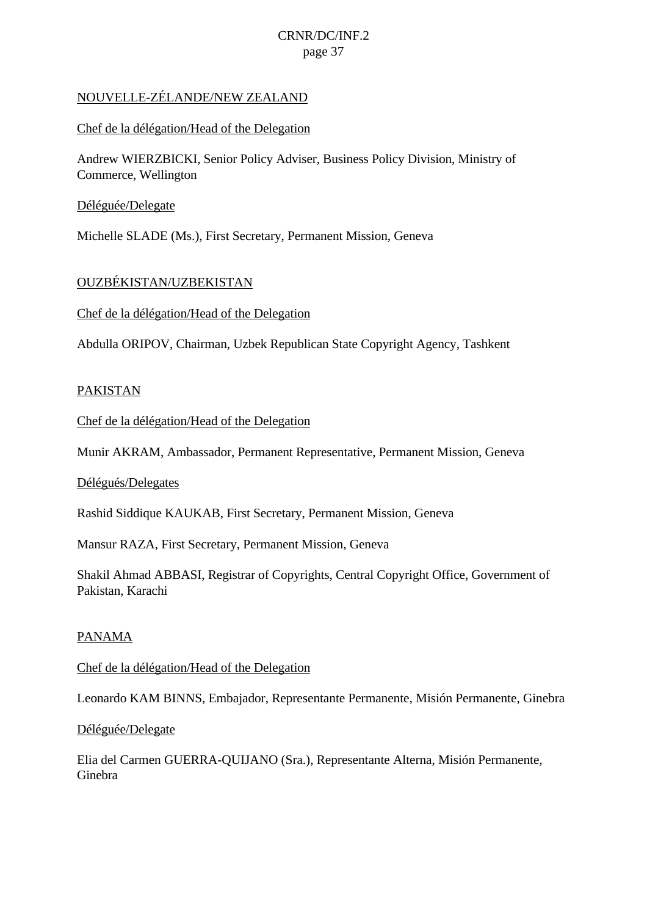### NOUVELLE-ZÉLANDE/NEW ZEALAND

### Chef de la délégation/Head of the Delegation

Andrew WIERZBICKI, Senior Policy Adviser, Business Policy Division, Ministry of Commerce, Wellington

### Déléguée/Delegate

Michelle SLADE (Ms.), First Secretary, Permanent Mission, Geneva

### OUZBÉKISTAN/UZBEKISTAN

Chef de la délégation/Head of the Delegation

Abdulla ORIPOV, Chairman, Uzbek Republican State Copyright Agency, Tashkent

### PAKISTAN

Chef de la délégation/Head of the Delegation

Munir AKRAM, Ambassador, Permanent Representative, Permanent Mission, Geneva

#### Délégués/Delegates

Rashid Siddique KAUKAB, First Secretary, Permanent Mission, Geneva

Mansur RAZA, First Secretary, Permanent Mission, Geneva

Shakil Ahmad ABBASI, Registrar of Copyrights, Central Copyright Office, Government of Pakistan, Karachi

#### **PANAMA**

Chef de la délégation/Head of the Delegation

Leonardo KAM BINNS, Embajador, Representante Permanente, Misión Permanente, Ginebra

#### Déléguée/Delegate

Elia del Carmen GUERRA-QUIJANO (Sra.), Representante Alterna, Misión Permanente, Ginebra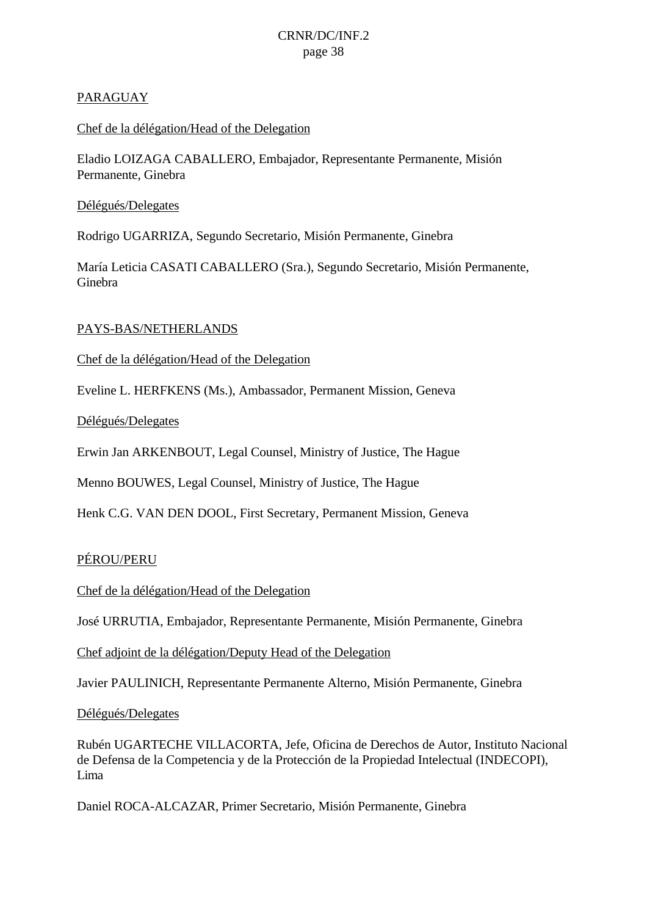### PARAGUAY

### Chef de la délégation/Head of the Delegation

Eladio LOIZAGA CABALLERO, Embajador, Representante Permanente, Misión Permanente, Ginebra

### Délégués/Delegates

Rodrigo UGARRIZA, Segundo Secretario, Misión Permanente, Ginebra

María Leticia CASATI CABALLERO (Sra.), Segundo Secretario, Misión Permanente, Ginebra

### PAYS-BAS/NETHERLANDS

Chef de la délégation/Head of the Delegation

Eveline L. HERFKENS (Ms.), Ambassador, Permanent Mission, Geneva

Délégués/Delegates

Erwin Jan ARKENBOUT, Legal Counsel, Ministry of Justice, The Hague

Menno BOUWES, Legal Counsel, Ministry of Justice, The Hague

Henk C.G. VAN DEN DOOL, First Secretary, Permanent Mission, Geneva

### PÉROU/PERU

Chef de la délégation/Head of the Delegation

José URRUTIA, Embajador, Representante Permanente, Misión Permanente, Ginebra

Chef adjoint de la délégation/Deputy Head of the Delegation

Javier PAULINICH, Representante Permanente Alterno, Misión Permanente, Ginebra

Délégués/Delegates

Rubén UGARTECHE VILLACORTA, Jefe, Oficina de Derechos de Autor, Instituto Nacional de Defensa de la Competencia y de la Protección de la Propiedad Intelectual (INDECOPI), Lima

Daniel ROCA-ALCAZAR, Primer Secretario, Misión Permanente, Ginebra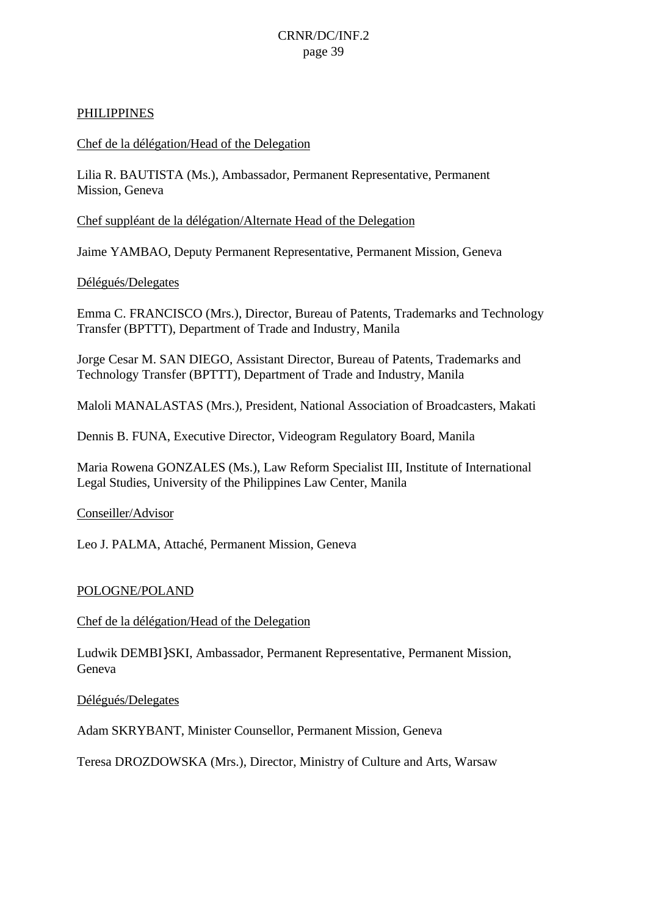#### PHILIPPINES

#### Chef de la délégation/Head of the Delegation

Lilia R. BAUTISTA (Ms.), Ambassador, Permanent Representative, Permanent Mission, Geneva

Chef suppléant de la délégation/Alternate Head of the Delegation

Jaime YAMBAO, Deputy Permanent Representative, Permanent Mission, Geneva

#### Délégués/Delegates

Emma C. FRANCISCO (Mrs.), Director, Bureau of Patents, Trademarks and Technology Transfer (BPTTT), Department of Trade and Industry, Manila

Jorge Cesar M. SAN DIEGO, Assistant Director, Bureau of Patents, Trademarks and Technology Transfer (BPTTT), Department of Trade and Industry, Manila

Maloli MANALASTAS (Mrs.), President, National Association of Broadcasters, Makati

Dennis B. FUNA, Executive Director, Videogram Regulatory Board, Manila

Maria Rowena GONZALES (Ms.), Law Reform Specialist III, Institute of International Legal Studies, University of the Philippines Law Center, Manila

#### Conseiller/Advisor

Leo J. PALMA, Attaché, Permanent Mission, Geneva

#### POLOGNE/POLAND

Chef de la délégation/Head of the Delegation

Ludwik DEMBI}SKI, Ambassador, Permanent Representative, Permanent Mission, Geneva

Délégués/Delegates

Adam SKRYBANT, Minister Counsellor, Permanent Mission, Geneva

Teresa DROZDOWSKA (Mrs.), Director, Ministry of Culture and Arts, Warsaw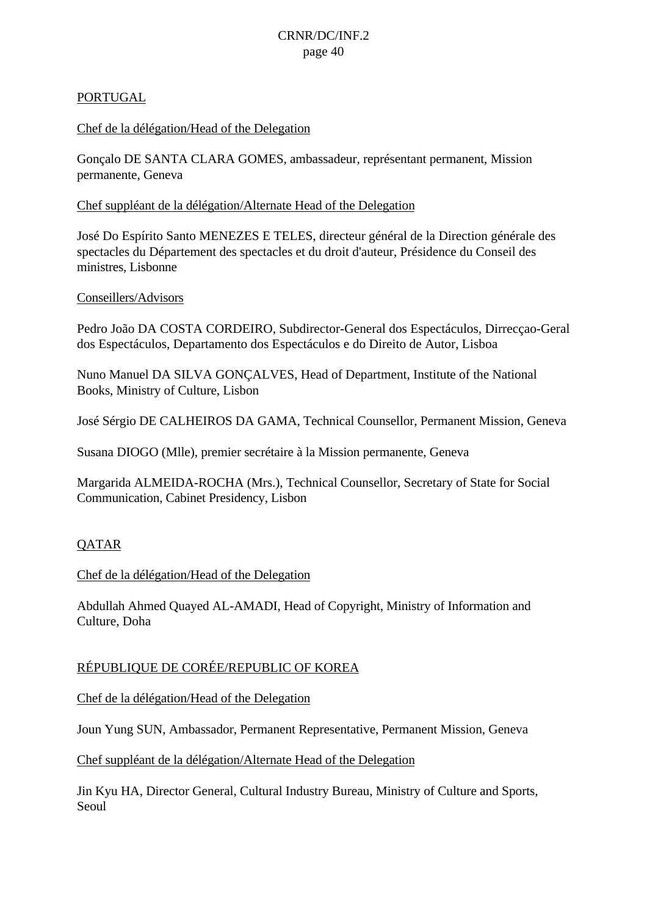### PORTUGAL

### Chef de la délégation/Head of the Delegation

Gonçalo DE SANTA CLARA GOMES, ambassadeur, représentant permanent, Mission permanente, Geneva

### Chef suppléant de la délégation/Alternate Head of the Delegation

José Do Espírito Santo MENEZES E TELES, directeur général de la Direction générale des spectacles du Département des spectacles et du droit d'auteur, Présidence du Conseil des ministres, Lisbonne

### Conseillers/Advisors

Pedro João DA COSTA CORDEIRO, Subdirector-General dos Espectáculos, Dirrecçao-Geral dos Espectáculos, Departamento dos Espectáculos e do Direito de Autor, Lisboa

Nuno Manuel DA SILVA GONÇALVES, Head of Department, Institute of the National Books, Ministry of Culture, Lisbon

José Sérgio DE CALHEIROS DA GAMA, Technical Counsellor, Permanent Mission, Geneva

Susana DIOGO (Mlle), premier secrétaire à la Mission permanente, Geneva

Margarida ALMEIDA-ROCHA (Mrs.), Technical Counsellor, Secretary of State for Social Communication, Cabinet Presidency, Lisbon

### QATAR

#### Chef de la délégation/Head of the Delegation

Abdullah Ahmed Quayed AL-AMADI, Head of Copyright, Ministry of Information and Culture, Doha

### RÉPUBLIQUE DE CORÉE/REPUBLIC OF KOREA

Chef de la délégation/Head of the Delegation

Joun Yung SUN, Ambassador, Permanent Representative, Permanent Mission, Geneva

Chef suppléant de la délégation/Alternate Head of the Delegation

Jin Kyu HA, Director General, Cultural Industry Bureau, Ministry of Culture and Sports, Seoul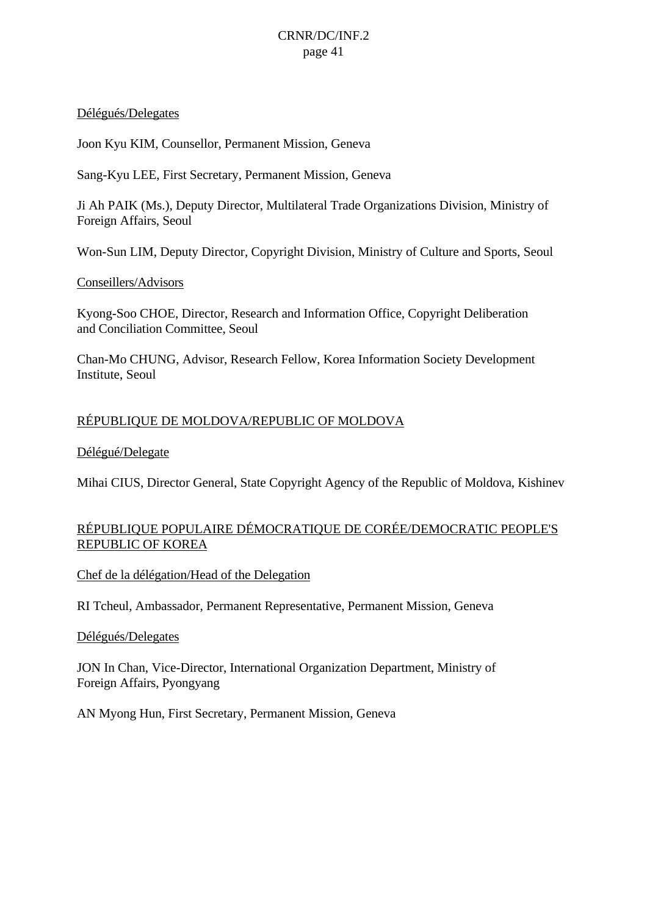#### Délégués/Delegates

Joon Kyu KIM, Counsellor, Permanent Mission, Geneva

Sang-Kyu LEE, First Secretary, Permanent Mission, Geneva

Ji Ah PAIK (Ms.), Deputy Director, Multilateral Trade Organizations Division, Ministry of Foreign Affairs, Seoul

Won-Sun LIM, Deputy Director, Copyright Division, Ministry of Culture and Sports, Seoul

### Conseillers/Advisors

Kyong-Soo CHOE, Director, Research and Information Office, Copyright Deliberation and Conciliation Committee, Seoul

Chan-Mo CHUNG, Advisor, Research Fellow, Korea Information Society Development Institute, Seoul

### RÉPUBLIQUE DE MOLDOVA/REPUBLIC OF MOLDOVA

### Délégué/Delegate

Mihai CIUS, Director General, State Copyright Agency of the Republic of Moldova, Kishinev

### RÉPUBLIQUE POPULAIRE DÉMOCRATIQUE DE CORÉE/DEMOCRATIC PEOPLE'S REPUBLIC OF KOREA

Chef de la délégation/Head of the Delegation

RI Tcheul, Ambassador, Permanent Representative, Permanent Mission, Geneva

#### Délégués/Delegates

JON In Chan, Vice-Director, International Organization Department, Ministry of Foreign Affairs, Pyongyang

AN Myong Hun, First Secretary, Permanent Mission, Geneva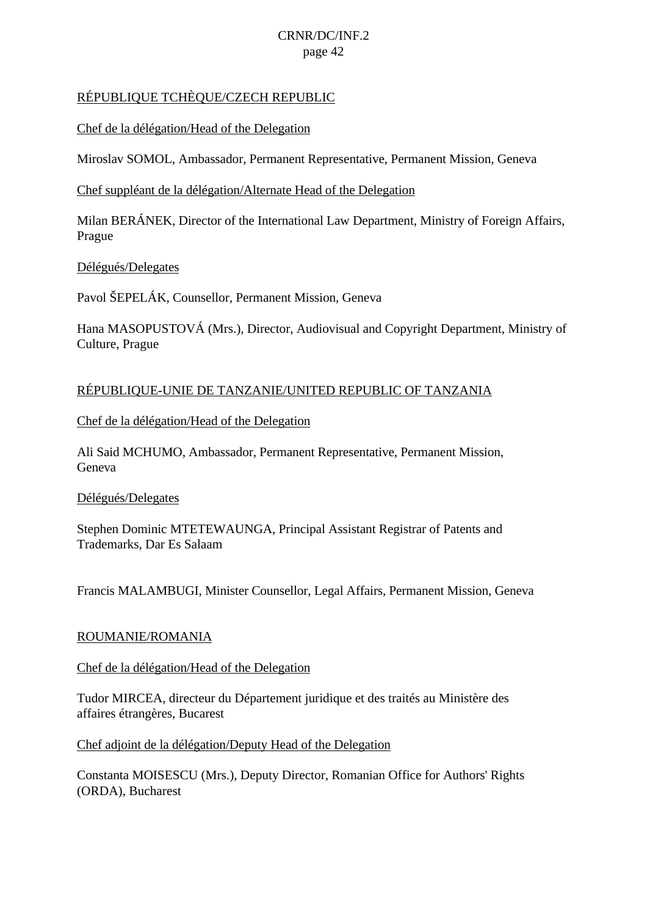### RÉPUBLIQUE TCHÈQUE/CZECH REPUBLIC

Chef de la délégation/Head of the Delegation

Miroslav SOMOL, Ambassador, Permanent Representative, Permanent Mission, Geneva

### Chef suppléant de la délégation/Alternate Head of the Delegation

Milan BERÁNEK, Director of the International Law Department, Ministry of Foreign Affairs, Prague

### Délégués/Delegates

Pavol ŠEPELÁK, Counsellor, Permanent Mission, Geneva

Hana MASOPUSTOVÁ (Mrs.), Director, Audiovisual and Copyright Department, Ministry of Culture, Prague

### RÉPUBLIQUE-UNIE DE TANZANIE/UNITED REPUBLIC OF TANZANIA

Chef de la délégation/Head of the Delegation

Ali Said MCHUMO, Ambassador, Permanent Representative, Permanent Mission, Geneva

### Délégués/Delegates

Stephen Dominic MTETEWAUNGA, Principal Assistant Registrar of Patents and Trademarks, Dar Es Salaam

Francis MALAMBUGI, Minister Counsellor, Legal Affairs, Permanent Mission, Geneva

### ROUMANIE/ROMANIA

### Chef de la délégation/Head of the Delegation

Tudor MIRCEA, directeur du Département juridique et des traités au Ministère des affaires étrangères, Bucarest

Chef adjoint de la délégation/Deputy Head of the Delegation

Constanta MOISESCU (Mrs.), Deputy Director, Romanian Office for Authors' Rights (ORDA), Bucharest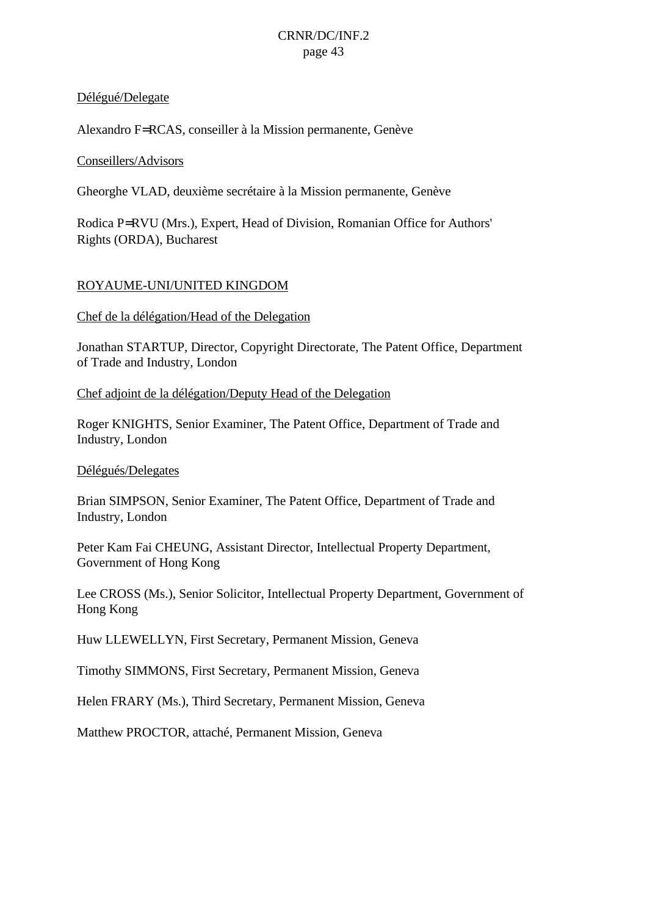#### Délégué/Delegate

Alexandro F=RCAS, conseiller à la Mission permanente, Genève

#### Conseillers/Advisors

Gheorghe VLAD, deuxième secrétaire à la Mission permanente, Genève

Rodica P=RVU (Mrs.), Expert, Head of Division, Romanian Office for Authors' Rights (ORDA), Bucharest

### ROYAUME-UNI/UNITED KINGDOM

#### Chef de la délégation/Head of the Delegation

Jonathan STARTUP, Director, Copyright Directorate, The Patent Office, Department of Trade and Industry, London

#### Chef adjoint de la délégation/Deputy Head of the Delegation

Roger KNIGHTS, Senior Examiner, The Patent Office, Department of Trade and Industry, London

#### Délégués/Delegates

Brian SIMPSON, Senior Examiner, The Patent Office, Department of Trade and Industry, London

Peter Kam Fai CHEUNG, Assistant Director, Intellectual Property Department, Government of Hong Kong

Lee CROSS (Ms.), Senior Solicitor, Intellectual Property Department, Government of Hong Kong

Huw LLEWELLYN, First Secretary, Permanent Mission, Geneva

Timothy SIMMONS, First Secretary, Permanent Mission, Geneva

Helen FRARY (Ms.), Third Secretary, Permanent Mission, Geneva

Matthew PROCTOR, attaché, Permanent Mission, Geneva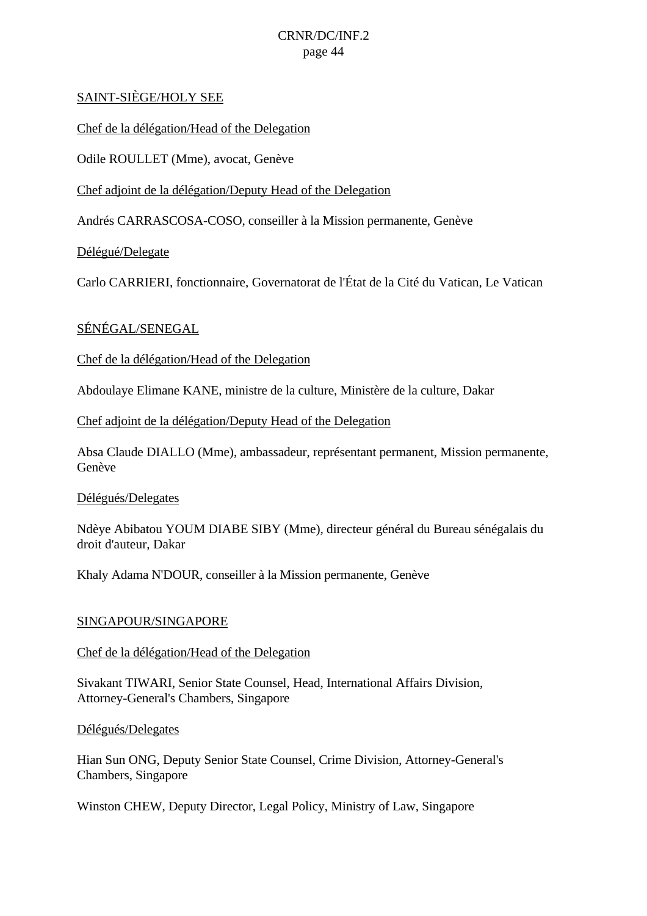### SAINT-SIÈGE/HOLY SEE

Chef de la délégation/Head of the Delegation

Odile ROULLET (Mme), avocat, Genève

Chef adjoint de la délégation/Deputy Head of the Delegation

Andrés CARRASCOSA-COSO, conseiller à la Mission permanente, Genève

Délégué/Delegate

Carlo CARRIERI, fonctionnaire, Governatorat de l'État de la Cité du Vatican, Le Vatican

### SÉNÉGAL/SENEGAL

Chef de la délégation/Head of the Delegation

Abdoulaye Elimane KANE, ministre de la culture, Ministère de la culture, Dakar

Chef adjoint de la délégation/Deputy Head of the Delegation

Absa Claude DIALLO (Mme), ambassadeur, représentant permanent, Mission permanente, Genève

Délégués/Delegates

Ndèye Abibatou YOUM DIABE SIBY (Mme), directeur général du Bureau sénégalais du droit d'auteur, Dakar

Khaly Adama N'DOUR, conseiller à la Mission permanente, Genève

#### SINGAPOUR/SINGAPORE

#### Chef de la délégation/Head of the Delegation

Sivakant TIWARI, Senior State Counsel, Head, International Affairs Division, Attorney-General's Chambers, Singapore

#### Délégués/Delegates

Hian Sun ONG, Deputy Senior State Counsel, Crime Division, Attorney-General's Chambers, Singapore

Winston CHEW, Deputy Director, Legal Policy, Ministry of Law, Singapore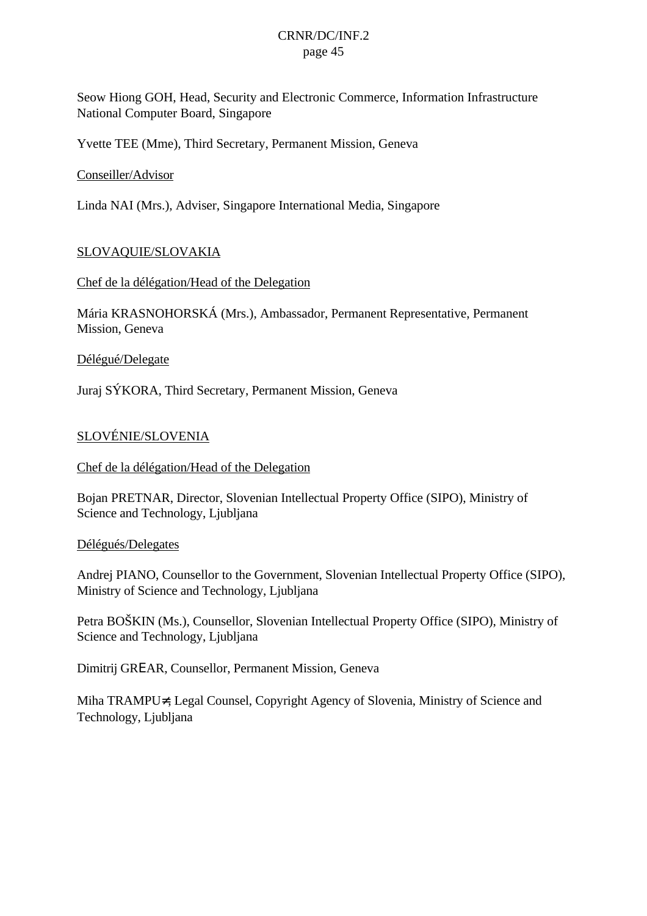Seow Hiong GOH, Head, Security and Electronic Commerce, Information Infrastructure National Computer Board, Singapore

Yvette TEE (Mme), Third Secretary, Permanent Mission, Geneva

### Conseiller/Advisor

Linda NAI (Mrs.), Adviser, Singapore International Media, Singapore

### SLOVAQUIE/SLOVAKIA

#### Chef de la délégation/Head of the Delegation

Mária KRASNOHORSKÁ (Mrs.), Ambassador, Permanent Representative, Permanent Mission, Geneva

#### Délégué/Delegate

Juraj SÝKORA, Third Secretary, Permanent Mission, Geneva

### SLOVÉNIE/SLOVENIA

#### Chef de la délégation/Head of the Delegation

Bojan PRETNAR, Director, Slovenian Intellectual Property Office (SIPO), Ministry of Science and Technology, Ljubljana

#### Délégués/Delegates

Andrej PIANO, Counsellor to the Government, Slovenian Intellectual Property Office (SIPO), Ministry of Science and Technology, Ljubljana

Petra BOŠKIN (Ms.), Counsellor, Slovenian Intellectual Property Office (SIPO), Ministry of Science and Technology, Ljubljana

Dimitrij GRΕAR, Counsellor, Permanent Mission, Geneva

Miha TRAMPU≠, Legal Counsel, Copyright Agency of Slovenia, Ministry of Science and Technology, Ljubljana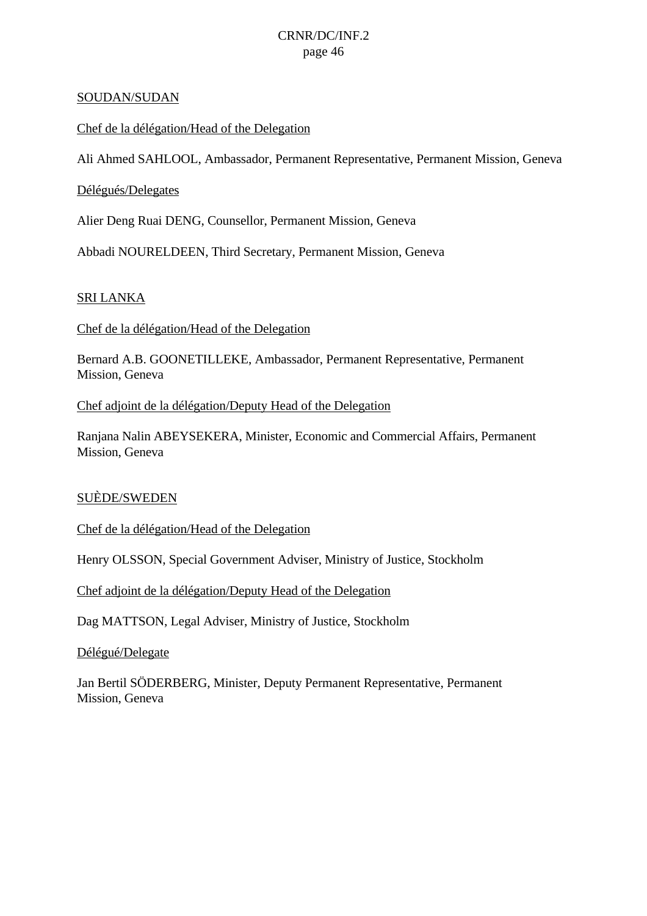#### SOUDAN/SUDAN

Chef de la délégation/Head of the Delegation

Ali Ahmed SAHLOOL, Ambassador, Permanent Representative, Permanent Mission, Geneva

### Délégués/Delegates

Alier Deng Ruai DENG, Counsellor, Permanent Mission, Geneva

Abbadi NOURELDEEN, Third Secretary, Permanent Mission, Geneva

### SRI LANKA

Chef de la délégation/Head of the Delegation

Bernard A.B. GOONETILLEKE, Ambassador, Permanent Representative, Permanent Mission, Geneva

#### Chef adjoint de la délégation/Deputy Head of the Delegation

Ranjana Nalin ABEYSEKERA, Minister, Economic and Commercial Affairs, Permanent Mission, Geneva

### SUÈDE/SWEDEN

Chef de la délégation/Head of the Delegation

Henry OLSSON, Special Government Adviser, Ministry of Justice, Stockholm

Chef adjoint de la délégation/Deputy Head of the Delegation

Dag MATTSON, Legal Adviser, Ministry of Justice, Stockholm

Délégué/Delegate

Jan Bertil SÖDERBERG, Minister, Deputy Permanent Representative, Permanent Mission, Geneva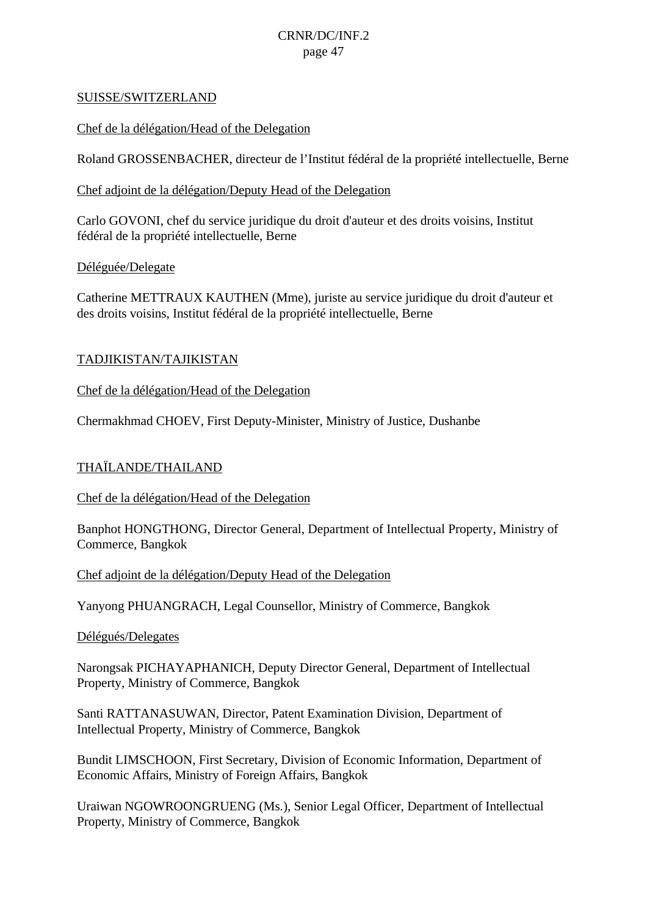#### SUISSE/SWITZERLAND

Chef de la délégation/Head of the Delegation

Roland GROSSENBACHER, directeur de l'Institut fédéral de la propriété intellectuelle, Berne

### Chef adjoint de la délégation/Deputy Head of the Delegation

Carlo GOVONI, chef du service juridique du droit d'auteur et des droits voisins, Institut fédéral de la propriété intellectuelle, Berne

### Déléguée/Delegate

Catherine METTRAUX KAUTHEN (Mme), juriste au service juridique du droit d'auteur et des droits voisins, Institut fédéral de la propriété intellectuelle, Berne

### TADJIKISTAN/TAJIKISTAN

Chef de la délégation/Head of the Delegation

Chermakhmad CHOEV, First Deputy-Minister, Ministry of Justice, Dushanbe

### THAÏLANDE/THAILAND

Chef de la délégation/Head of the Delegation

Banphot HONGTHONG, Director General, Department of Intellectual Property, Ministry of Commerce, Bangkok

Chef adjoint de la délégation/Deputy Head of the Delegation

Yanyong PHUANGRACH, Legal Counsellor, Ministry of Commerce, Bangkok

#### Délégués/Delegates

Narongsak PICHAYAPHANICH, Deputy Director General, Department of Intellectual Property, Ministry of Commerce, Bangkok

Santi RATTANASUWAN, Director, Patent Examination Division, Department of Intellectual Property, Ministry of Commerce, Bangkok

Bundit LIMSCHOON, First Secretary, Division of Economic Information, Department of Economic Affairs, Ministry of Foreign Affairs, Bangkok

Uraiwan NGOWROONGRUENG (Ms.), Senior Legal Officer, Department of Intellectual Property, Ministry of Commerce, Bangkok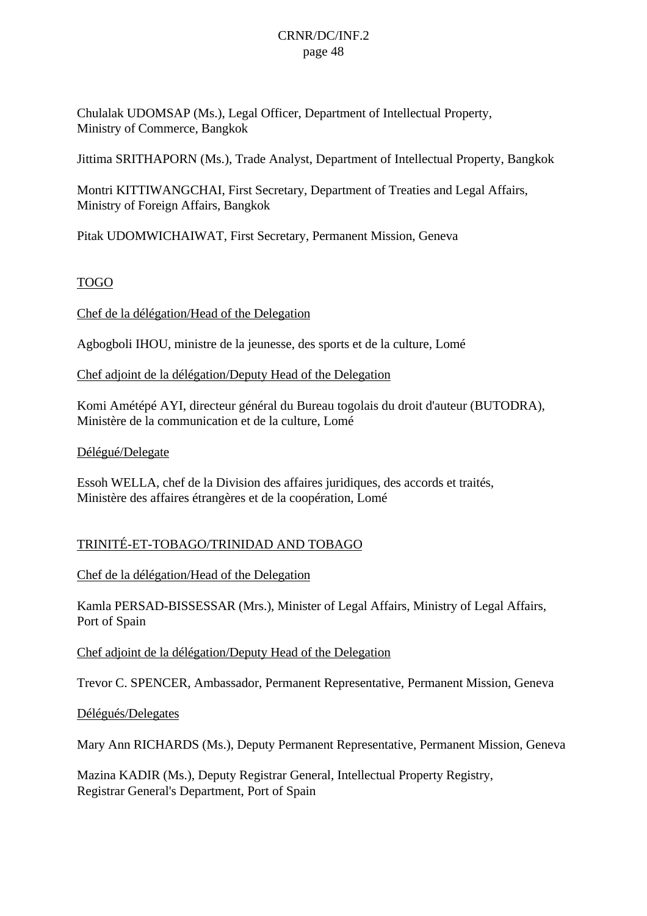Chulalak UDOMSAP (Ms.), Legal Officer, Department of Intellectual Property, Ministry of Commerce, Bangkok

Jittima SRITHAPORN (Ms.), Trade Analyst, Department of Intellectual Property, Bangkok

Montri KITTIWANGCHAI, First Secretary, Department of Treaties and Legal Affairs, Ministry of Foreign Affairs, Bangkok

Pitak UDOMWICHAIWAT, First Secretary, Permanent Mission, Geneva

### TOGO

Chef de la délégation/Head of the Delegation

Agbogboli IHOU, ministre de la jeunesse, des sports et de la culture, Lomé

Chef adjoint de la délégation/Deputy Head of the Delegation

Komi Amétépé AYI, directeur général du Bureau togolais du droit d'auteur (BUTODRA), Ministère de la communication et de la culture, Lomé

Délégué/Delegate

Essoh WELLA, chef de la Division des affaires juridiques, des accords et traités, Ministère des affaires étrangères et de la coopération, Lomé

### TRINITÉ-ET-TOBAGO/TRINIDAD AND TOBAGO

Chef de la délégation/Head of the Delegation

Kamla PERSAD-BISSESSAR (Mrs.), Minister of Legal Affairs, Ministry of Legal Affairs, Port of Spain

Chef adjoint de la délégation/Deputy Head of the Delegation

Trevor C. SPENCER, Ambassador, Permanent Representative, Permanent Mission, Geneva

Délégués/Delegates

Mary Ann RICHARDS (Ms.), Deputy Permanent Representative, Permanent Mission, Geneva

Mazina KADIR (Ms.), Deputy Registrar General, Intellectual Property Registry, Registrar General's Department, Port of Spain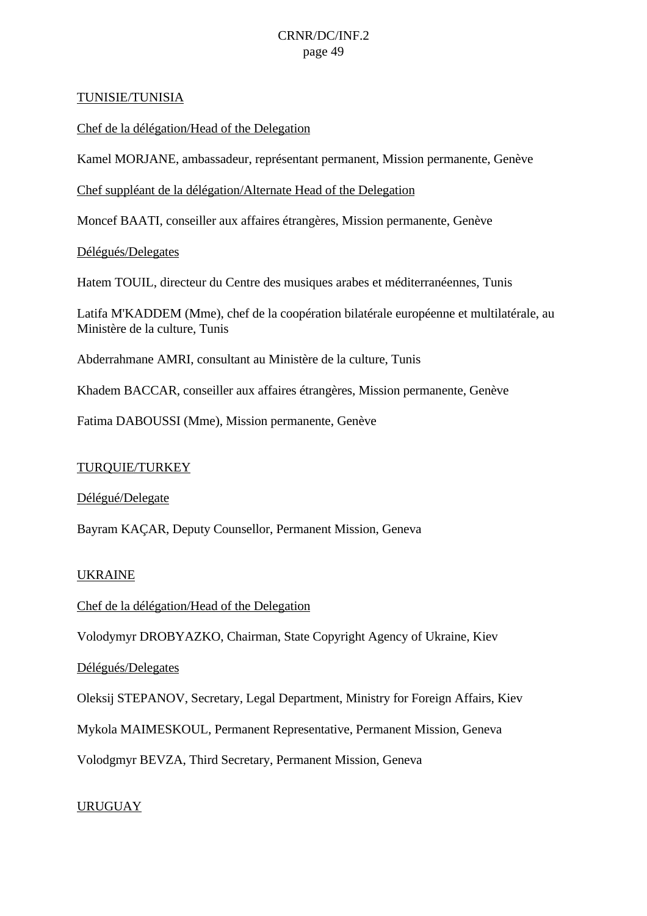### TUNISIE/TUNISIA

Chef de la délégation/Head of the Delegation

Kamel MORJANE, ambassadeur, représentant permanent, Mission permanente, Genève

Chef suppléant de la délégation/Alternate Head of the Delegation

Moncef BAATI, conseiller aux affaires étrangères, Mission permanente, Genève

Délégués/Delegates

Hatem TOUIL, directeur du Centre des musiques arabes et méditerranéennes, Tunis

Latifa M'KADDEM (Mme), chef de la coopération bilatérale européenne et multilatérale, au Ministère de la culture, Tunis

Abderrahmane AMRI, consultant au Ministère de la culture, Tunis

Khadem BACCAR, conseiller aux affaires étrangères, Mission permanente, Genève

Fatima DABOUSSI (Mme), Mission permanente, Genève

### TURQUIE/TURKEY

Délégué/Delegate

Bayram KAÇAR, Deputy Counsellor, Permanent Mission, Geneva

#### UKRAINE

Chef de la délégation/Head of the Delegation

Volodymyr DROBYAZKO, Chairman, State Copyright Agency of Ukraine, Kiev

Délégués/Delegates

Oleksij STEPANOV, Secretary, Legal Department, Ministry for Foreign Affairs, Kiev

Mykola MAIMESKOUL, Permanent Representative, Permanent Mission, Geneva

Volodgmyr BEVZA, Third Secretary, Permanent Mission, Geneva

### URUGUAY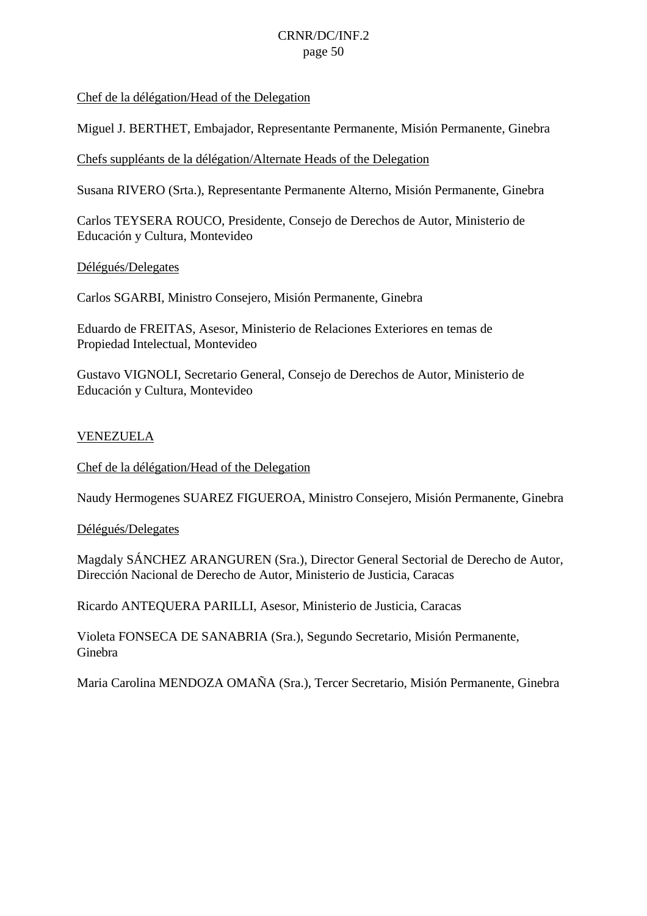### Chef de la délégation/Head of the Delegation

Miguel J. BERTHET, Embajador, Representante Permanente, Misión Permanente, Ginebra

Chefs suppléants de la délégation/Alternate Heads of the Delegation

Susana RIVERO (Srta.), Representante Permanente Alterno, Misión Permanente, Ginebra

Carlos TEYSERA ROUCO, Presidente, Consejo de Derechos de Autor, Ministerio de Educación y Cultura, Montevideo

### Délégués/Delegates

Carlos SGARBI, Ministro Consejero, Misión Permanente, Ginebra

Eduardo de FREITAS, Asesor, Ministerio de Relaciones Exteriores en temas de Propiedad Intelectual, Montevideo

Gustavo VIGNOLI, Secretario General, Consejo de Derechos de Autor, Ministerio de Educación y Cultura, Montevideo

### VENEZUELA

Chef de la délégation/Head of the Delegation

Naudy Hermogenes SUAREZ FIGUEROA, Ministro Consejero, Misión Permanente, Ginebra

#### Délégués/Delegates

Magdaly SÁNCHEZ ARANGUREN (Sra.), Director General Sectorial de Derecho de Autor, Dirección Nacional de Derecho de Autor, Ministerio de Justicia, Caracas

Ricardo ANTEQUERA PARILLI, Asesor, Ministerio de Justicia, Caracas

Violeta FONSECA DE SANABRIA (Sra.), Segundo Secretario, Misión Permanente, Ginebra

Maria Carolina MENDOZA OMAÑA (Sra.), Tercer Secretario, Misión Permanente, Ginebra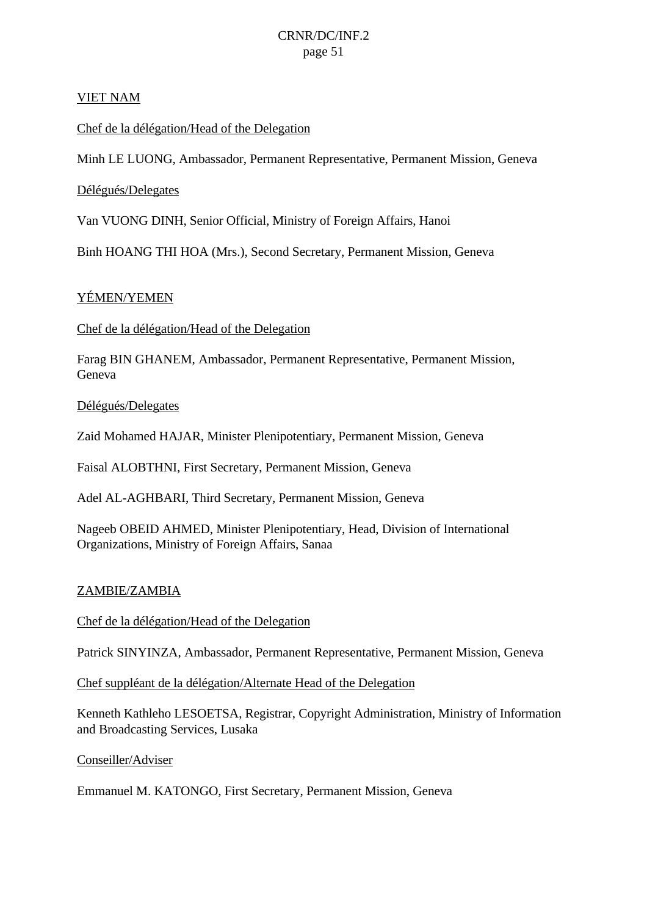### VIET NAM

Chef de la délégation/Head of the Delegation

Minh LE LUONG, Ambassador, Permanent Representative, Permanent Mission, Geneva

### Délégués/Delegates

Van VUONG DINH, Senior Official, Ministry of Foreign Affairs, Hanoi

Binh HOANG THI HOA (Mrs.), Second Secretary, Permanent Mission, Geneva

### YÉMEN/YEMEN

Chef de la délégation/Head of the Delegation

Farag BIN GHANEM, Ambassador, Permanent Representative, Permanent Mission, Geneva

Délégués/Delegates

Zaid Mohamed HAJAR, Minister Plenipotentiary, Permanent Mission, Geneva

Faisal ALOBTHNI, First Secretary, Permanent Mission, Geneva

Adel AL-AGHBARI, Third Secretary, Permanent Mission, Geneva

Nageeb OBEID AHMED, Minister Plenipotentiary, Head, Division of International Organizations, Ministry of Foreign Affairs, Sanaa

### ZAMBIE/ZAMBIA

Chef de la délégation/Head of the Delegation

Patrick SINYINZA, Ambassador, Permanent Representative, Permanent Mission, Geneva

Chef suppléant de la délégation/Alternate Head of the Delegation

Kenneth Kathleho LESOETSA, Registrar, Copyright Administration, Ministry of Information and Broadcasting Services, Lusaka

Conseiller/Adviser

Emmanuel M. KATONGO, First Secretary, Permanent Mission, Geneva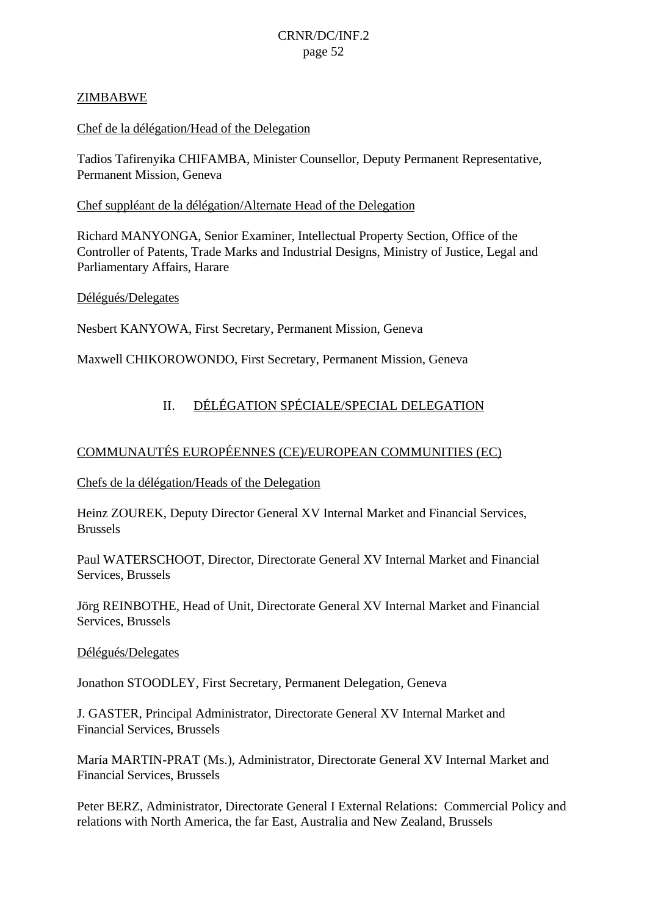### ZIMBABWE

### Chef de la délégation/Head of the Delegation

Tadios Tafirenyika CHIFAMBA, Minister Counsellor, Deputy Permanent Representative, Permanent Mission, Geneva

### Chef suppléant de la délégation/Alternate Head of the Delegation

Richard MANYONGA, Senior Examiner, Intellectual Property Section, Office of the Controller of Patents, Trade Marks and Industrial Designs, Ministry of Justice, Legal and Parliamentary Affairs, Harare

### Délégués/Delegates

Nesbert KANYOWA, First Secretary, Permanent Mission, Geneva

Maxwell CHIKOROWONDO, First Secretary, Permanent Mission, Geneva

### II. DÉLÉGATION SPÉCIALE/SPECIAL DELEGATION

### COMMUNAUTÉS EUROPÉENNES (CE)/EUROPEAN COMMUNITIES (EC)

Chefs de la délégation/Heads of the Delegation

Heinz ZOUREK, Deputy Director General XV Internal Market and Financial Services, Brussels

Paul WATERSCHOOT, Director, Directorate General XV Internal Market and Financial Services, Brussels

Jörg REINBOTHE, Head of Unit, Directorate General XV Internal Market and Financial Services, Brussels

#### Délégués/Delegates

Jonathon STOODLEY, First Secretary, Permanent Delegation, Geneva

J. GASTER, Principal Administrator, Directorate General XV Internal Market and Financial Services, Brussels

María MARTIN-PRAT (Ms.), Administrator, Directorate General XV Internal Market and Financial Services, Brussels

Peter BERZ, Administrator, Directorate General I External Relations: Commercial Policy and relations with North America, the far East, Australia and New Zealand, Brussels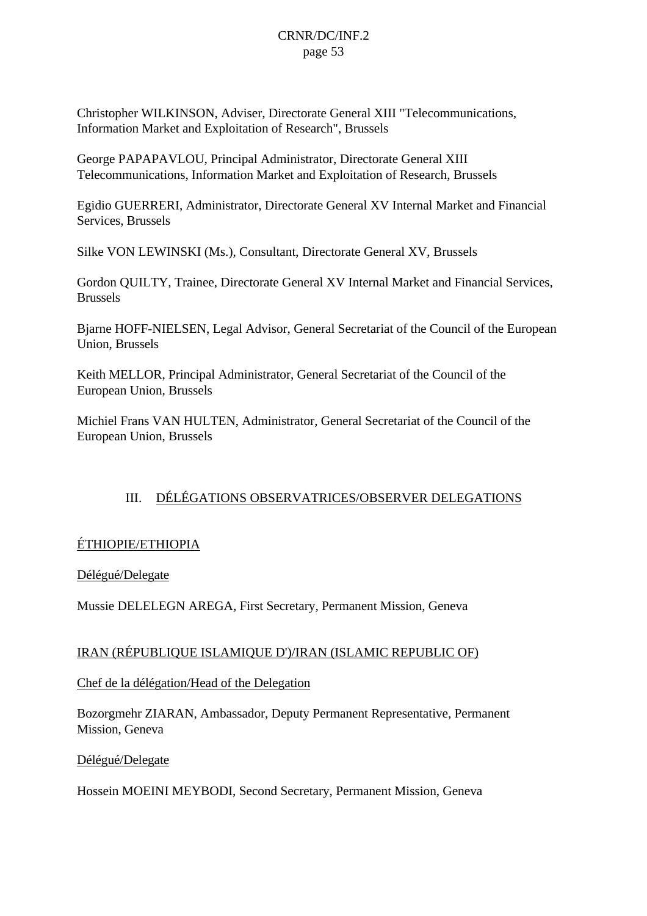Christopher WILKINSON, Adviser, Directorate General XIII "Telecommunications, Information Market and Exploitation of Research", Brussels

George PAPAPAVLOU, Principal Administrator, Directorate General XIII Telecommunications, Information Market and Exploitation of Research, Brussels

Egidio GUERRERI, Administrator, Directorate General XV Internal Market and Financial Services, Brussels

Silke VON LEWINSKI (Ms.), Consultant, Directorate General XV, Brussels

Gordon QUILTY, Trainee, Directorate General XV Internal Market and Financial Services, Brussels

Bjarne HOFF-NIELSEN, Legal Advisor, General Secretariat of the Council of the European Union, Brussels

Keith MELLOR, Principal Administrator, General Secretariat of the Council of the European Union, Brussels

Michiel Frans VAN HULTEN, Administrator, General Secretariat of the Council of the European Union, Brussels

### III. DÉLÉGATIONS OBSERVATRICES/OBSERVER DELEGATIONS

### ÉTHIOPIE/ETHIOPIA

Délégué/Delegate

Mussie DELELEGN AREGA, First Secretary, Permanent Mission, Geneva

### IRAN (RÉPUBLIQUE ISLAMIQUE D')/IRAN (ISLAMIC REPUBLIC OF)

Chef de la délégation/Head of the Delegation

Bozorgmehr ZIARAN, Ambassador, Deputy Permanent Representative, Permanent Mission, Geneva

Délégué/Delegate

Hossein MOEINI MEYBODI, Second Secretary, Permanent Mission, Geneva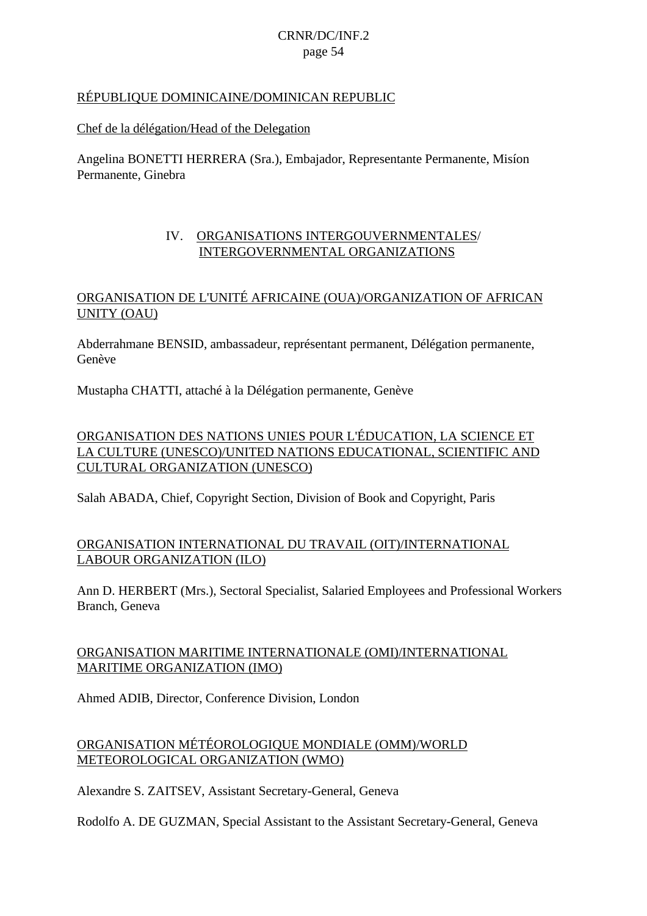### RÉPUBLIQUE DOMINICAINE/DOMINICAN REPUBLIC

### Chef de la délégation/Head of the Delegation

Angelina BONETTI HERRERA (Sra.), Embajador, Representante Permanente, Misíon Permanente, Ginebra

### IV. ORGANISATIONS INTERGOUVERNMENTALES/ INTERGOVERNMENTAL ORGANIZATIONS

### ORGANISATION DE L'UNITÉ AFRICAINE (OUA)/ORGANIZATION OF AFRICAN UNITY (OAU)

Abderrahmane BENSID, ambassadeur, représentant permanent, Délégation permanente, Genève

Mustapha CHATTI, attaché à la Délégation permanente, Genève

### ORGANISATION DES NATIONS UNIES POUR L'ÉDUCATION, LA SCIENCE ET LA CULTURE (UNESCO)/UNITED NATIONS EDUCATIONAL, SCIENTIFIC AND CULTURAL ORGANIZATION (UNESCO)

Salah ABADA, Chief, Copyright Section, Division of Book and Copyright, Paris

### ORGANISATION INTERNATIONAL DU TRAVAIL (OIT)/INTERNATIONAL LABOUR ORGANIZATION (ILO)

Ann D. HERBERT (Mrs.), Sectoral Specialist, Salaried Employees and Professional Workers Branch, Geneva

### ORGANISATION MARITIME INTERNATIONALE (OMI)/INTERNATIONAL MARITIME ORGANIZATION (IMO)

Ahmed ADIB, Director, Conference Division, London

### ORGANISATION MÉTÉOROLOGIQUE MONDIALE (OMM)/WORLD METEOROLOGICAL ORGANIZATION (WMO)

Alexandre S. ZAITSEV, Assistant Secretary-General, Geneva

Rodolfo A. DE GUZMAN, Special Assistant to the Assistant Secretary-General, Geneva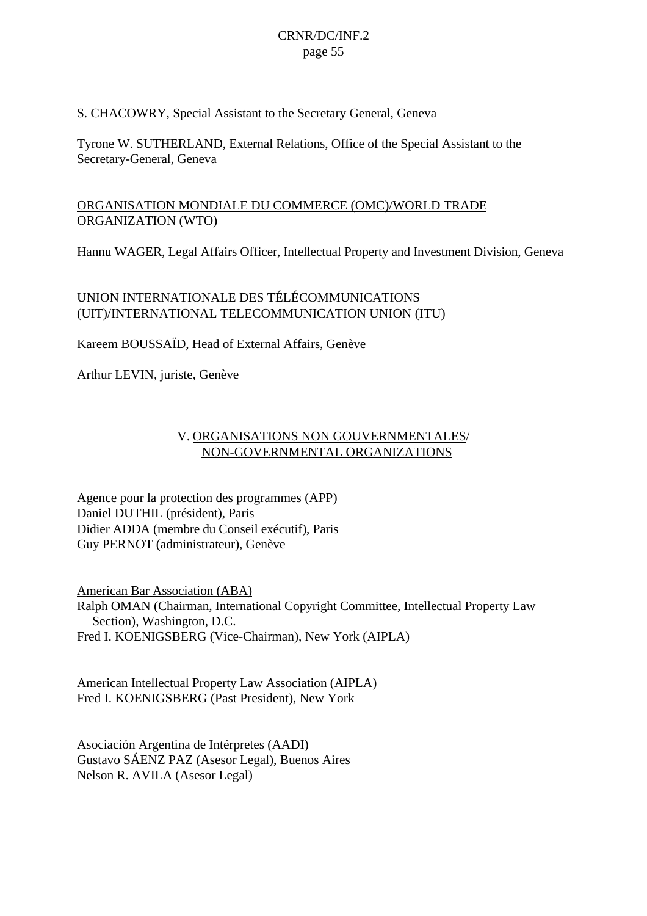S. CHACOWRY, Special Assistant to the Secretary General, Geneva

Tyrone W. SUTHERLAND, External Relations, Office of the Special Assistant to the Secretary-General, Geneva

### ORGANISATION MONDIALE DU COMMERCE (OMC)/WORLD TRADE ORGANIZATION (WTO)

Hannu WAGER, Legal Affairs Officer, Intellectual Property and Investment Division, Geneva

### UNION INTERNATIONALE DES TÉLÉCOMMUNICATIONS (UIT)/INTERNATIONAL TELECOMMUNICATION UNION (ITU)

Kareem BOUSSAÏD, Head of External Affairs, Genève

Arthur LEVIN, juriste, Genève

### V. ORGANISATIONS NON GOUVERNMENTALES/ NON-GOVERNMENTAL ORGANIZATIONS

Agence pour la protection des programmes (APP) Daniel DUTHIL (président), Paris Didier ADDA (membre du Conseil exécutif), Paris Guy PERNOT (administrateur), Genève

American Bar Association (ABA) Ralph OMAN (Chairman, International Copyright Committee, Intellectual Property Law Section), Washington, D.C. Fred I. KOENIGSBERG (Vice-Chairman), New York (AIPLA)

American Intellectual Property Law Association (AIPLA) Fred I. KOENIGSBERG (Past President), New York

Asociación Argentina de Intérpretes (AADI) Gustavo SÁENZ PAZ (Asesor Legal), Buenos Aires Nelson R. AVILA (Asesor Legal)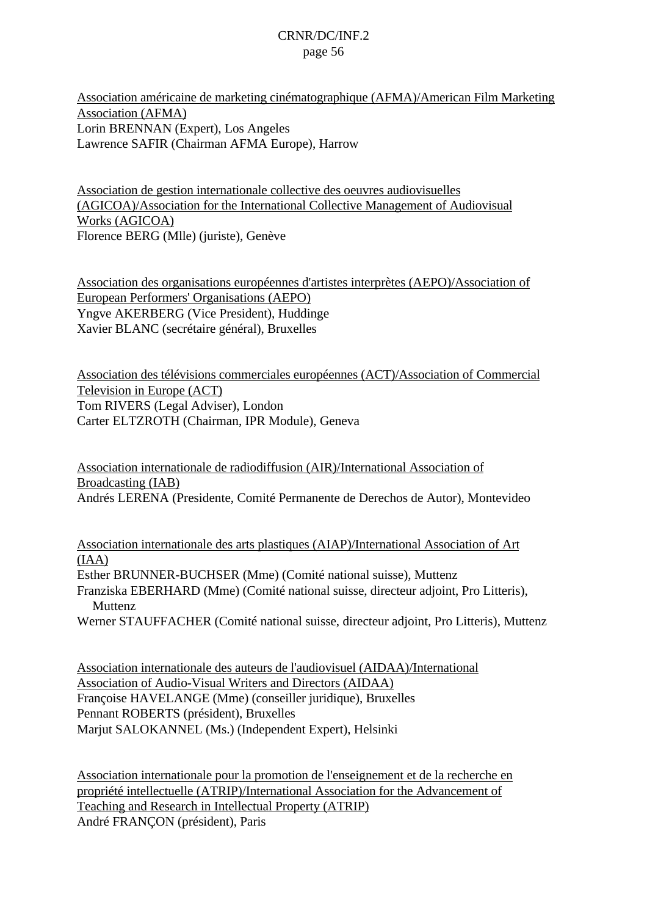Association américaine de marketing cinématographique (AFMA)/American Film Marketing Association (AFMA) Lorin BRENNAN (Expert), Los Angeles Lawrence SAFIR (Chairman AFMA Europe), Harrow

Association de gestion internationale collective des oeuvres audiovisuelles (AGICOA)/Association for the International Collective Management of Audiovisual Works (AGICOA) Florence BERG (Mlle) (juriste), Genève

Association des organisations européennes d'artistes interprètes (AEPO)/Association of European Performers' Organisations (AEPO) Yngve AKERBERG (Vice President), Huddinge Xavier BLANC (secrétaire général), Bruxelles

Association des télévisions commerciales européennes (ACT)/Association of Commercial Television in Europe (ACT) Tom RIVERS (Legal Adviser), London Carter ELTZROTH (Chairman, IPR Module), Geneva

Association internationale de radiodiffusion (AIR)/International Association of Broadcasting (IAB) Andrés LERENA (Presidente, Comité Permanente de Derechos de Autor), Montevideo

Association internationale des arts plastiques (AIAP)/International Association of Art (IAA) Esther BRUNNER-BUCHSER (Mme) (Comité national suisse), Muttenz Franziska EBERHARD (Mme) (Comité national suisse, directeur adjoint, Pro Litteris), **Muttenz** Werner STAUFFACHER (Comité national suisse, directeur adjoint, Pro Litteris), Muttenz

Association internationale des auteurs de l'audiovisuel (AIDAA)/International Association of Audio-Visual Writers and Directors (AIDAA) Françoise HAVELANGE (Mme) (conseiller juridique), Bruxelles Pennant ROBERTS (président), Bruxelles Marjut SALOKANNEL (Ms.) (Independent Expert), Helsinki

Association internationale pour la promotion de l'enseignement et de la recherche en propriété intellectuelle (ATRIP)/International Association for the Advancement of Teaching and Research in Intellectual Property (ATRIP) André FRANÇON (président), Paris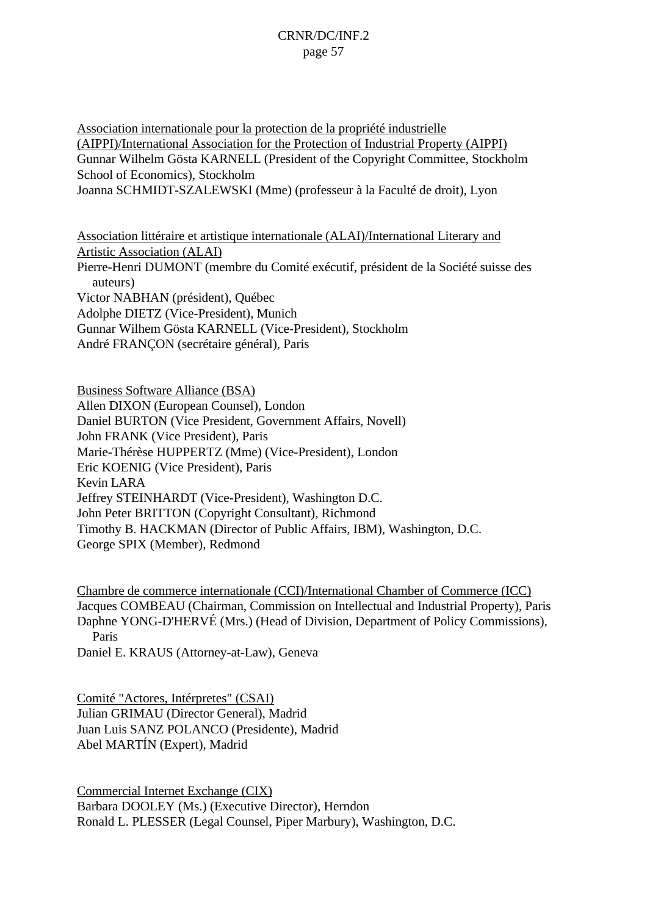Association internationale pour la protection de la propriété industrielle (AIPPI)/International Association for the Protection of Industrial Property (AIPPI) Gunnar Wilhelm Gösta KARNELL (President of the Copyright Committee, Stockholm School of Economics), Stockholm Joanna SCHMIDT-SZALEWSKI (Mme) (professeur à la Faculté de droit), Lyon

Association littéraire et artistique internationale (ALAI)/International Literary and Artistic Association (ALAI) Pierre-Henri DUMONT (membre du Comité exécutif, président de la Société suisse des auteurs) Victor NABHAN (président), Québec Adolphe DIETZ (Vice-President), Munich Gunnar Wilhem Gösta KARNELL (Vice-President), Stockholm André FRANÇON (secrétaire général), Paris

Business Software Alliance (BSA) Allen DIXON (European Counsel), London Daniel BURTON (Vice President, Government Affairs, Novell) John FRANK (Vice President), Paris Marie-Thérèse HUPPERTZ (Mme) (Vice-President), London Eric KOENIG (Vice President), Paris Kevin LARA Jeffrey STEINHARDT (Vice-President), Washington D.C. John Peter BRITTON (Copyright Consultant), Richmond Timothy B. HACKMAN (Director of Public Affairs, IBM), Washington, D.C. George SPIX (Member), Redmond

Chambre de commerce internationale (CCI)/International Chamber of Commerce (ICC) Jacques COMBEAU (Chairman, Commission on Intellectual and Industrial Property), Paris Daphne YONG-D'HERVÉ (Mrs.) (Head of Division, Department of Policy Commissions), Paris Daniel E. KRAUS (Attorney-at-Law), Geneva

Comité "Actores, Intérpretes" (CSAI) Julian GRIMAU (Director General), Madrid

Juan Luis SANZ POLANCO (Presidente), Madrid Abel MARTÍN (Expert), Madrid

Commercial Internet Exchange (CIX) Barbara DOOLEY (Ms.) (Executive Director), Herndon Ronald L. PLESSER (Legal Counsel, Piper Marbury), Washington, D.C.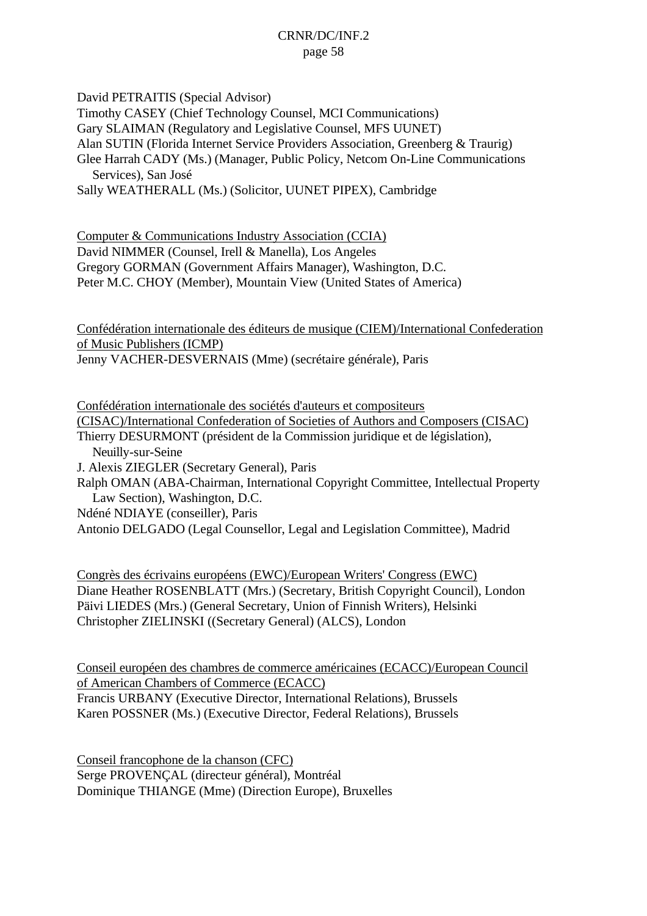David PETRAITIS (Special Advisor)

Timothy CASEY (Chief Technology Counsel, MCI Communications)

Gary SLAIMAN (Regulatory and Legislative Counsel, MFS UUNET)

Alan SUTIN (Florida Internet Service Providers Association, Greenberg & Traurig)

Glee Harrah CADY (Ms.) (Manager, Public Policy, Netcom On-Line Communications Services), San José

Sally WEATHERALL (Ms.) (Solicitor, UUNET PIPEX), Cambridge

Computer & Communications Industry Association (CCIA) David NIMMER (Counsel, Irell & Manella), Los Angeles Gregory GORMAN (Government Affairs Manager), Washington, D.C. Peter M.C. CHOY (Member), Mountain View (United States of America)

Confédération internationale des éditeurs de musique (CIEM)/International Confederation of Music Publishers (ICMP) Jenny VACHER-DESVERNAIS (Mme) (secrétaire générale), Paris

Confédération internationale des sociétés d'auteurs et compositeurs (CISAC)/International Confederation of Societies of Authors and Composers (CISAC) Thierry DESURMONT (président de la Commission juridique et de législation), Neuilly-sur-Seine J. Alexis ZIEGLER (Secretary General), Paris Ralph OMAN (ABA-Chairman, International Copyright Committee, Intellectual Property Law Section), Washington, D.C. Ndéné NDIAYE (conseiller), Paris

Antonio DELGADO (Legal Counsellor, Legal and Legislation Committee), Madrid

Congrès des écrivains européens (EWC)/European Writers' Congress (EWC) Diane Heather ROSENBLATT (Mrs.) (Secretary, British Copyright Council), London Päivi LIEDES (Mrs.) (General Secretary, Union of Finnish Writers), Helsinki Christopher ZIELINSKI ((Secretary General) (ALCS), London

Conseil européen des chambres de commerce américaines (ECACC)/European Council of American Chambers of Commerce (ECACC) Francis URBANY (Executive Director, International Relations), Brussels Karen POSSNER (Ms.) (Executive Director, Federal Relations), Brussels

Conseil francophone de la chanson (CFC) Serge PROVENÇAL (directeur général), Montréal Dominique THIANGE (Mme) (Direction Europe), Bruxelles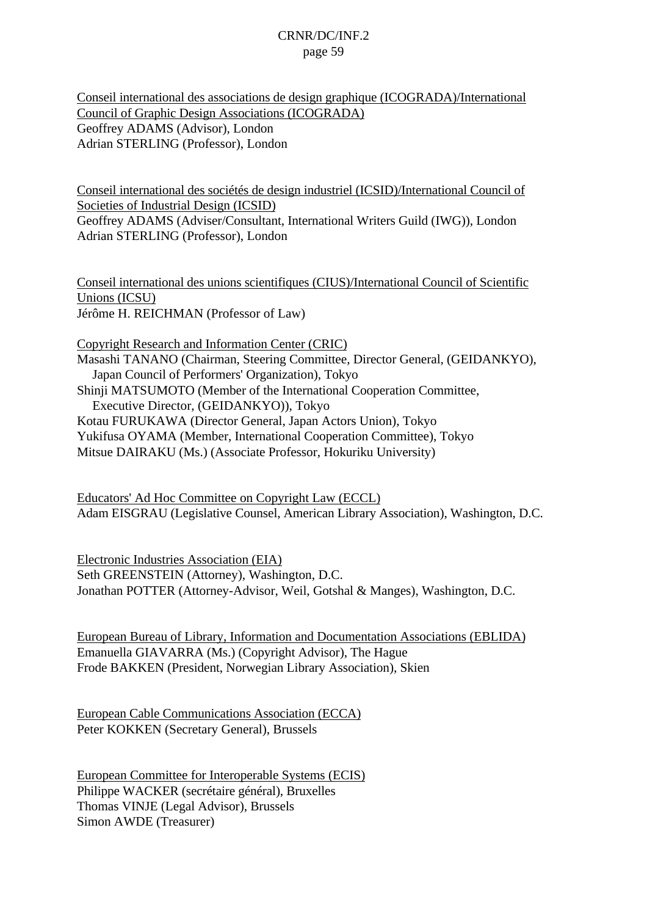Conseil international des associations de design graphique (ICOGRADA)/International Council of Graphic Design Associations (ICOGRADA) Geoffrey ADAMS (Advisor), London Adrian STERLING (Professor), London

Conseil international des sociétés de design industriel (ICSID)/International Council of Societies of Industrial Design (ICSID) Geoffrey ADAMS (Adviser/Consultant, International Writers Guild (IWG)), London Adrian STERLING (Professor), London

Conseil international des unions scientifiques (CIUS)/International Council of Scientific Unions (ICSU) Jérôme H. REICHMAN (Professor of Law)

Copyright Research and Information Center (CRIC) Masashi TANANO (Chairman, Steering Committee, Director General, (GEIDANKYO), Japan Council of Performers' Organization), Tokyo Shinji MATSUMOTO (Member of the International Cooperation Committee, Executive Director, (GEIDANKYO)), Tokyo Kotau FURUKAWA (Director General, Japan Actors Union), Tokyo Yukifusa OYAMA (Member, International Cooperation Committee), Tokyo Mitsue DAIRAKU (Ms.) (Associate Professor, Hokuriku University)

Educators' Ad Hoc Committee on Copyright Law (ECCL) Adam EISGRAU (Legislative Counsel, American Library Association), Washington, D.C.

Electronic Industries Association (EIA) Seth GREENSTEIN (Attorney), Washington, D.C. Jonathan POTTER (Attorney-Advisor, Weil, Gotshal & Manges), Washington, D.C.

European Bureau of Library, Information and Documentation Associations (EBLIDA) Emanuella GIAVARRA (Ms.) (Copyright Advisor), The Hague Frode BAKKEN (President, Norwegian Library Association), Skien

European Cable Communications Association (ECCA) Peter KOKKEN (Secretary General), Brussels

European Committee for Interoperable Systems (ECIS) Philippe WACKER (secrétaire général), Bruxelles Thomas VINJE (Legal Advisor), Brussels Simon AWDE (Treasurer)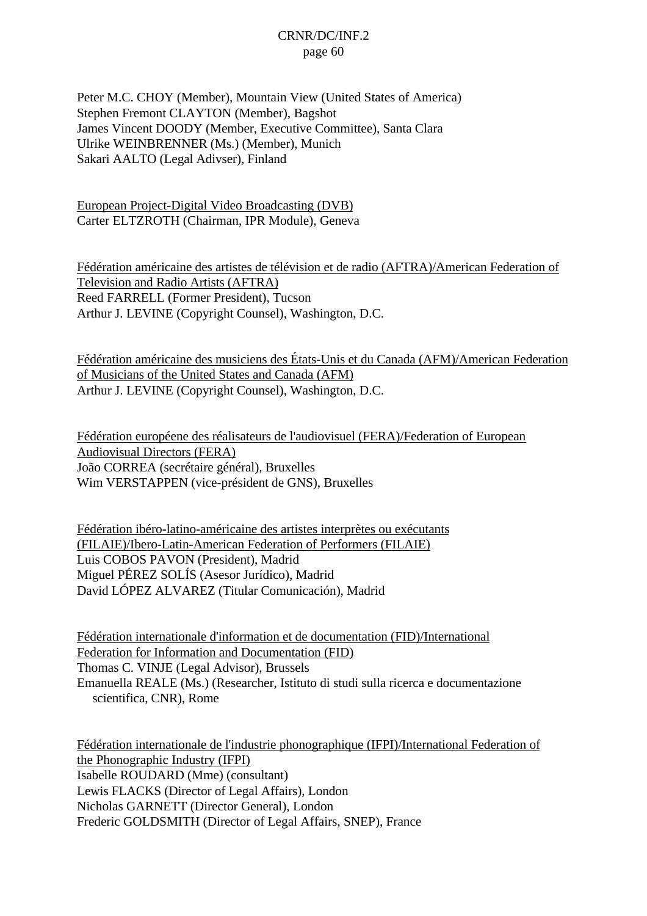Peter M.C. CHOY (Member), Mountain View (United States of America) Stephen Fremont CLAYTON (Member), Bagshot James Vincent DOODY (Member, Executive Committee), Santa Clara Ulrike WEINBRENNER (Ms.) (Member), Munich Sakari AALTO (Legal Adivser), Finland

European Project-Digital Video Broadcasting (DVB) Carter ELTZROTH (Chairman, IPR Module), Geneva

Fédération américaine des artistes de télévision et de radio (AFTRA)/American Federation of Television and Radio Artists (AFTRA) Reed FARRELL (Former President), Tucson Arthur J. LEVINE (Copyright Counsel), Washington, D.C.

Fédération américaine des musiciens des États-Unis et du Canada (AFM)/American Federation of Musicians of the United States and Canada (AFM) Arthur J. LEVINE (Copyright Counsel), Washington, D.C.

Fédération européene des réalisateurs de l'audiovisuel (FERA)/Federation of European Audiovisual Directors (FERA) João CORREA (secrétaire général), Bruxelles Wim VERSTAPPEN (vice-président de GNS), Bruxelles

Fédération ibéro-latino-américaine des artistes interprètes ou exécutants (FILAIE)/Ibero-Latin-American Federation of Performers (FILAIE) Luis COBOS PAVON (President), Madrid Miguel PÉREZ SOLÍS (Asesor Jurídico), Madrid David LÓPEZ ALVAREZ (Titular Comunicación), Madrid

Fédération internationale d'information et de documentation (FID)/International Federation for Information and Documentation (FID) Thomas C. VINJE (Legal Advisor), Brussels Emanuella REALE (Ms.) (Researcher, Istituto di studi sulla ricerca e documentazione scientifica, CNR), Rome

Fédération internationale de l'industrie phonographique (IFPI)/International Federation of the Phonographic Industry (IFPI) Isabelle ROUDARD (Mme) (consultant) Lewis FLACKS (Director of Legal Affairs), London Nicholas GARNETT (Director General), London Frederic GOLDSMITH (Director of Legal Affairs, SNEP), France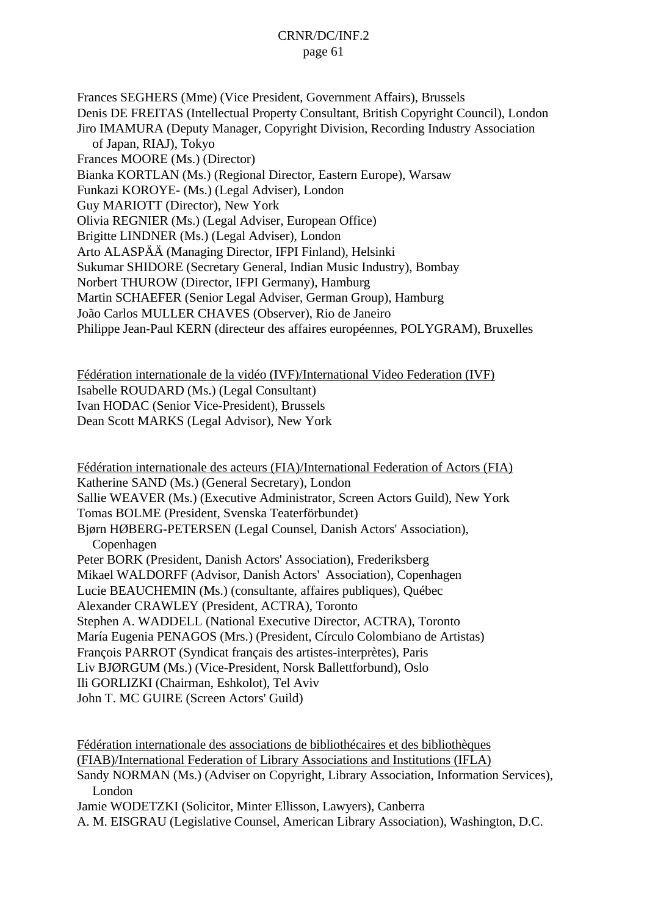Frances SEGHERS (Mme) (Vice President, Government Affairs), Brussels Denis DE FREITAS (Intellectual Property Consultant, British Copyright Council), London Jiro IMAMURA (Deputy Manager, Copyright Division, Recording Industry Association of Japan, RIAJ), Tokyo Frances MOORE (Ms.) (Director) Bianka KORTLAN (Ms.) (Regional Director, Eastern Europe), Warsaw Funkazi KOROYE- (Ms.) (Legal Adviser), London Guy MARIOTT (Director), New York Olivia REGNIER (Ms.) (Legal Adviser, European Office) Brigitte LINDNER (Ms.) (Legal Adviser), London Arto ALASPÄÄ (Managing Director, IFPI Finland), Helsinki Sukumar SHIDORE (Secretary General, Indian Music Industry), Bombay Norbert THUROW (Director, IFPI Germany), Hamburg Martin SCHAEFER (Senior Legal Adviser, German Group), Hamburg João Carlos MULLER CHAVES (Observer), Rio de Janeiro Philippe Jean-Paul KERN (directeur des affaires européennes, POLYGRAM), Bruxelles

Fédération internationale de la vidéo (IVF)/International Video Federation (IVF) Isabelle ROUDARD (Ms.) (Legal Consultant) Ivan HODAC (Senior Vice-President), Brussels Dean Scott MARKS (Legal Advisor), New York

Fédération internationale des acteurs (FIA)/International Federation of Actors (FIA) Katherine SAND (Ms.) (General Secretary), London Sallie WEAVER (Ms.) (Executive Administrator, Screen Actors Guild), New York Tomas BOLME (President, Svenska Teaterförbundet) Bjørn HØBERG-PETERSEN (Legal Counsel, Danish Actors' Association), Copenhagen Peter BORK (President, Danish Actors' Association), Frederiksberg Mikael WALDORFF (Advisor, Danish Actors' Association), Copenhagen Lucie BEAUCHEMIN (Ms.) (consultante, affaires publiques), Québec Alexander CRAWLEY (President, ACTRA), Toronto Stephen A. WADDELL (National Executive Director, ACTRA), Toronto María Eugenia PENAGOS (Mrs.) (President, Círculo Colombiano de Artistas) François PARROT (Syndicat français des artistes-interprètes), Paris Liv BJØRGUM (Ms.) (Vice-President, Norsk Ballettforbund), Oslo Ili GORLIZKI (Chairman, Eshkolot), Tel Aviv John T. MC GUIRE (Screen Actors' Guild)

Fédération internationale des associations de bibliothécaires et des bibliothèques (FIAB)/International Federation of Library Associations and Institutions (IFLA) Sandy NORMAN (Ms.) (Adviser on Copyright, Library Association, Information Services), London Jamie WODETZKI (Solicitor, Minter Ellisson, Lawyers), Canberra A. M. EISGRAU (Legislative Counsel, American Library Association), Washington, D.C.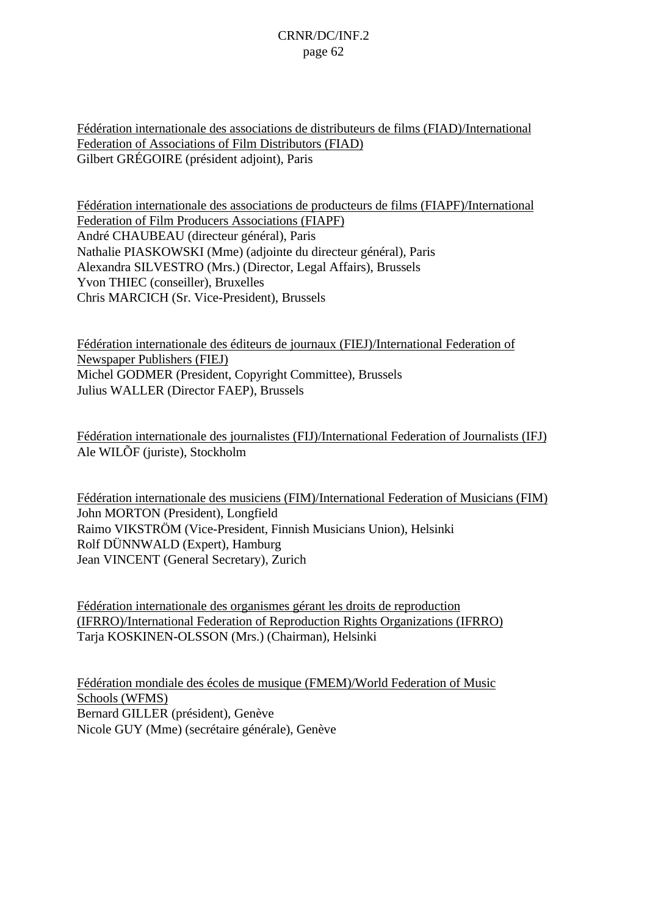Fédération internationale des associations de distributeurs de films (FIAD)/International Federation of Associations of Film Distributors (FIAD) Gilbert GRÉGOIRE (président adjoint), Paris

Fédération internationale des associations de producteurs de films (FIAPF)/International Federation of Film Producers Associations (FIAPF) André CHAUBEAU (directeur général), Paris Nathalie PIASKOWSKI (Mme) (adjointe du directeur général), Paris Alexandra SILVESTRO (Mrs.) (Director, Legal Affairs), Brussels Yvon THIEC (conseiller), Bruxelles Chris MARCICH (Sr. Vice-President), Brussels

Fédération internationale des éditeurs de journaux (FIEJ)/International Federation of Newspaper Publishers (FIEJ) Michel GODMER (President, Copyright Committee), Brussels Julius WALLER (Director FAEP), Brussels

Fédération internationale des journalistes (FIJ)/International Federation of Journalists (IFJ) Ale WILÕF (juriste), Stockholm

Fédération internationale des musiciens (FIM)/International Federation of Musicians (FIM) John MORTON (President), Longfield Raimo VIKSTRÖM (Vice-President, Finnish Musicians Union), Helsinki Rolf DÜNNWALD (Expert), Hamburg Jean VINCENT (General Secretary), Zurich

Fédération internationale des organismes gérant les droits de reproduction (IFRRO)/International Federation of Reproduction Rights Organizations (IFRRO) Tarja KOSKINEN-OLSSON (Mrs.) (Chairman), Helsinki

Fédération mondiale des écoles de musique (FMEM)/World Federation of Music Schools (WFMS) Bernard GILLER (président), Genève Nicole GUY (Mme) (secrétaire générale), Genève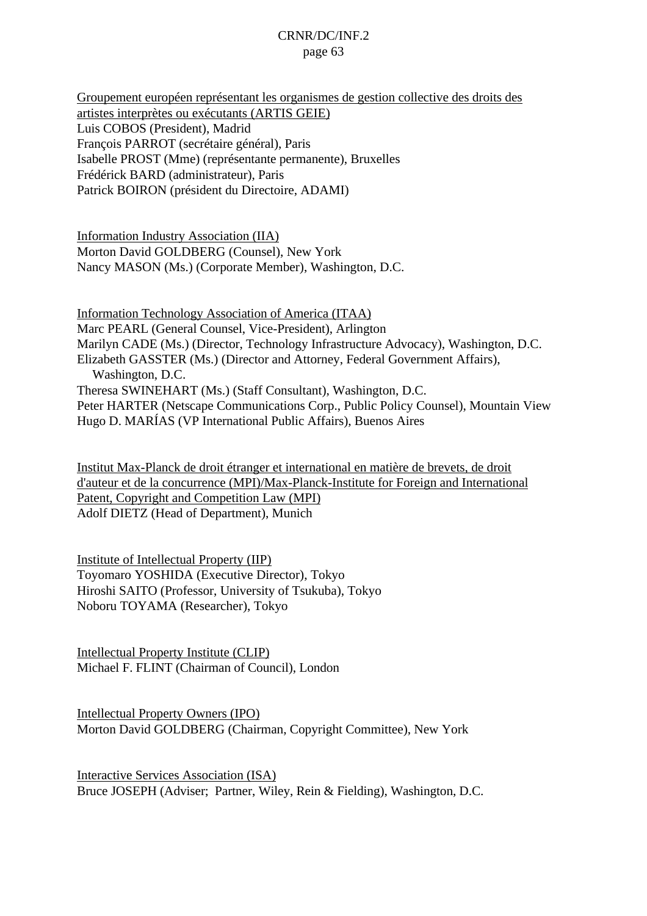Groupement européen représentant les organismes de gestion collective des droits des artistes interprètes ou exécutants (ARTIS GEIE) Luis COBOS (President), Madrid François PARROT (secrétaire général), Paris Isabelle PROST (Mme) (représentante permanente), Bruxelles Frédérick BARD (administrateur), Paris Patrick BOIRON (président du Directoire, ADAMI)

Information Industry Association (IIA) Morton David GOLDBERG (Counsel), New York Nancy MASON (Ms.) (Corporate Member), Washington, D.C.

Information Technology Association of America (ITAA) Marc PEARL (General Counsel, Vice-President), Arlington Marilyn CADE (Ms.) (Director, Technology Infrastructure Advocacy), Washington, D.C. Elizabeth GASSTER (Ms.) (Director and Attorney, Federal Government Affairs), Washington, D.C. Theresa SWINEHART (Ms.) (Staff Consultant), Washington, D.C. Peter HARTER (Netscape Communications Corp., Public Policy Counsel), Mountain View Hugo D. MARÍAS (VP International Public Affairs), Buenos Aires

Institut Max-Planck de droit étranger et international en matière de brevets, de droit d'auteur et de la concurrence (MPI)/Max-Planck-Institute for Foreign and International Patent, Copyright and Competition Law (MPI) Adolf DIETZ (Head of Department), Munich

Institute of Intellectual Property (IIP) Toyomaro YOSHIDA (Executive Director), Tokyo Hiroshi SAITO (Professor, University of Tsukuba), Tokyo Noboru TOYAMA (Researcher), Tokyo

Intellectual Property Institute (CLIP) Michael F. FLINT (Chairman of Council), London

Intellectual Property Owners (IPO) Morton David GOLDBERG (Chairman, Copyright Committee), New York

Interactive Services Association (ISA) Bruce JOSEPH (Adviser; Partner, Wiley, Rein & Fielding), Washington, D.C.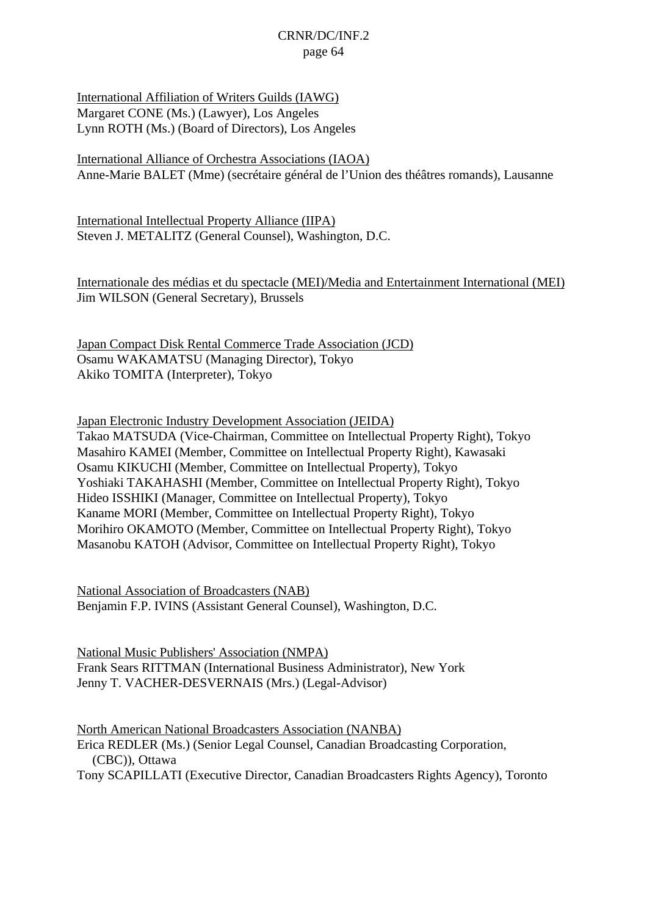International Affiliation of Writers Guilds (IAWG) Margaret CONE (Ms.) (Lawyer), Los Angeles Lynn ROTH (Ms.) (Board of Directors), Los Angeles

International Alliance of Orchestra Associations (IAOA) Anne-Marie BALET (Mme) (secrétaire général de l'Union des théâtres romands), Lausanne

International Intellectual Property Alliance (IIPA) Steven J. METALITZ (General Counsel), Washington, D.C.

Internationale des médias et du spectacle (MEI)/Media and Entertainment International (MEI) Jim WILSON (General Secretary), Brussels

Japan Compact Disk Rental Commerce Trade Association (JCD) Osamu WAKAMATSU (Managing Director), Tokyo Akiko TOMITA (Interpreter), Tokyo

Japan Electronic Industry Development Association (JEIDA) Takao MATSUDA (Vice-Chairman, Committee on Intellectual Property Right), Tokyo Masahiro KAMEI (Member, Committee on Intellectual Property Right), Kawasaki Osamu KIKUCHI (Member, Committee on Intellectual Property), Tokyo Yoshiaki TAKAHASHI (Member, Committee on Intellectual Property Right), Tokyo Hideo ISSHIKI (Manager, Committee on Intellectual Property), Tokyo Kaname MORI (Member, Committee on Intellectual Property Right), Tokyo Morihiro OKAMOTO (Member, Committee on Intellectual Property Right), Tokyo Masanobu KATOH (Advisor, Committee on Intellectual Property Right), Tokyo

National Association of Broadcasters (NAB) Benjamin F.P. IVINS (Assistant General Counsel), Washington, D.C.

National Music Publishers' Association (NMPA) Frank Sears RITTMAN (International Business Administrator), New York Jenny T. VACHER-DESVERNAIS (Mrs.) (Legal-Advisor)

North American National Broadcasters Association (NANBA) Erica REDLER (Ms.) (Senior Legal Counsel, Canadian Broadcasting Corporation, (CBC)), Ottawa Tony SCAPILLATI (Executive Director, Canadian Broadcasters Rights Agency), Toronto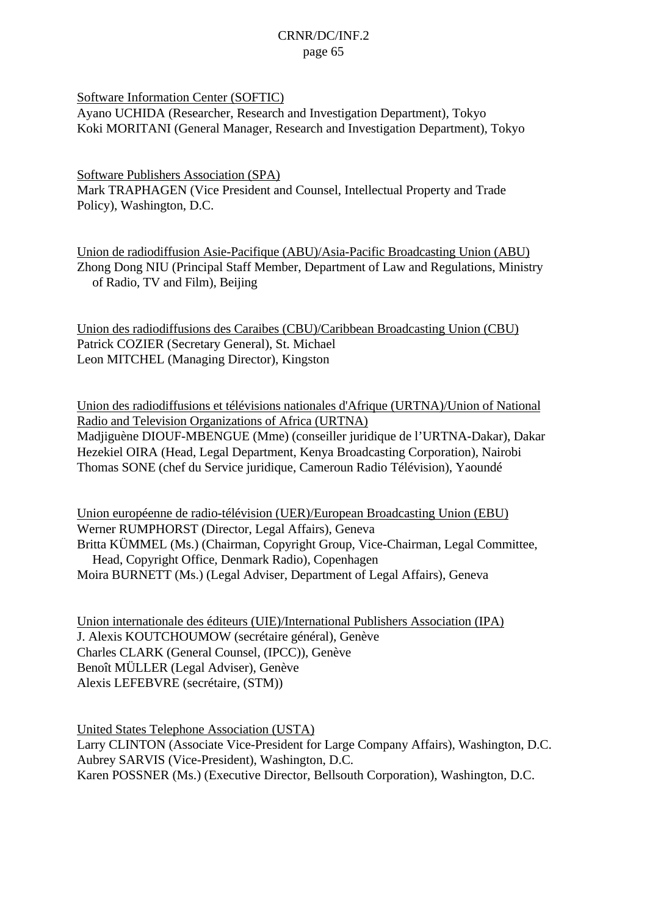Software Information Center (SOFTIC)

Ayano UCHIDA (Researcher, Research and Investigation Department), Tokyo Koki MORITANI (General Manager, Research and Investigation Department), Tokyo

Software Publishers Association (SPA) Mark TRAPHAGEN (Vice President and Counsel, Intellectual Property and Trade Policy), Washington, D.C.

Union de radiodiffusion Asie-Pacifique (ABU)/Asia-Pacific Broadcasting Union (ABU) Zhong Dong NIU (Principal Staff Member, Department of Law and Regulations, Ministry of Radio, TV and Film), Beijing

Union des radiodiffusions des Caraibes (CBU)/Caribbean Broadcasting Union (CBU) Patrick COZIER (Secretary General), St. Michael Leon MITCHEL (Managing Director), Kingston

Union des radiodiffusions et télévisions nationales d'Afrique (URTNA)/Union of National Radio and Television Organizations of Africa (URTNA) Madjiguène DIOUF-MBENGUE (Mme) (conseiller juridique de l'URTNA-Dakar), Dakar Hezekiel OIRA (Head, Legal Department, Kenya Broadcasting Corporation), Nairobi Thomas SONE (chef du Service juridique, Cameroun Radio Télévision), Yaoundé

Union européenne de radio-télévision (UER)/European Broadcasting Union (EBU) Werner RUMPHORST (Director, Legal Affairs), Geneva Britta KÜMMEL (Ms.) (Chairman, Copyright Group, Vice-Chairman, Legal Committee, Head, Copyright Office, Denmark Radio), Copenhagen Moira BURNETT (Ms.) (Legal Adviser, Department of Legal Affairs), Geneva

Union internationale des éditeurs (UIE)/International Publishers Association (IPA) J. Alexis KOUTCHOUMOW (secrétaire général), Genève Charles CLARK (General Counsel, (IPCC)), Genève Benoît MÜLLER (Legal Adviser), Genève Alexis LEFEBVRE (secrétaire, (STM))

United States Telephone Association (USTA) Larry CLINTON (Associate Vice-President for Large Company Affairs), Washington, D.C. Aubrey SARVIS (Vice-President), Washington, D.C. Karen POSSNER (Ms.) (Executive Director, Bellsouth Corporation), Washington, D.C.